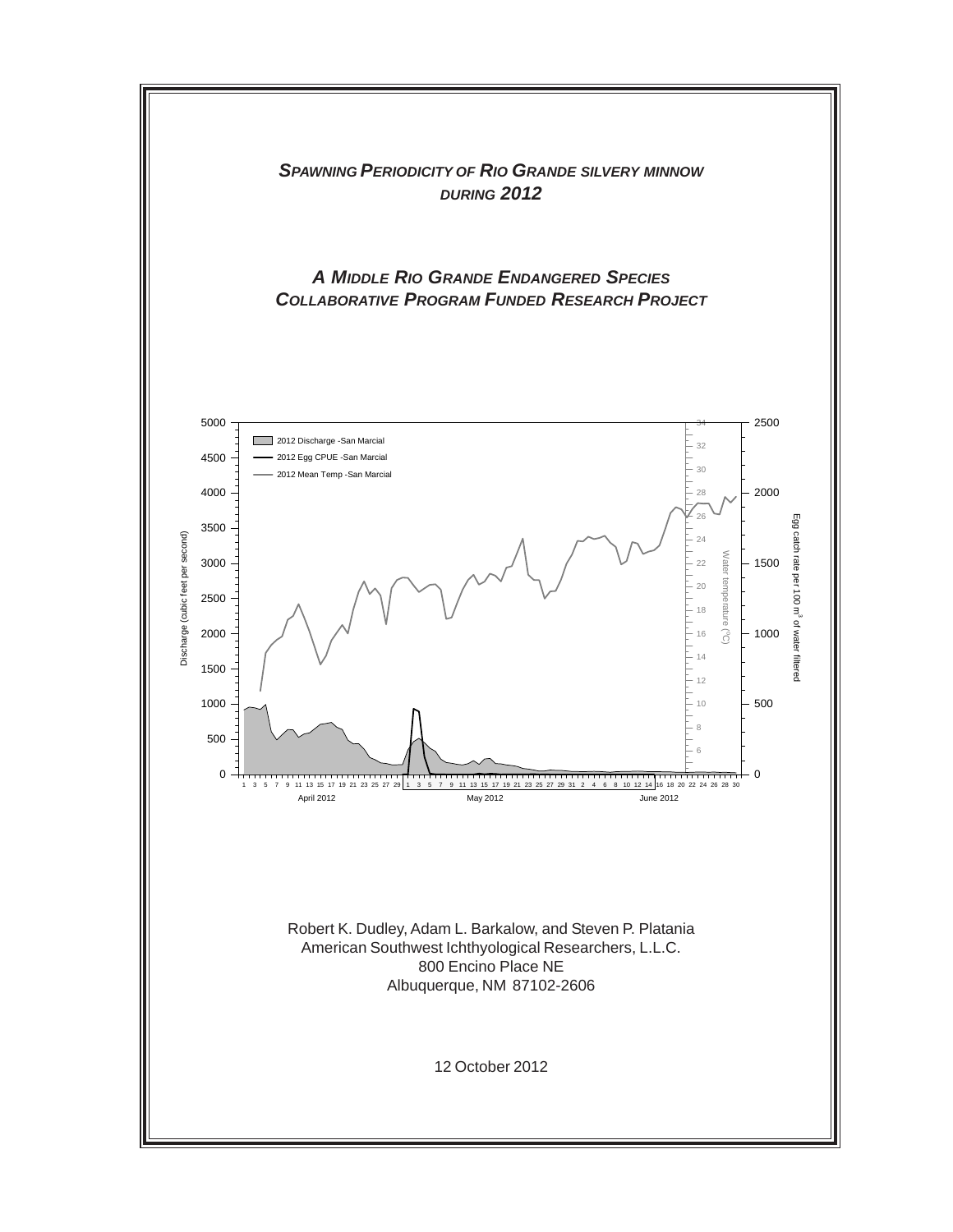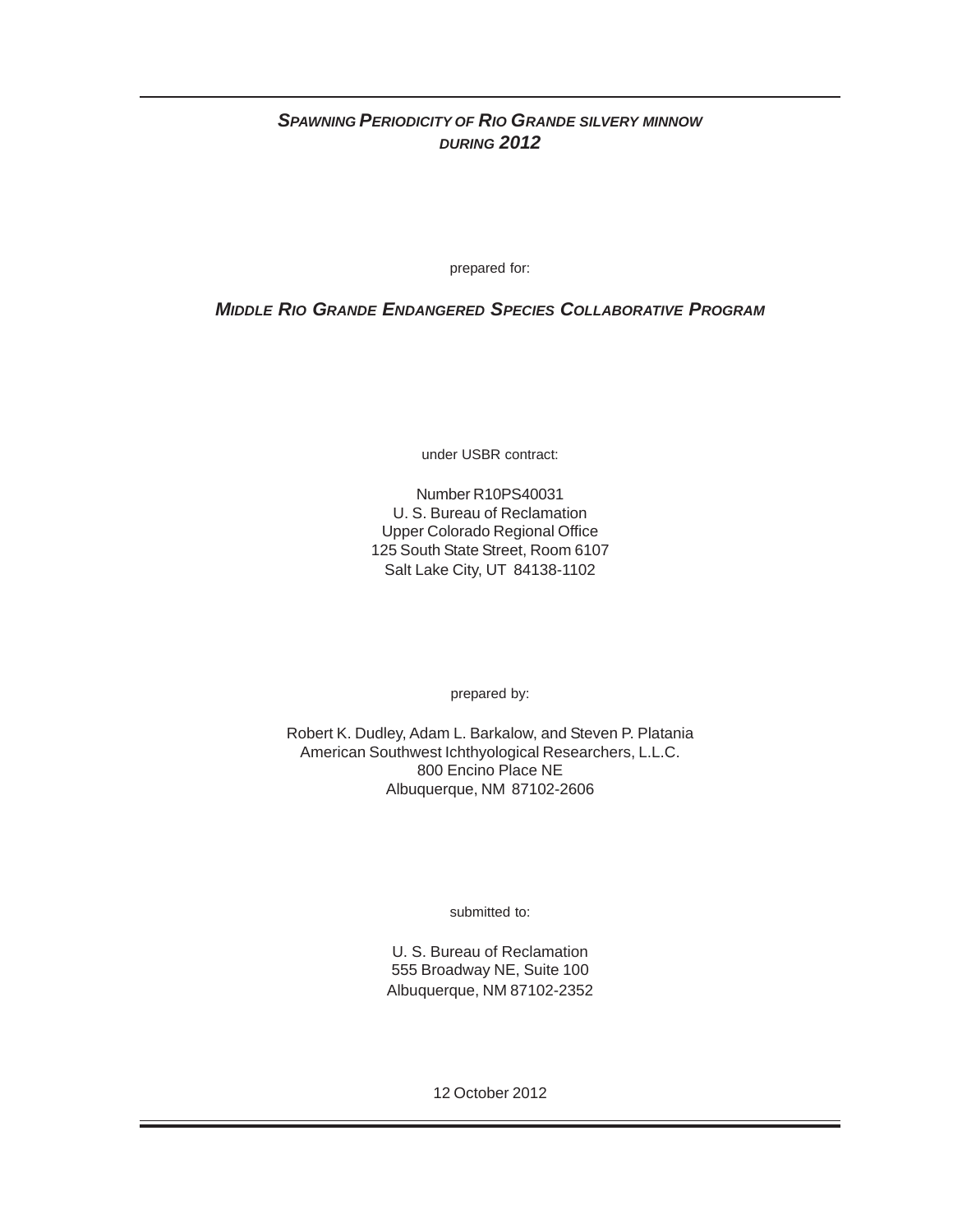# *SPAWNING PERIODICITY OF RIO GRANDE SILVERY MINNOW DURING 2012*

prepared for:

## *MIDDLE RIO GRANDE ENDANGERED SPECIES COLLABORATIVE PROGRAM*

under USBR contract:

Number R10PS40031 U. S. Bureau of Reclamation Upper Colorado Regional Office 125 South State Street, Room 6107 Salt Lake City, UT 84138-1102

prepared by:

Robert K. Dudley, Adam L. Barkalow, and Steven P. Platania American Southwest Ichthyological Researchers, L.L.C. 800 Encino Place NE Albuquerque, NM 87102-2606

submitted to:

U. S. Bureau of Reclamation 555 Broadway NE, Suite 100 Albuquerque, NM 87102-2352

12 October 2012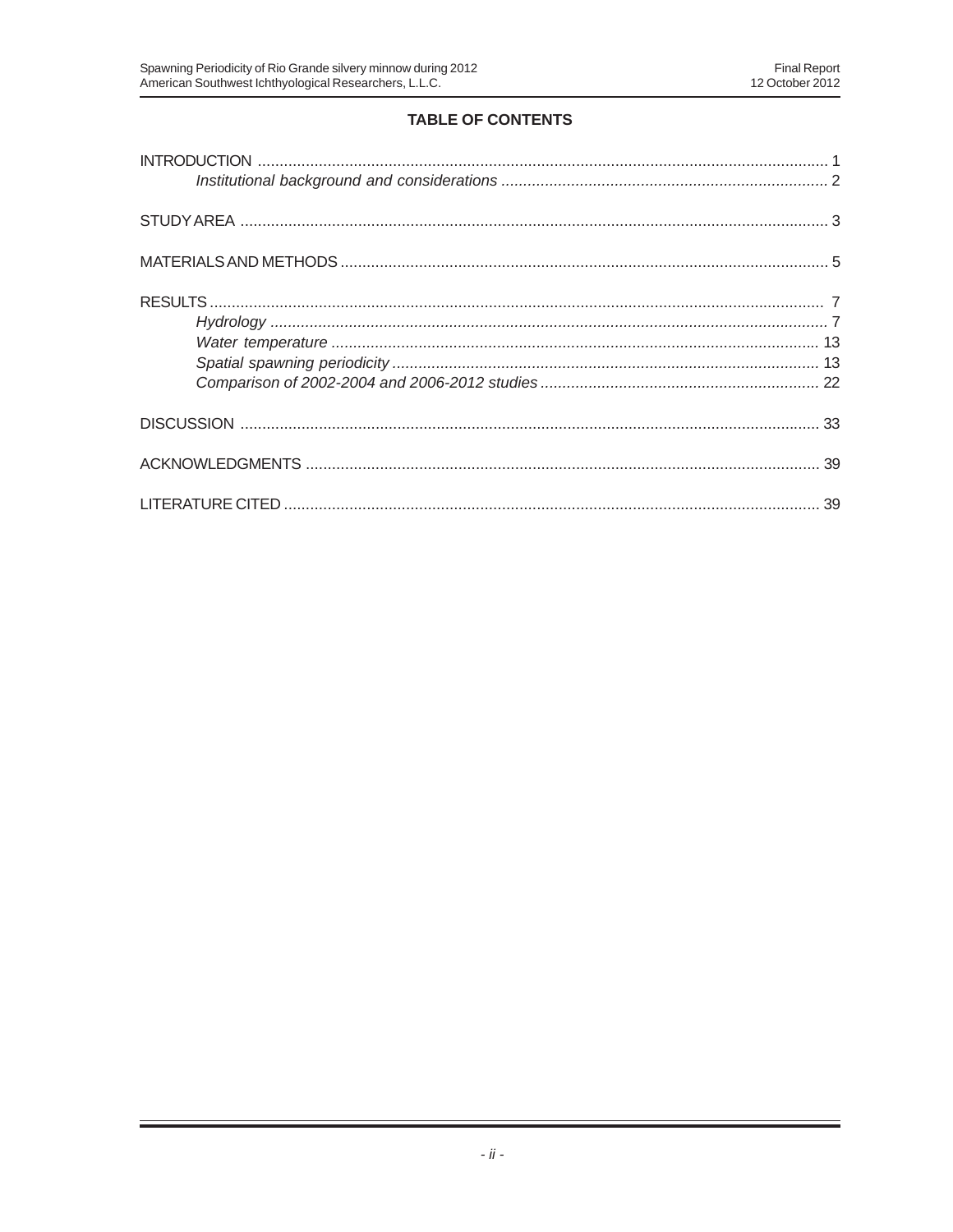# **TABLE OF CONTENTS**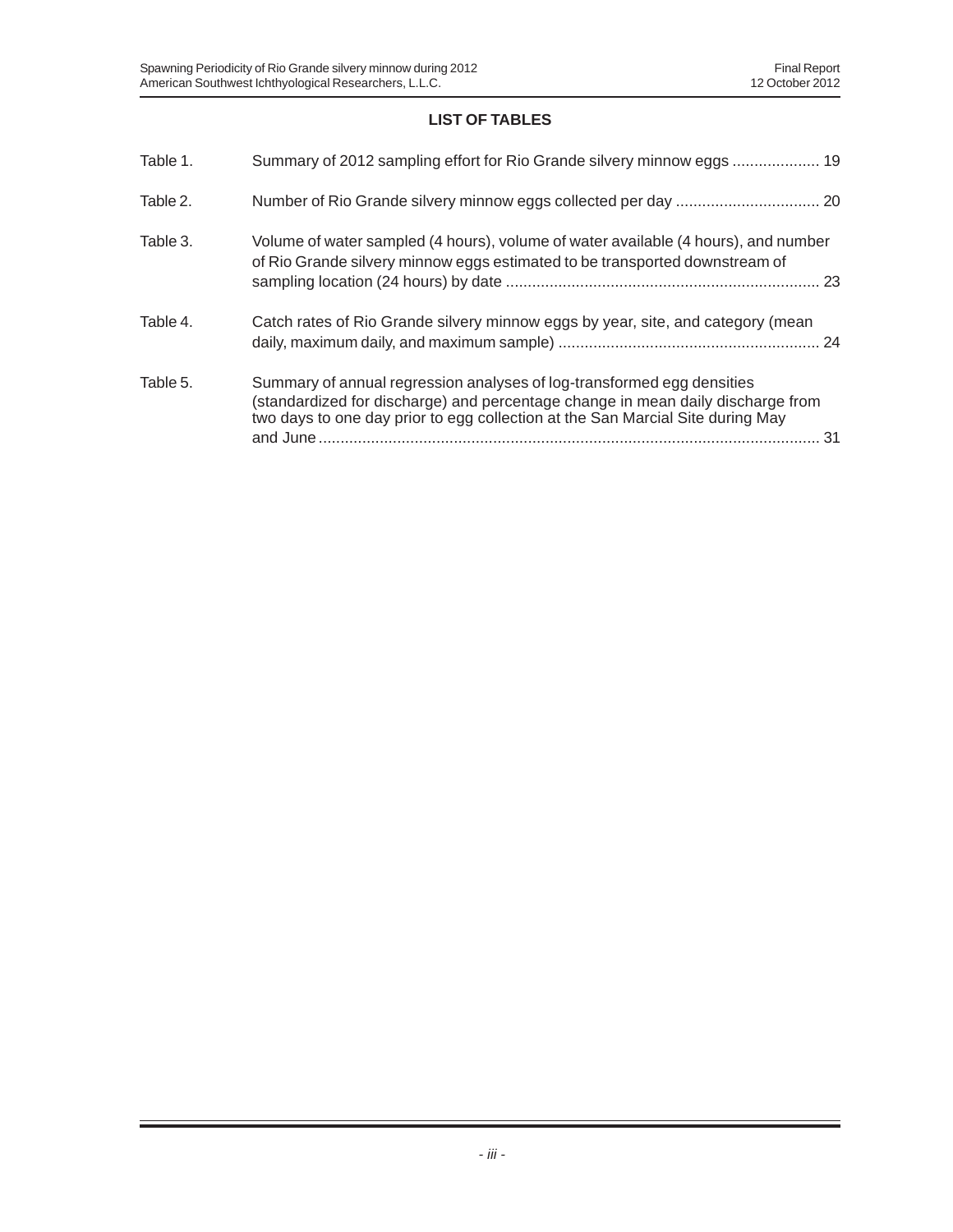# **LIST OF TABLES**

| Table 1. | Summary of 2012 sampling effort for Rio Grande silvery minnow eggs  19                                                                                                                                                                            |
|----------|---------------------------------------------------------------------------------------------------------------------------------------------------------------------------------------------------------------------------------------------------|
| Table 2. |                                                                                                                                                                                                                                                   |
| Table 3. | Volume of water sampled (4 hours), volume of water available (4 hours), and number<br>of Rio Grande silvery minnow eggs estimated to be transported downstream of                                                                                 |
| Table 4. | Catch rates of Rio Grande silvery minnow eggs by year, site, and category (mean                                                                                                                                                                   |
| Table 5. | Summary of annual regression analyses of log-transformed egg densities<br>(standardized for discharge) and percentage change in mean daily discharge from<br>two days to one day prior to egg collection at the San Marcial Site during May<br>31 |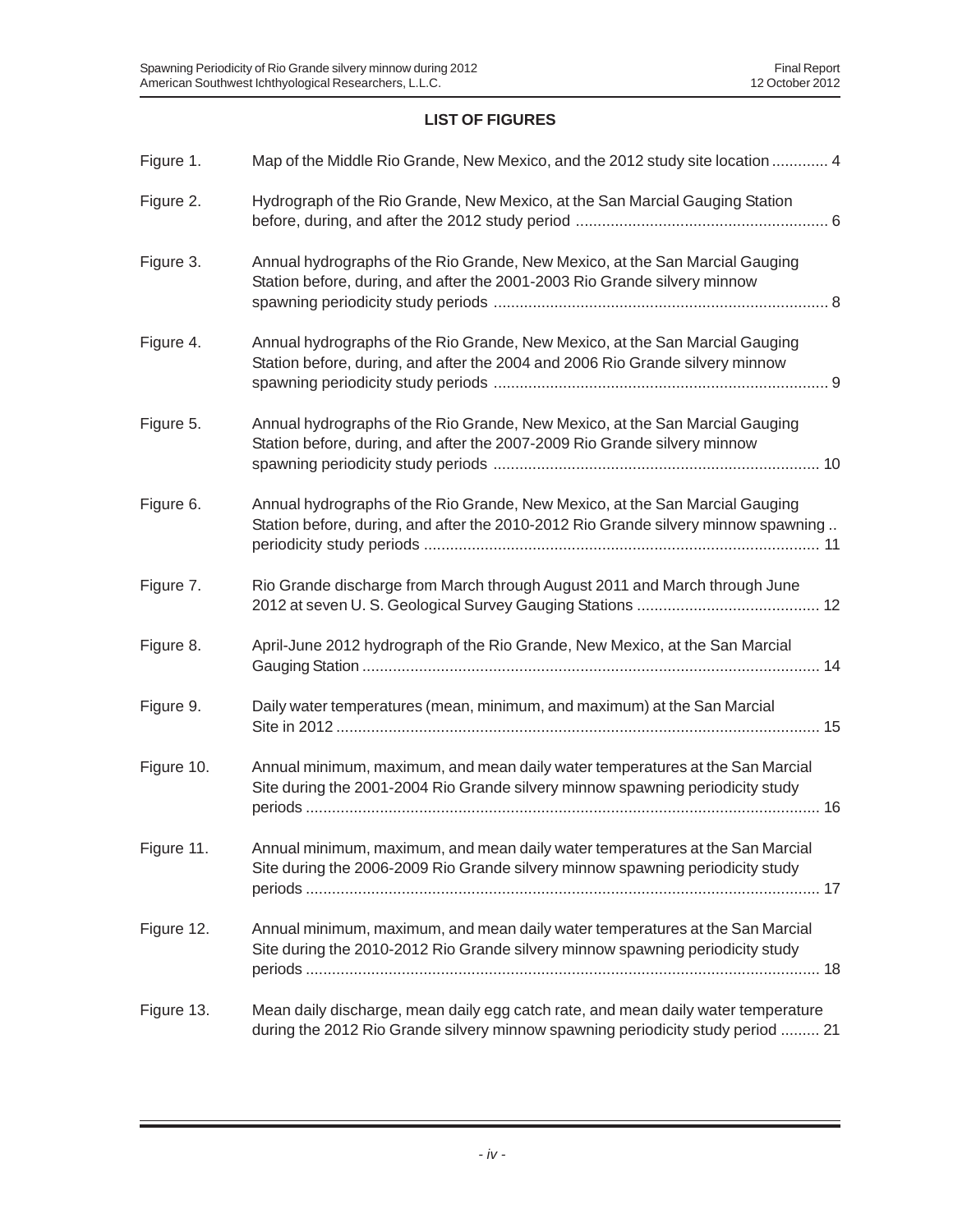# **LIST OF FIGURES**

| Figure 1.  | Map of the Middle Rio Grande, New Mexico, and the 2012 study site location  4                                                                                        |
|------------|----------------------------------------------------------------------------------------------------------------------------------------------------------------------|
| Figure 2.  | Hydrograph of the Rio Grande, New Mexico, at the San Marcial Gauging Station                                                                                         |
| Figure 3.  | Annual hydrographs of the Rio Grande, New Mexico, at the San Marcial Gauging<br>Station before, during, and after the 2001-2003 Rio Grande silvery minnow            |
| Figure 4.  | Annual hydrographs of the Rio Grande, New Mexico, at the San Marcial Gauging<br>Station before, during, and after the 2004 and 2006 Rio Grande silvery minnow        |
| Figure 5.  | Annual hydrographs of the Rio Grande, New Mexico, at the San Marcial Gauging<br>Station before, during, and after the 2007-2009 Rio Grande silvery minnow            |
| Figure 6.  | Annual hydrographs of the Rio Grande, New Mexico, at the San Marcial Gauging<br>Station before, during, and after the 2010-2012 Rio Grande silvery minnow spawning   |
| Figure 7.  | Rio Grande discharge from March through August 2011 and March through June                                                                                           |
| Figure 8.  | April-June 2012 hydrograph of the Rio Grande, New Mexico, at the San Marcial                                                                                         |
| Figure 9.  | Daily water temperatures (mean, minimum, and maximum) at the San Marcial                                                                                             |
| Figure 10. | Annual minimum, maximum, and mean daily water temperatures at the San Marcial<br>Site during the 2001-2004 Rio Grande silvery minnow spawning periodicity study      |
| Figure 11. | Annual minimum, maximum, and mean daily water temperatures at the San Marcial<br>Site during the 2006-2009 Rio Grande silvery minnow spawning periodicity study      |
| Figure 12. | Annual minimum, maximum, and mean daily water temperatures at the San Marcial<br>Site during the 2010-2012 Rio Grande silvery minnow spawning periodicity study      |
| Figure 13. | Mean daily discharge, mean daily egg catch rate, and mean daily water temperature<br>during the 2012 Rio Grande silvery minnow spawning periodicity study period  21 |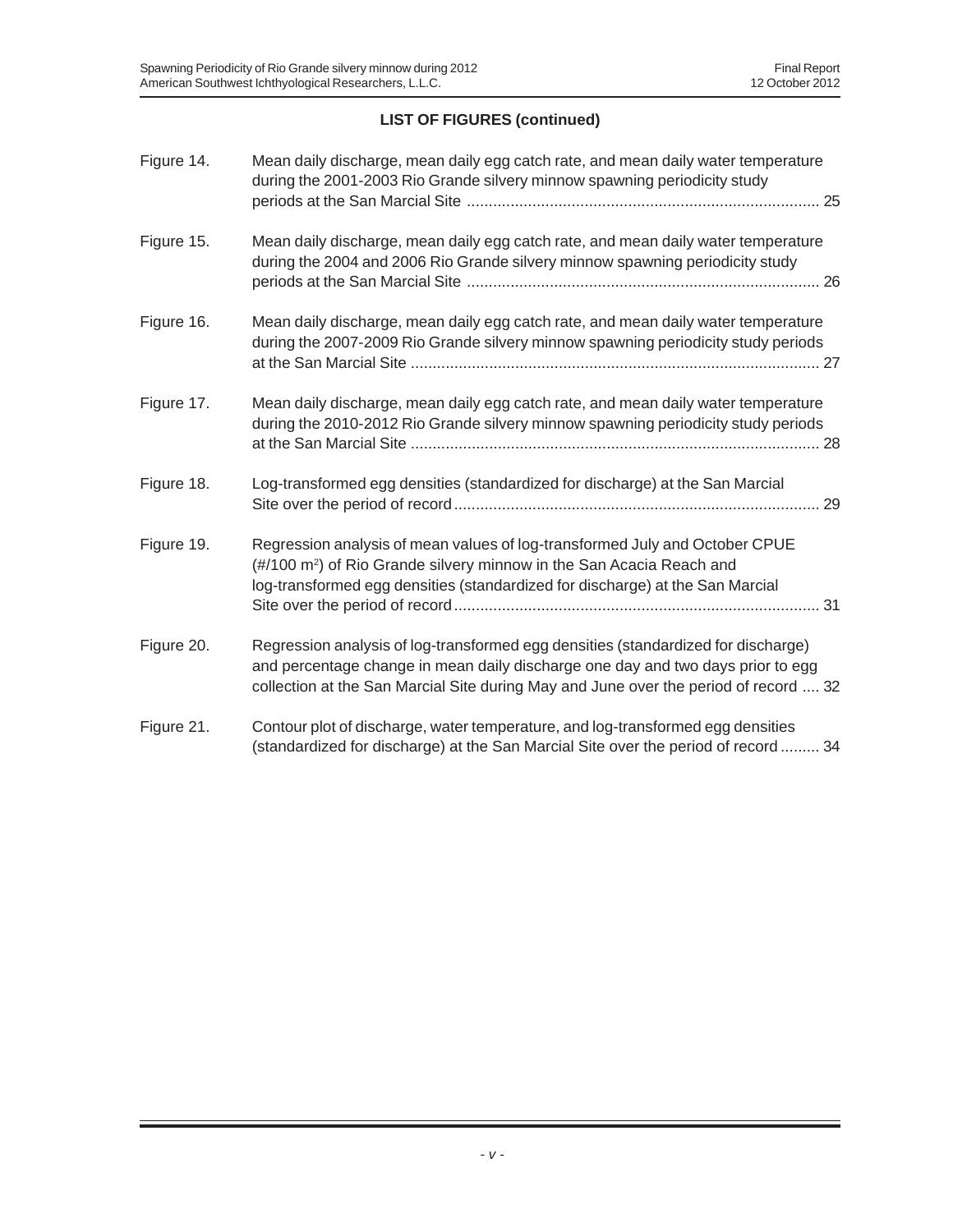# **LIST OF FIGURES (continued)**

| Figure 14. | Mean daily discharge, mean daily egg catch rate, and mean daily water temperature<br>during the 2001-2003 Rio Grande silvery minnow spawning periodicity study                                                                                               |
|------------|--------------------------------------------------------------------------------------------------------------------------------------------------------------------------------------------------------------------------------------------------------------|
| Figure 15. | Mean daily discharge, mean daily egg catch rate, and mean daily water temperature<br>during the 2004 and 2006 Rio Grande silvery minnow spawning periodicity study                                                                                           |
| Figure 16. | Mean daily discharge, mean daily egg catch rate, and mean daily water temperature<br>during the 2007-2009 Rio Grande silvery minnow spawning periodicity study periods                                                                                       |
| Figure 17. | Mean daily discharge, mean daily egg catch rate, and mean daily water temperature<br>during the 2010-2012 Rio Grande silvery minnow spawning periodicity study periods                                                                                       |
| Figure 18. | Log-transformed egg densities (standardized for discharge) at the San Marcial                                                                                                                                                                                |
| Figure 19. | Regression analysis of mean values of log-transformed July and October CPUE<br>(#/100 m <sup>2</sup> ) of Rio Grande silvery minnow in the San Acacia Reach and<br>log-transformed egg densities (standardized for discharge) at the San Marcial             |
| Figure 20. | Regression analysis of log-transformed egg densities (standardized for discharge)<br>and percentage change in mean daily discharge one day and two days prior to egg<br>collection at the San Marcial Site during May and June over the period of record  32 |
| Figure 21. | Contour plot of discharge, water temperature, and log-transformed egg densities<br>(standardized for discharge) at the San Marcial Site over the period of record  34                                                                                        |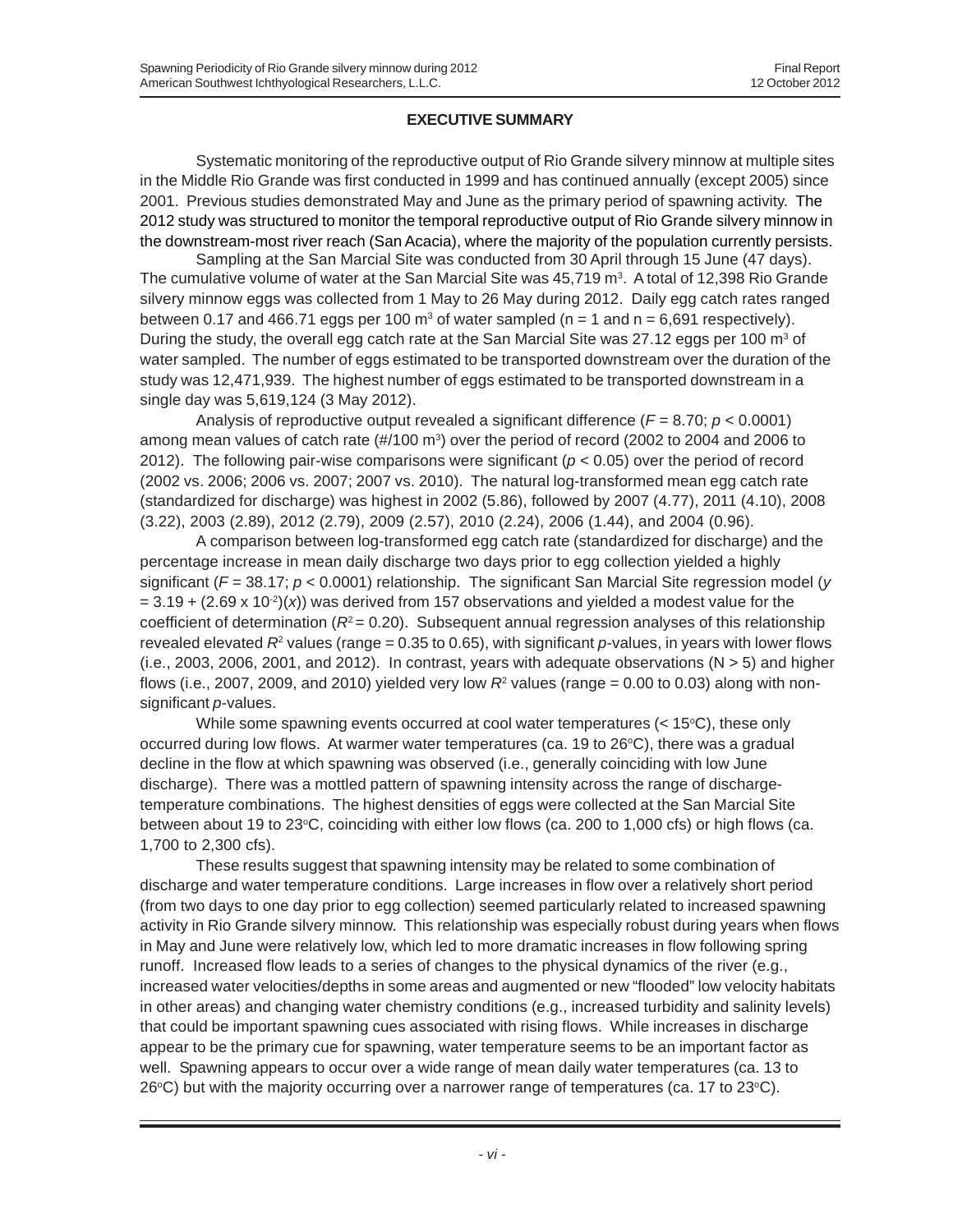#### **EXECUTIVE SUMMARY**

Systematic monitoring of the reproductive output of Rio Grande silvery minnow at multiple sites in the Middle Rio Grande was first conducted in 1999 and has continued annually (except 2005) since 2001. Previous studies demonstrated May and June as the primary period of spawning activity. The 2012 study was structured to monitor the temporal reproductive output of Rio Grande silvery minnow in the downstream-most river reach (San Acacia), where the majority of the population currently persists.

Sampling at the San Marcial Site was conducted from 30 April through 15 June (47 days). The cumulative volume of water at the San Marcial Site was 45,719  $\mathrm{m}^3$ . A total of 12,398 Rio Grande silvery minnow eggs was collected from 1 May to 26 May during 2012. Daily egg catch rates ranged between 0.17 and 466.71 eggs per 100  $\text{m}^3$  of water sampled (n = 1 and n = 6,691 respectively). During the study, the overall egg catch rate at the San Marcial Site was 27.12 eggs per 100 m<sup>3</sup> of water sampled. The number of eggs estimated to be transported downstream over the duration of the study was 12,471,939. The highest number of eggs estimated to be transported downstream in a single day was 5,619,124 (3 May 2012).

Analysis of reproductive output revealed a significant difference (*F* = 8.70; *p* < 0.0001) among mean values of catch rate (#/100 m<sup>3</sup>) over the period of record (2002 to 2004 and 2006 to 2012). The following pair-wise comparisons were significant (*p* < 0.05) over the period of record (2002 vs. 2006; 2006 vs. 2007; 2007 vs. 2010). The natural log-transformed mean egg catch rate (standardized for discharge) was highest in 2002 (5.86), followed by 2007 (4.77), 2011 (4.10), 2008 (3.22), 2003 (2.89), 2012 (2.79), 2009 (2.57), 2010 (2.24), 2006 (1.44), and 2004 (0.96).

A comparison between log-transformed egg catch rate (standardized for discharge) and the percentage increase in mean daily discharge two days prior to egg collection yielded a highly significant ( $F = 38.17$ ;  $p < 0.0001$ ) relationship. The significant San Marcial Site regression model (*y*  $= 3.19 + (2.69 \times 10^{-2})(x)$  was derived from 157 observations and yielded a modest value for the coefficient of determination  $(R<sup>2</sup> = 0.20)$ . Subsequent annual regression analyses of this relationship revealed elevated  $R^2$  values (range = 0.35 to 0.65), with significant p-values, in years with lower flows  $(i.e., 2003, 2006, 2001, and 2012)$ . In contrast, years with adequate observations  $(N > 5)$  and higher flows (i.e., 2007, 2009, and 2010) yielded very low  $R^{\rm z}$  values (range = 0.00 to 0.03) along with nonsignificant *p*-values.

While some spawning events occurred at cool water temperatures  $(< 15^{\circ}C)$ , these only occurred during low flows. At warmer water temperatures (ca. 19 to 26°C), there was a gradual decline in the flow at which spawning was observed (i.e., generally coinciding with low June discharge). There was a mottled pattern of spawning intensity across the range of dischargetemperature combinations. The highest densities of eggs were collected at the San Marcial Site between about 19 to 23°C, coinciding with either low flows (ca. 200 to 1,000 cfs) or high flows (ca. 1,700 to 2,300 cfs).

These results suggest that spawning intensity may be related to some combination of discharge and water temperature conditions. Large increases in flow over a relatively short period (from two days to one day prior to egg collection) seemed particularly related to increased spawning activity in Rio Grande silvery minnow. This relationship was especially robust during years when flows in May and June were relatively low, which led to more dramatic increases in flow following spring runoff. Increased flow leads to a series of changes to the physical dynamics of the river (e.g., increased water velocities/depths in some areas and augmented or new "flooded" low velocity habitats in other areas) and changing water chemistry conditions (e.g., increased turbidity and salinity levels) that could be important spawning cues associated with rising flows. While increases in discharge appear to be the primary cue for spawning, water temperature seems to be an important factor as well. Spawning appears to occur over a wide range of mean daily water temperatures (ca. 13 to 26°C) but with the majority occurring over a narrower range of temperatures (ca. 17 to 23°C).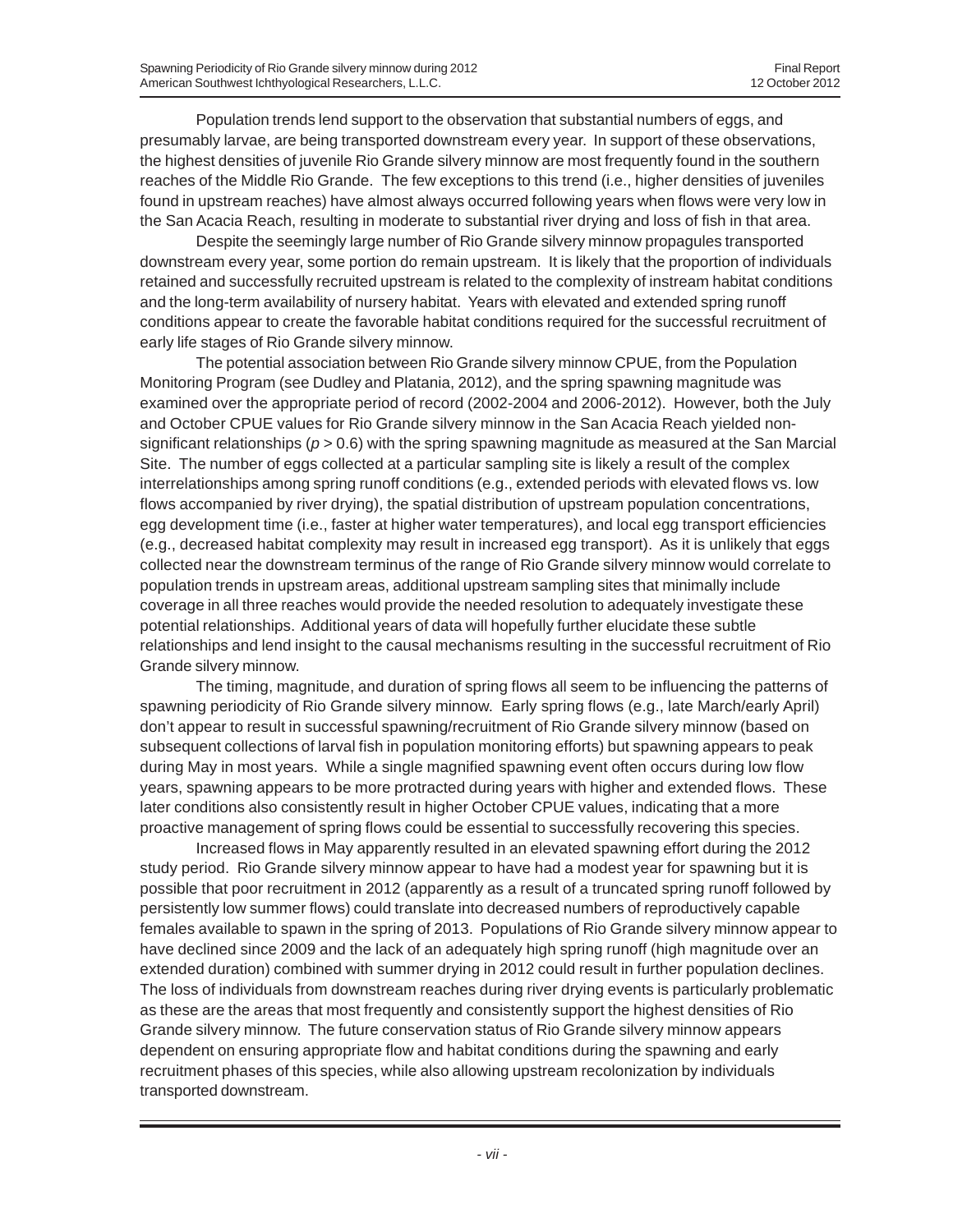Population trends lend support to the observation that substantial numbers of eggs, and presumably larvae, are being transported downstream every year. In support of these observations, the highest densities of juvenile Rio Grande silvery minnow are most frequently found in the southern reaches of the Middle Rio Grande. The few exceptions to this trend (i.e., higher densities of juveniles found in upstream reaches) have almost always occurred following years when flows were very low in the San Acacia Reach, resulting in moderate to substantial river drying and loss of fish in that area.

Despite the seemingly large number of Rio Grande silvery minnow propagules transported downstream every year, some portion do remain upstream. It is likely that the proportion of individuals retained and successfully recruited upstream is related to the complexity of instream habitat conditions and the long-term availability of nursery habitat. Years with elevated and extended spring runoff conditions appear to create the favorable habitat conditions required for the successful recruitment of early life stages of Rio Grande silvery minnow.

The potential association between Rio Grande silvery minnow CPUE, from the Population Monitoring Program (see Dudley and Platania, 2012), and the spring spawning magnitude was examined over the appropriate period of record (2002-2004 and 2006-2012). However, both the July and October CPUE values for Rio Grande silvery minnow in the San Acacia Reach yielded nonsignificant relationships (*p* > 0.6) with the spring spawning magnitude as measured at the San Marcial Site. The number of eggs collected at a particular sampling site is likely a result of the complex interrelationships among spring runoff conditions (e.g., extended periods with elevated flows vs. low flows accompanied by river drying), the spatial distribution of upstream population concentrations, egg development time (i.e., faster at higher water temperatures), and local egg transport efficiencies (e.g., decreased habitat complexity may result in increased egg transport). As it is unlikely that eggs collected near the downstream terminus of the range of Rio Grande silvery minnow would correlate to population trends in upstream areas, additional upstream sampling sites that minimally include coverage in all three reaches would provide the needed resolution to adequately investigate these potential relationships. Additional years of data will hopefully further elucidate these subtle relationships and lend insight to the causal mechanisms resulting in the successful recruitment of Rio Grande silvery minnow.

The timing, magnitude, and duration of spring flows all seem to be influencing the patterns of spawning periodicity of Rio Grande silvery minnow. Early spring flows (e.g., late March/early April) don't appear to result in successful spawning/recruitment of Rio Grande silvery minnow (based on subsequent collections of larval fish in population monitoring efforts) but spawning appears to peak during May in most years. While a single magnified spawning event often occurs during low flow years, spawning appears to be more protracted during years with higher and extended flows. These later conditions also consistently result in higher October CPUE values, indicating that a more proactive management of spring flows could be essential to successfully recovering this species.

Increased flows in May apparently resulted in an elevated spawning effort during the 2012 study period. Rio Grande silvery minnow appear to have had a modest year for spawning but it is possible that poor recruitment in 2012 (apparently as a result of a truncated spring runoff followed by persistently low summer flows) could translate into decreased numbers of reproductively capable females available to spawn in the spring of 2013. Populations of Rio Grande silvery minnow appear to have declined since 2009 and the lack of an adequately high spring runoff (high magnitude over an extended duration) combined with summer drying in 2012 could result in further population declines. The loss of individuals from downstream reaches during river drying events is particularly problematic as these are the areas that most frequently and consistently support the highest densities of Rio Grande silvery minnow. The future conservation status of Rio Grande silvery minnow appears dependent on ensuring appropriate flow and habitat conditions during the spawning and early recruitment phases of this species, while also allowing upstream recolonization by individuals transported downstream.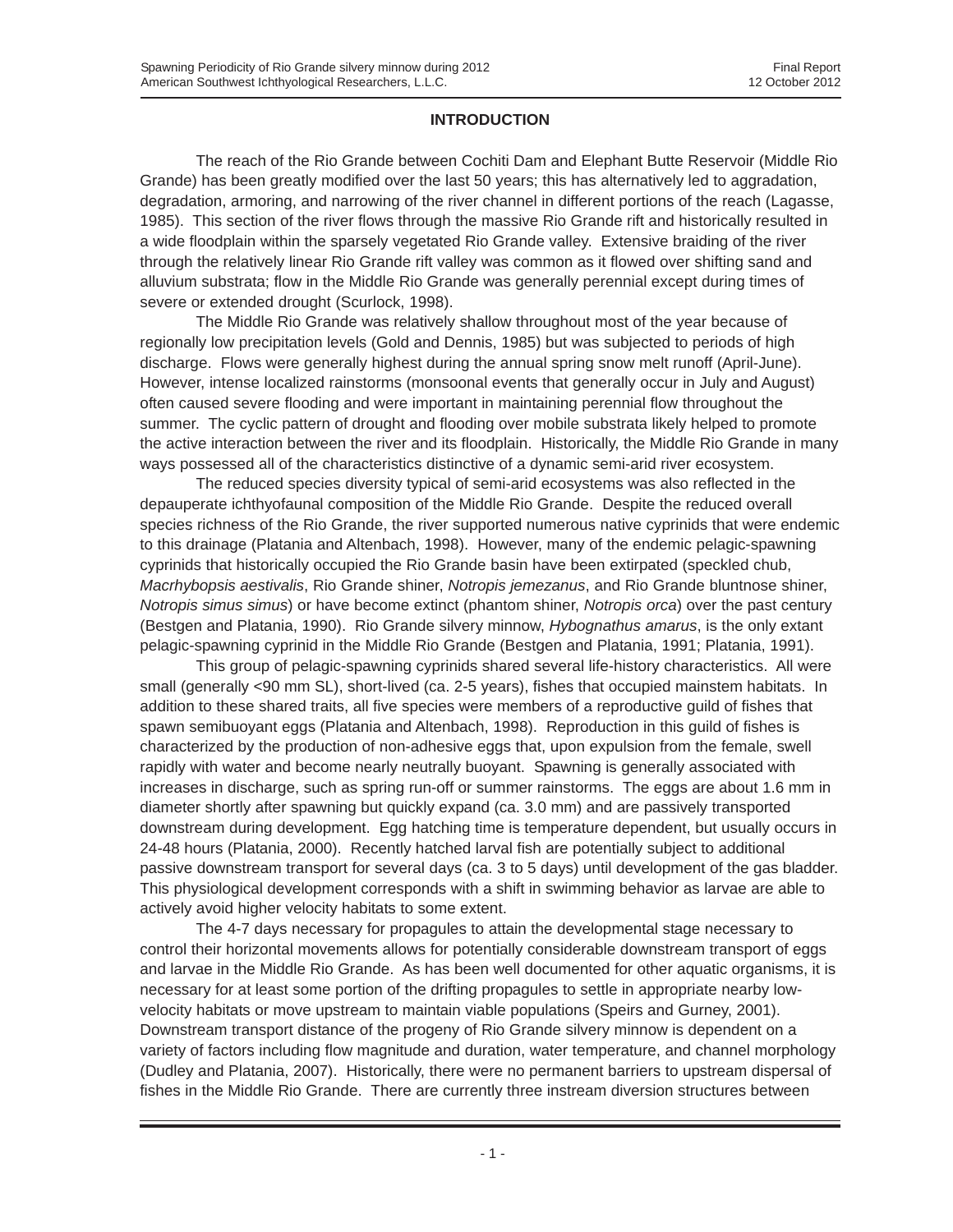## **INTRODUCTION**

The reach of the Rio Grande between Cochiti Dam and Elephant Butte Reservoir (Middle Rio Grande) has been greatly modified over the last 50 years; this has alternatively led to aggradation, degradation, armoring, and narrowing of the river channel in different portions of the reach (Lagasse, 1985). This section of the river flows through the massive Rio Grande rift and historically resulted in a wide floodplain within the sparsely vegetated Rio Grande valley. Extensive braiding of the river through the relatively linear Rio Grande rift valley was common as it flowed over shifting sand and alluvium substrata; flow in the Middle Rio Grande was generally perennial except during times of severe or extended drought (Scurlock, 1998).

The Middle Rio Grande was relatively shallow throughout most of the year because of regionally low precipitation levels (Gold and Dennis, 1985) but was subjected to periods of high discharge. Flows were generally highest during the annual spring snow melt runoff (April-June). However, intense localized rainstorms (monsoonal events that generally occur in July and August) often caused severe flooding and were important in maintaining perennial flow throughout the summer. The cyclic pattern of drought and flooding over mobile substrata likely helped to promote the active interaction between the river and its floodplain. Historically, the Middle Rio Grande in many ways possessed all of the characteristics distinctive of a dynamic semi-arid river ecosystem.

The reduced species diversity typical of semi-arid ecosystems was also reflected in the depauperate ichthyofaunal composition of the Middle Rio Grande. Despite the reduced overall species richness of the Rio Grande, the river supported numerous native cyprinids that were endemic to this drainage (Platania and Altenbach, 1998). However, many of the endemic pelagic-spawning cyprinids that historically occupied the Rio Grande basin have been extirpated (speckled chub, *Macrhybopsis aestivalis*, Rio Grande shiner, *Notropis jemezanus*, and Rio Grande bluntnose shiner, *Notropis simus simus*) or have become extinct (phantom shiner, *Notropis orca*) over the past century (Bestgen and Platania, 1990). Rio Grande silvery minnow, *Hybognathus amarus*, is the only extant pelagic-spawning cyprinid in the Middle Rio Grande (Bestgen and Platania, 1991; Platania, 1991).

This group of pelagic-spawning cyprinids shared several life-history characteristics. All were small (generally <90 mm SL), short-lived (ca. 2-5 years), fishes that occupied mainstem habitats. In addition to these shared traits, all five species were members of a reproductive guild of fishes that spawn semibuoyant eggs (Platania and Altenbach, 1998). Reproduction in this guild of fishes is characterized by the production of non-adhesive eggs that, upon expulsion from the female, swell rapidly with water and become nearly neutrally buoyant. Spawning is generally associated with increases in discharge, such as spring run-off or summer rainstorms. The eggs are about 1.6 mm in diameter shortly after spawning but quickly expand (ca. 3.0 mm) and are passively transported downstream during development. Egg hatching time is temperature dependent, but usually occurs in 24-48 hours (Platania, 2000). Recently hatched larval fish are potentially subject to additional passive downstream transport for several days (ca. 3 to 5 days) until development of the gas bladder. This physiological development corresponds with a shift in swimming behavior as larvae are able to actively avoid higher velocity habitats to some extent.

The 4-7 days necessary for propagules to attain the developmental stage necessary to control their horizontal movements allows for potentially considerable downstream transport of eggs and larvae in the Middle Rio Grande. As has been well documented for other aquatic organisms, it is necessary for at least some portion of the drifting propagules to settle in appropriate nearby lowvelocity habitats or move upstream to maintain viable populations (Speirs and Gurney, 2001). Downstream transport distance of the progeny of Rio Grande silvery minnow is dependent on a variety of factors including flow magnitude and duration, water temperature, and channel morphology (Dudley and Platania, 2007). Historically, there were no permanent barriers to upstream dispersal of fishes in the Middle Rio Grande. There are currently three instream diversion structures between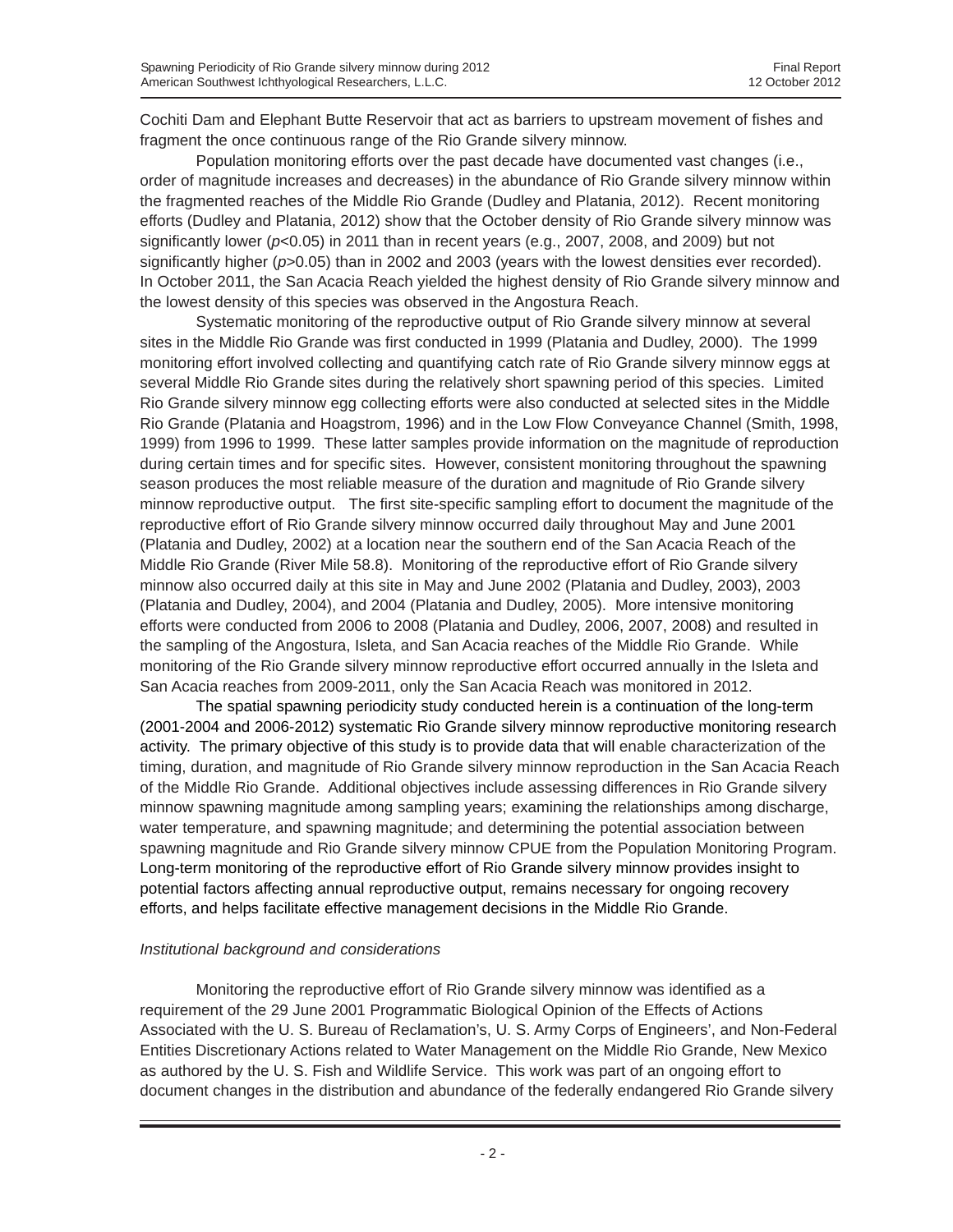Cochiti Dam and Elephant Butte Reservoir that act as barriers to upstream movement of fishes and fragment the once continuous range of the Rio Grande silvery minnow.

Population monitoring efforts over the past decade have documented vast changes (i.e., order of magnitude increases and decreases) in the abundance of Rio Grande silvery minnow within the fragmented reaches of the Middle Rio Grande (Dudley and Platania, 2012). Recent monitoring efforts (Dudley and Platania, 2012) show that the October density of Rio Grande silvery minnow was significantly lower (*p*<0.05) in 2011 than in recent years (e.g., 2007, 2008, and 2009) but not significantly higher ( $p > 0.05$ ) than in 2002 and 2003 (years with the lowest densities ever recorded). In October 2011, the San Acacia Reach yielded the highest density of Rio Grande silvery minnow and the lowest density of this species was observed in the Angostura Reach.

Systematic monitoring of the reproductive output of Rio Grande silvery minnow at several sites in the Middle Rio Grande was first conducted in 1999 (Platania and Dudley, 2000). The 1999 monitoring effort involved collecting and quantifying catch rate of Rio Grande silvery minnow eggs at several Middle Rio Grande sites during the relatively short spawning period of this species. Limited Rio Grande silvery minnow egg collecting efforts were also conducted at selected sites in the Middle Rio Grande (Platania and Hoagstrom, 1996) and in the Low Flow Conveyance Channel (Smith, 1998, 1999) from 1996 to 1999. These latter samples provide information on the magnitude of reproduction during certain times and for specific sites. However, consistent monitoring throughout the spawning season produces the most reliable measure of the duration and magnitude of Rio Grande silvery minnow reproductive output. The first site-specific sampling effort to document the magnitude of the reproductive effort of Rio Grande silvery minnow occurred daily throughout May and June 2001 (Platania and Dudley, 2002) at a location near the southern end of the San Acacia Reach of the Middle Rio Grande (River Mile 58.8). Monitoring of the reproductive effort of Rio Grande silvery minnow also occurred daily at this site in May and June 2002 (Platania and Dudley, 2003), 2003 (Platania and Dudley, 2004), and 2004 (Platania and Dudley, 2005). More intensive monitoring efforts were conducted from 2006 to 2008 (Platania and Dudley, 2006, 2007, 2008) and resulted in the sampling of the Angostura, Isleta, and San Acacia reaches of the Middle Rio Grande. While monitoring of the Rio Grande silvery minnow reproductive effort occurred annually in the Isleta and San Acacia reaches from 2009-2011, only the San Acacia Reach was monitored in 2012.

The spatial spawning periodicity study conducted herein is a continuation of the long-term (2001-2004 and 2006-2012) systematic Rio Grande silvery minnow reproductive monitoring research activity. The primary objective of this study is to provide data that will enable characterization of the timing, duration, and magnitude of Rio Grande silvery minnow reproduction in the San Acacia Reach of the Middle Rio Grande. Additional objectives include assessing differences in Rio Grande silvery minnow spawning magnitude among sampling years; examining the relationships among discharge, water temperature, and spawning magnitude; and determining the potential association between spawning magnitude and Rio Grande silvery minnow CPUE from the Population Monitoring Program. Long-term monitoring of the reproductive effort of Rio Grande silvery minnow provides insight to potential factors affecting annual reproductive output, remains necessary for ongoing recovery efforts, and helps facilitate effective management decisions in the Middle Rio Grande.

### *Institutional background and considerations*

Monitoring the reproductive effort of Rio Grande silvery minnow was identified as a requirement of the 29 June 2001 Programmatic Biological Opinion of the Effects of Actions Associated with the U. S. Bureau of Reclamation's, U. S. Army Corps of Engineers', and Non-Federal Entities Discretionary Actions related to Water Management on the Middle Rio Grande, New Mexico as authored by the U. S. Fish and Wildlife Service. This work was part of an ongoing effort to document changes in the distribution and abundance of the federally endangered Rio Grande silvery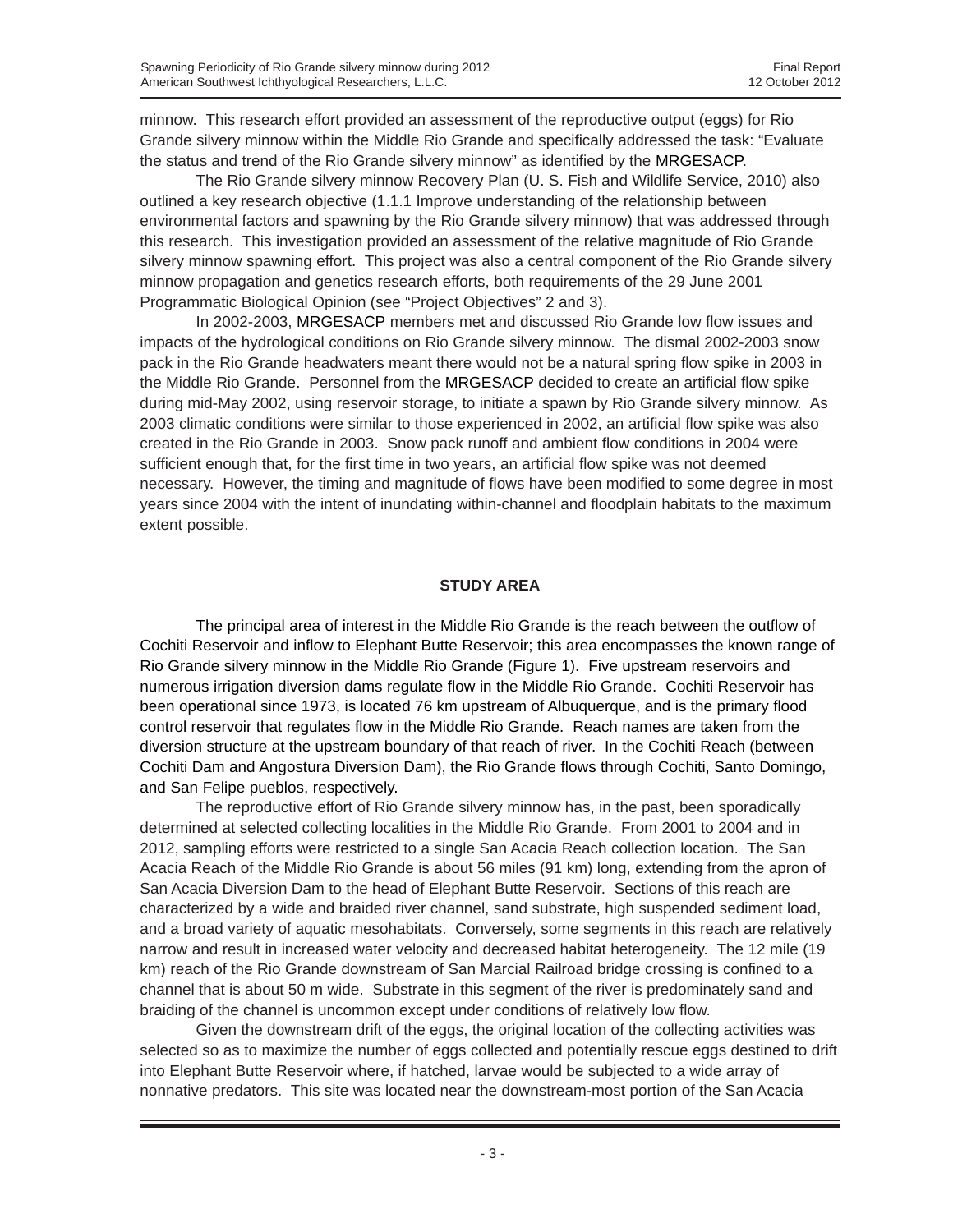minnow. This research effort provided an assessment of the reproductive output (eggs) for Rio Grande silvery minnow within the Middle Rio Grande and specifically addressed the task: "Evaluate the status and trend of the Rio Grande silvery minnow" as identified by the MRGESACP.

The Rio Grande silvery minnow Recovery Plan (U. S. Fish and Wildlife Service, 2010) also outlined a key research objective (1.1.1 Improve understanding of the relationship between environmental factors and spawning by the Rio Grande silvery minnow) that was addressed through this research. This investigation provided an assessment of the relative magnitude of Rio Grande silvery minnow spawning effort. This project was also a central component of the Rio Grande silvery minnow propagation and genetics research efforts, both requirements of the 29 June 2001 Programmatic Biological Opinion (see "Project Objectives" 2 and 3).

In 2002-2003, MRGESACP members met and discussed Rio Grande low flow issues and impacts of the hydrological conditions on Rio Grande silvery minnow. The dismal 2002-2003 snow pack in the Rio Grande headwaters meant there would not be a natural spring flow spike in 2003 in the Middle Rio Grande. Personnel from the MRGESACP decided to create an artificial flow spike during mid-May 2002, using reservoir storage, to initiate a spawn by Rio Grande silvery minnow. As 2003 climatic conditions were similar to those experienced in 2002, an artificial flow spike was also created in the Rio Grande in 2003. Snow pack runoff and ambient flow conditions in 2004 were sufficient enough that, for the first time in two years, an artificial flow spike was not deemed necessary. However, the timing and magnitude of flows have been modified to some degree in most years since 2004 with the intent of inundating within-channel and floodplain habitats to the maximum extent possible.

#### **STUDY AREA**

The principal area of interest in the Middle Rio Grande is the reach between the outflow of Cochiti Reservoir and inflow to Elephant Butte Reservoir; this area encompasses the known range of Rio Grande silvery minnow in the Middle Rio Grande (Figure 1). Five upstream reservoirs and numerous irrigation diversion dams regulate flow in the Middle Rio Grande. Cochiti Reservoir has been operational since 1973, is located 76 km upstream of Albuquerque, and is the primary flood control reservoir that regulates flow in the Middle Rio Grande. Reach names are taken from the diversion structure at the upstream boundary of that reach of river. In the Cochiti Reach (between Cochiti Dam and Angostura Diversion Dam), the Rio Grande flows through Cochiti, Santo Domingo, and San Felipe pueblos, respectively.

The reproductive effort of Rio Grande silvery minnow has, in the past, been sporadically determined at selected collecting localities in the Middle Rio Grande. From 2001 to 2004 and in 2012, sampling efforts were restricted to a single San Acacia Reach collection location. The San Acacia Reach of the Middle Rio Grande is about 56 miles (91 km) long, extending from the apron of San Acacia Diversion Dam to the head of Elephant Butte Reservoir. Sections of this reach are characterized by a wide and braided river channel, sand substrate, high suspended sediment load, and a broad variety of aquatic mesohabitats. Conversely, some segments in this reach are relatively narrow and result in increased water velocity and decreased habitat heterogeneity. The 12 mile (19 km) reach of the Rio Grande downstream of San Marcial Railroad bridge crossing is confined to a channel that is about 50 m wide. Substrate in this segment of the river is predominately sand and braiding of the channel is uncommon except under conditions of relatively low flow.

Given the downstream drift of the eggs, the original location of the collecting activities was selected so as to maximize the number of eggs collected and potentially rescue eggs destined to drift into Elephant Butte Reservoir where, if hatched, larvae would be subjected to a wide array of nonnative predators. This site was located near the downstream-most portion of the San Acacia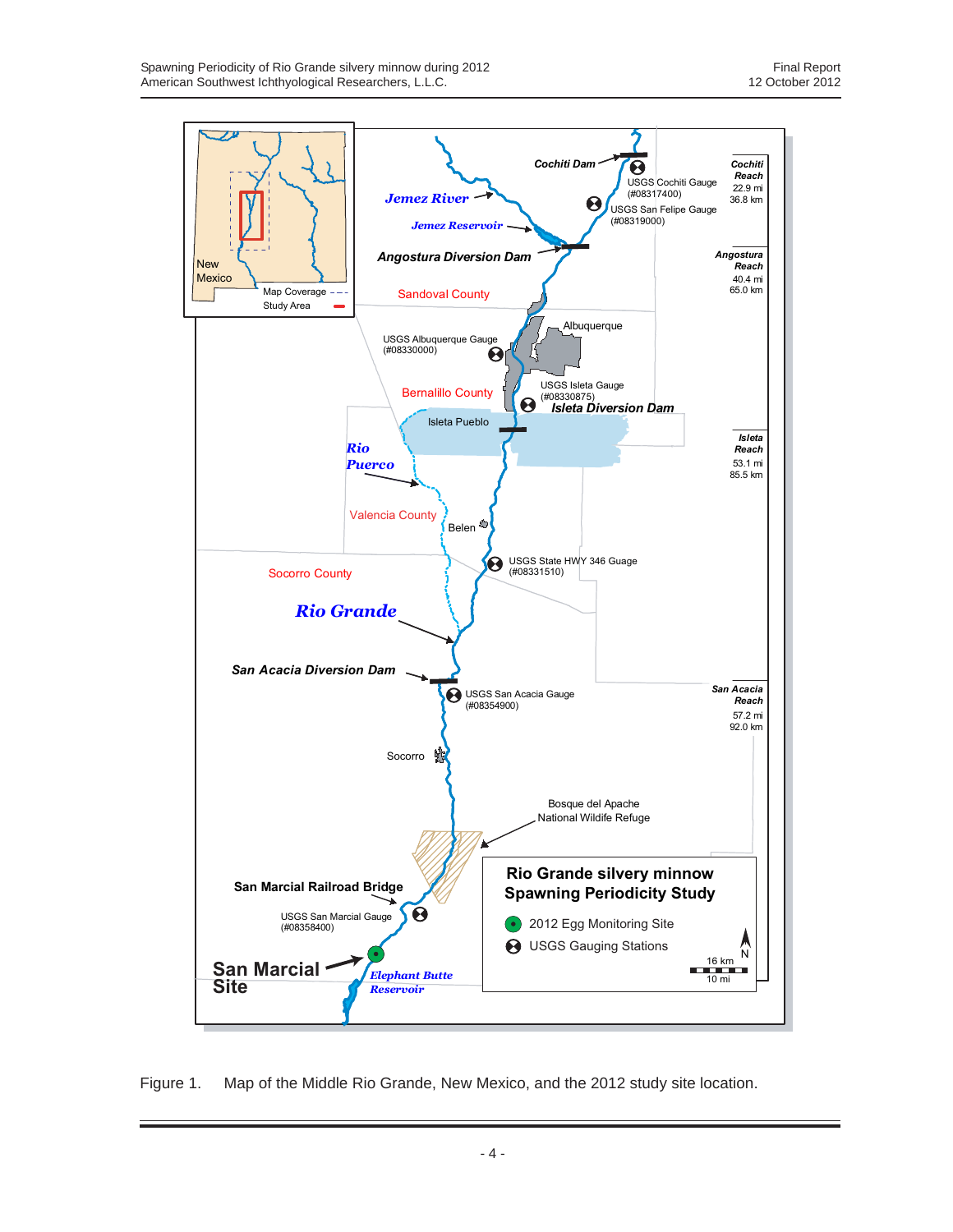

Figure 1. Map of the Middle Rio Grande, New Mexico, and the 2012 study site location.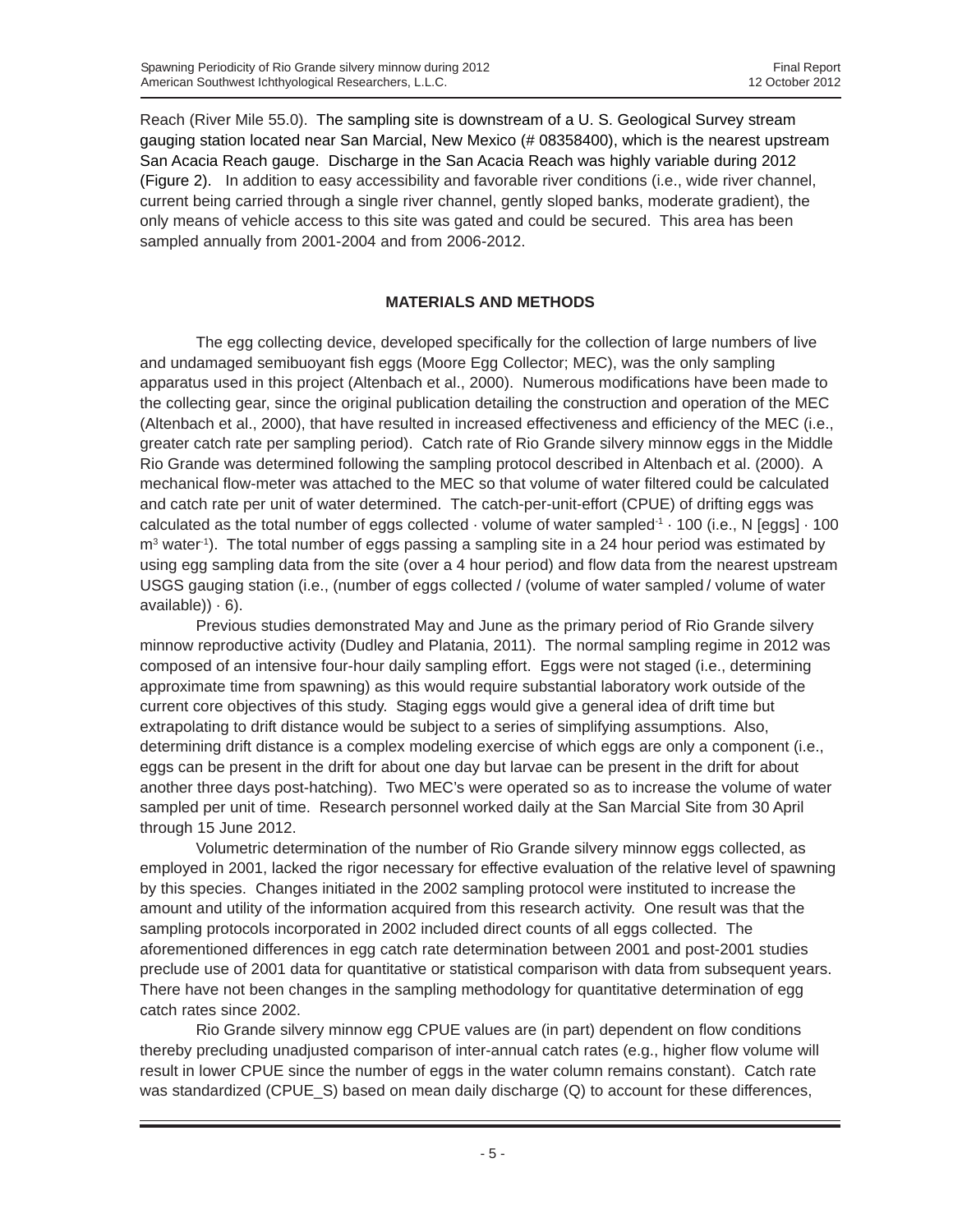Reach (River Mile 55.0). The sampling site is downstream of a U. S. Geological Survey stream gauging station located near San Marcial, New Mexico (# 08358400), which is the nearest upstream San Acacia Reach gauge. Discharge in the San Acacia Reach was highly variable during 2012 (Figure 2). In addition to easy accessibility and favorable river conditions (i.e., wide river channel, current being carried through a single river channel, gently sloped banks, moderate gradient), the only means of vehicle access to this site was gated and could be secured. This area has been sampled annually from 2001-2004 and from 2006-2012.

## **MATERIALS AND METHODS**

The egg collecting device, developed specifically for the collection of large numbers of live and undamaged semibuoyant fish eggs (Moore Egg Collector; MEC), was the only sampling apparatus used in this project (Altenbach et al., 2000). Numerous modifications have been made to the collecting gear, since the original publication detailing the construction and operation of the MEC (Altenbach et al., 2000), that have resulted in increased effectiveness and efficiency of the MEC (i.e., greater catch rate per sampling period). Catch rate of Rio Grande silvery minnow eggs in the Middle Rio Grande was determined following the sampling protocol described in Altenbach et al. (2000). A mechanical flow-meter was attached to the MEC so that volume of water filtered could be calculated and catch rate per unit of water determined. The catch-per-unit-effort (CPUE) of drifting eggs was calculated as the total number of eggs collected  $\cdot$  volume of water sampled $\cdot$   $\cdot$  100 (i.e., N [eggs]  $\cdot$  100  $m<sup>3</sup>$  water<sup>-1</sup>). The total number of eggs passing a sampling site in a 24 hour period was estimated by using egg sampling data from the site (over a 4 hour period) and flow data from the nearest upstream USGS gauging station (i.e., (number of eggs collected / (volume of water sampled / volume of water  $available)$ )  $\cdot$  6).

Previous studies demonstrated May and June as the primary period of Rio Grande silvery minnow reproductive activity (Dudley and Platania, 2011). The normal sampling regime in 2012 was composed of an intensive four-hour daily sampling effort. Eggs were not staged (i.e., determining approximate time from spawning) as this would require substantial laboratory work outside of the current core objectives of this study. Staging eggs would give a general idea of drift time but extrapolating to drift distance would be subject to a series of simplifying assumptions. Also, determining drift distance is a complex modeling exercise of which eggs are only a component (i.e., eggs can be present in the drift for about one day but larvae can be present in the drift for about another three days post-hatching). Two MEC's were operated so as to increase the volume of water sampled per unit of time. Research personnel worked daily at the San Marcial Site from 30 April through 15 June 2012.

Volumetric determination of the number of Rio Grande silvery minnow eggs collected, as employed in 2001, lacked the rigor necessary for effective evaluation of the relative level of spawning by this species. Changes initiated in the 2002 sampling protocol were instituted to increase the amount and utility of the information acquired from this research activity. One result was that the sampling protocols incorporated in 2002 included direct counts of all eggs collected. The aforementioned differences in egg catch rate determination between 2001 and post-2001 studies preclude use of 2001 data for quantitative or statistical comparison with data from subsequent years. There have not been changes in the sampling methodology for quantitative determination of egg catch rates since 2002.

Rio Grande silvery minnow egg CPUE values are (in part) dependent on flow conditions thereby precluding unadjusted comparison of inter-annual catch rates (e.g., higher flow volume will result in lower CPUE since the number of eggs in the water column remains constant). Catch rate was standardized (CPUE\_S) based on mean daily discharge (Q) to account for these differences,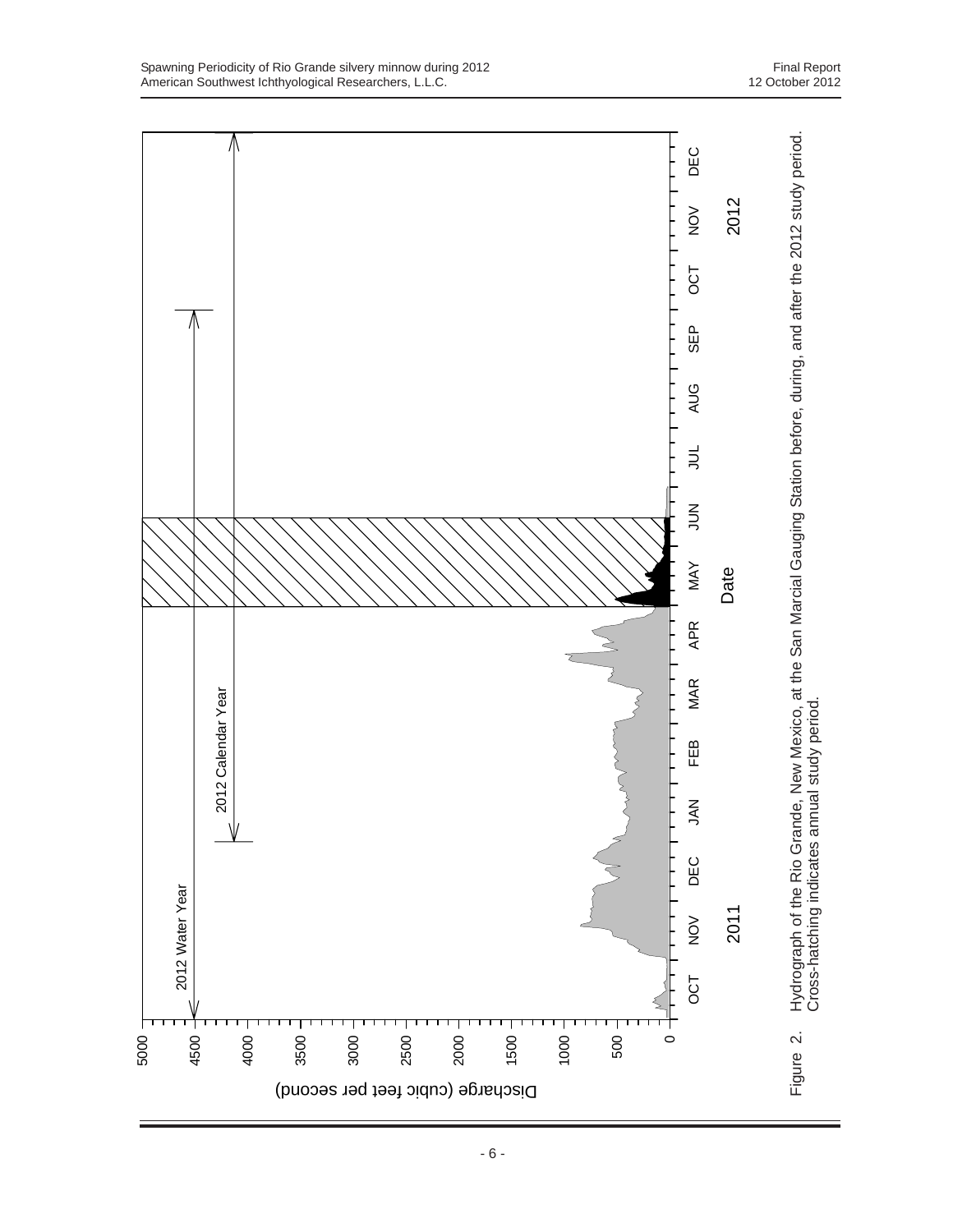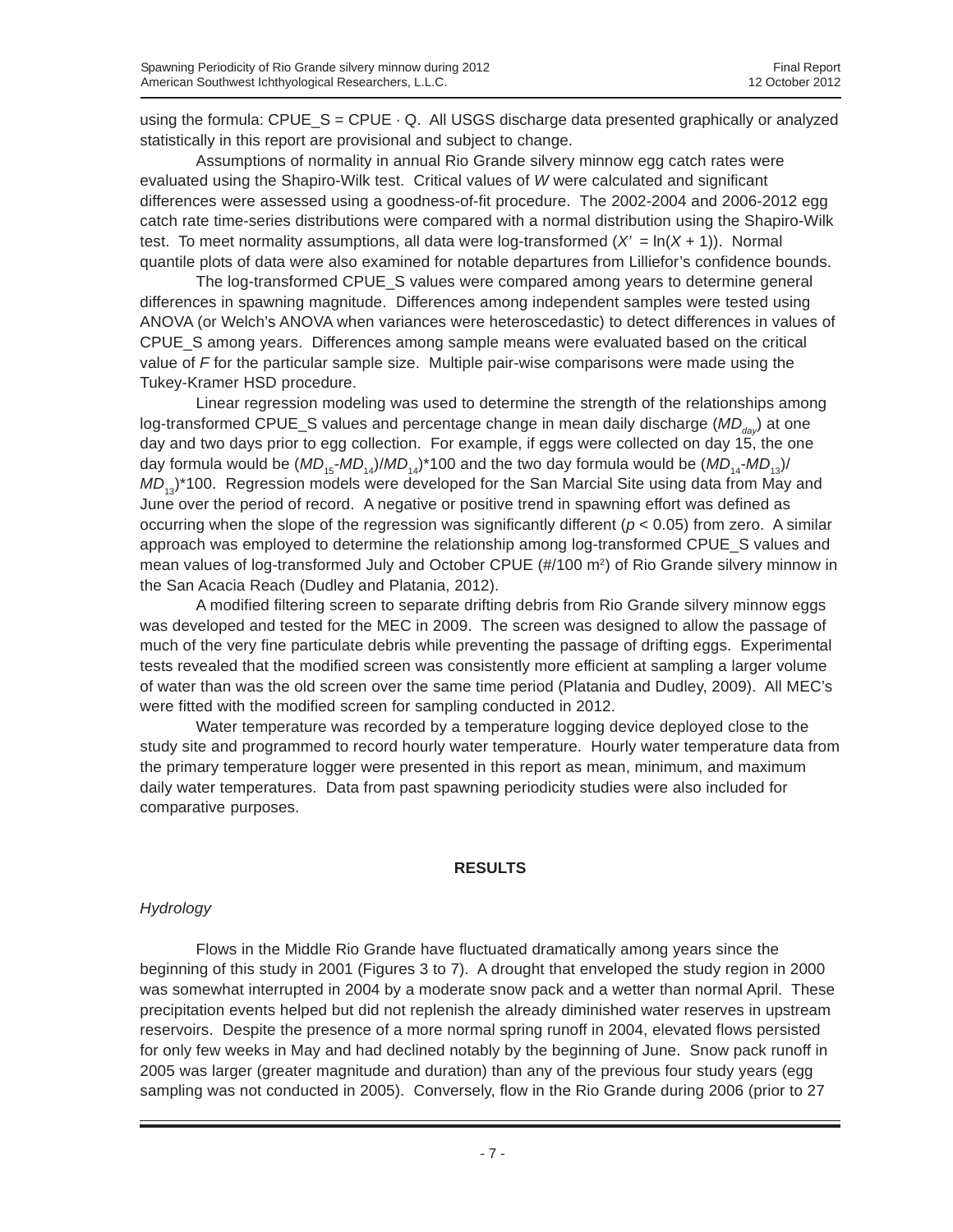using the formula:  $CPUE\_S = CPUE \cdot Q$ . All USGS discharge data presented graphically or analyzed statistically in this report are provisional and subject to change.

Assumptions of normality in annual Rio Grande silvery minnow egg catch rates were evaluated using the Shapiro-Wilk test. Critical values of *W* were calculated and significant differences were assessed using a goodness-of-fit procedure. The 2002-2004 and 2006-2012 egg catch rate time-series distributions were compared with a normal distribution using the Shapiro-Wilk test. To meet normality assumptions, all data were log-transformed  $(X' = \ln(X + 1))$ . Normal quantile plots of data were also examined for notable departures from Lilliefor's confidence bounds.

The log-transformed CPUE\_S values were compared among years to determine general differences in spawning magnitude. Differences among independent samples were tested using ANOVA (or Welch's ANOVA when variances were heteroscedastic) to detect differences in values of CPUE\_S among years. Differences among sample means were evaluated based on the critical value of *F* for the particular sample size. Multiple pair-wise comparisons were made using the Tukey-Kramer HSD procedure.

Linear regression modeling was used to determine the strength of the relationships among log-transformed CPUE\_S values and percentage change in mean daily discharge (*MD<sub>dav</sub>*) at one day and two days prior to egg collection. For example, if eggs were collected on day 15, the one day formula would be  $(MD_{15}-MD_{14})/MD_{14}$ <sup>+</sup>100 and the two day formula would be  $(MD_{14}-MD_{13})/$  $MD_{13}$ <sup>\*</sup>100. Regression models were developed for the San Marcial Site using data from May and June over the period of record. A negative or positive trend in spawning effort was defined as occurring when the slope of the regression was significantly different ( $p < 0.05$ ) from zero. A similar approach was employed to determine the relationship among log-transformed CPUE\_S values and mean values of log-transformed July and October CPUE (#/100 m<sup>2</sup>) of Rio Grande silvery minnow in the San Acacia Reach (Dudley and Platania, 2012).

A modified filtering screen to separate drifting debris from Rio Grande silvery minnow eggs was developed and tested for the MEC in 2009. The screen was designed to allow the passage of much of the very fine particulate debris while preventing the passage of drifting eggs. Experimental tests revealed that the modified screen was consistently more efficient at sampling a larger volume of water than was the old screen over the same time period (Platania and Dudley, 2009). All MEC's were fitted with the modified screen for sampling conducted in 2012.

Water temperature was recorded by a temperature logging device deployed close to the study site and programmed to record hourly water temperature. Hourly water temperature data from the primary temperature logger were presented in this report as mean, minimum, and maximum daily water temperatures. Data from past spawning periodicity studies were also included for comparative purposes.

#### **RESULTS**

### *Hydrology*

Flows in the Middle Rio Grande have fluctuated dramatically among years since the beginning of this study in 2001 (Figures 3 to 7). A drought that enveloped the study region in 2000 was somewhat interrupted in 2004 by a moderate snow pack and a wetter than normal April. These precipitation events helped but did not replenish the already diminished water reserves in upstream reservoirs. Despite the presence of a more normal spring runoff in 2004, elevated flows persisted for only few weeks in May and had declined notably by the beginning of June. Snow pack runoff in 2005 was larger (greater magnitude and duration) than any of the previous four study years (egg sampling was not conducted in 2005). Conversely, flow in the Rio Grande during 2006 (prior to 27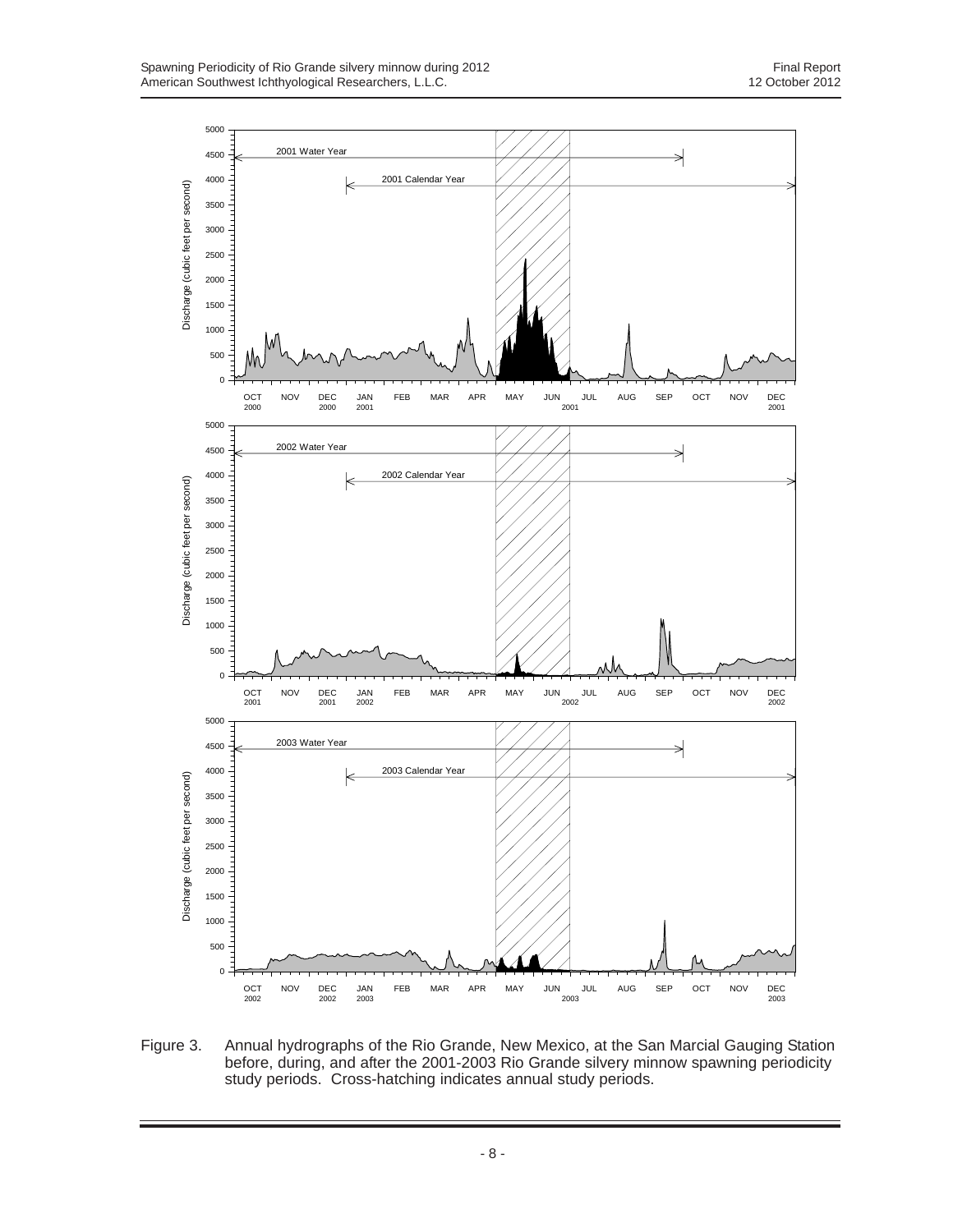

Figure 3. Annual hydrographs of the Rio Grande, New Mexico, at the San Marcial Gauging Station before, during, and after the 2001-2003 Rio Grande silvery minnow spawning periodicity study periods. Cross-hatching indicates annual study periods.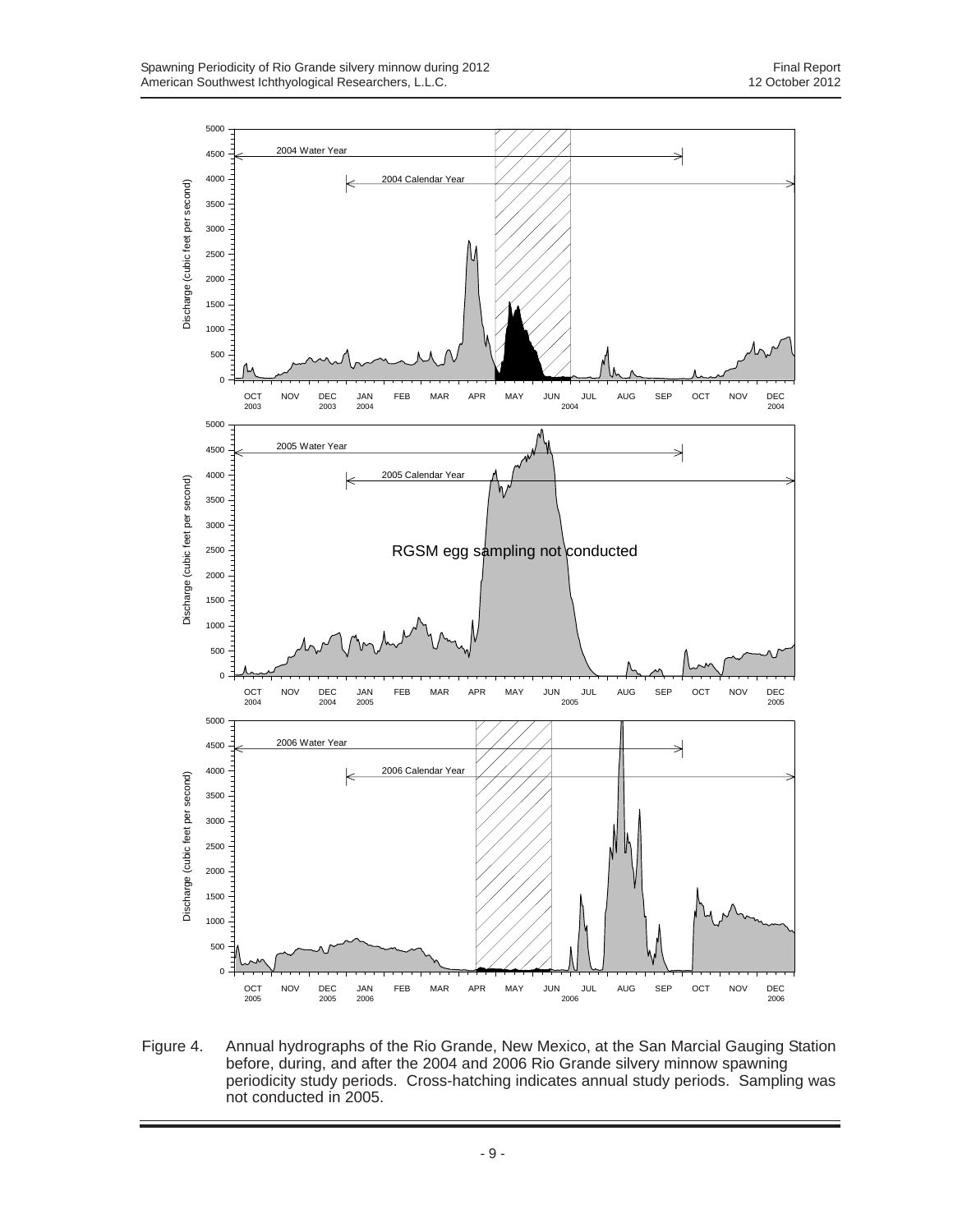

Figure 4. Annual hydrographs of the Rio Grande, New Mexico, at the San Marcial Gauging Station before, during, and after the 2004 and 2006 Rio Grande silvery minnow spawning periodicity study periods. Cross-hatching indicates annual study periods. Sampling was not conducted in 2005.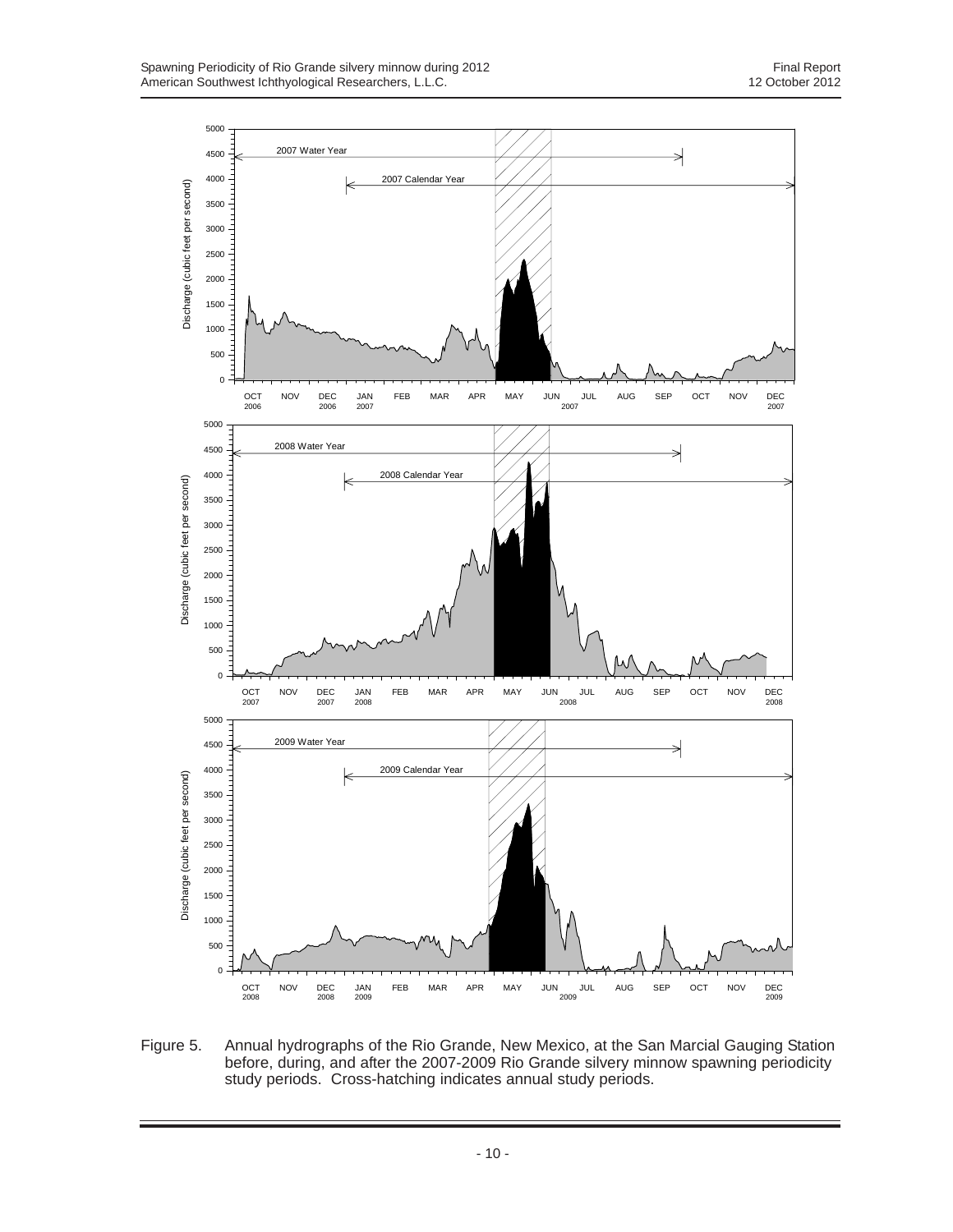

Figure 5. Annual hydrographs of the Rio Grande, New Mexico, at the San Marcial Gauging Station before, during, and after the 2007-2009 Rio Grande silvery minnow spawning periodicity study periods. Cross-hatching indicates annual study periods.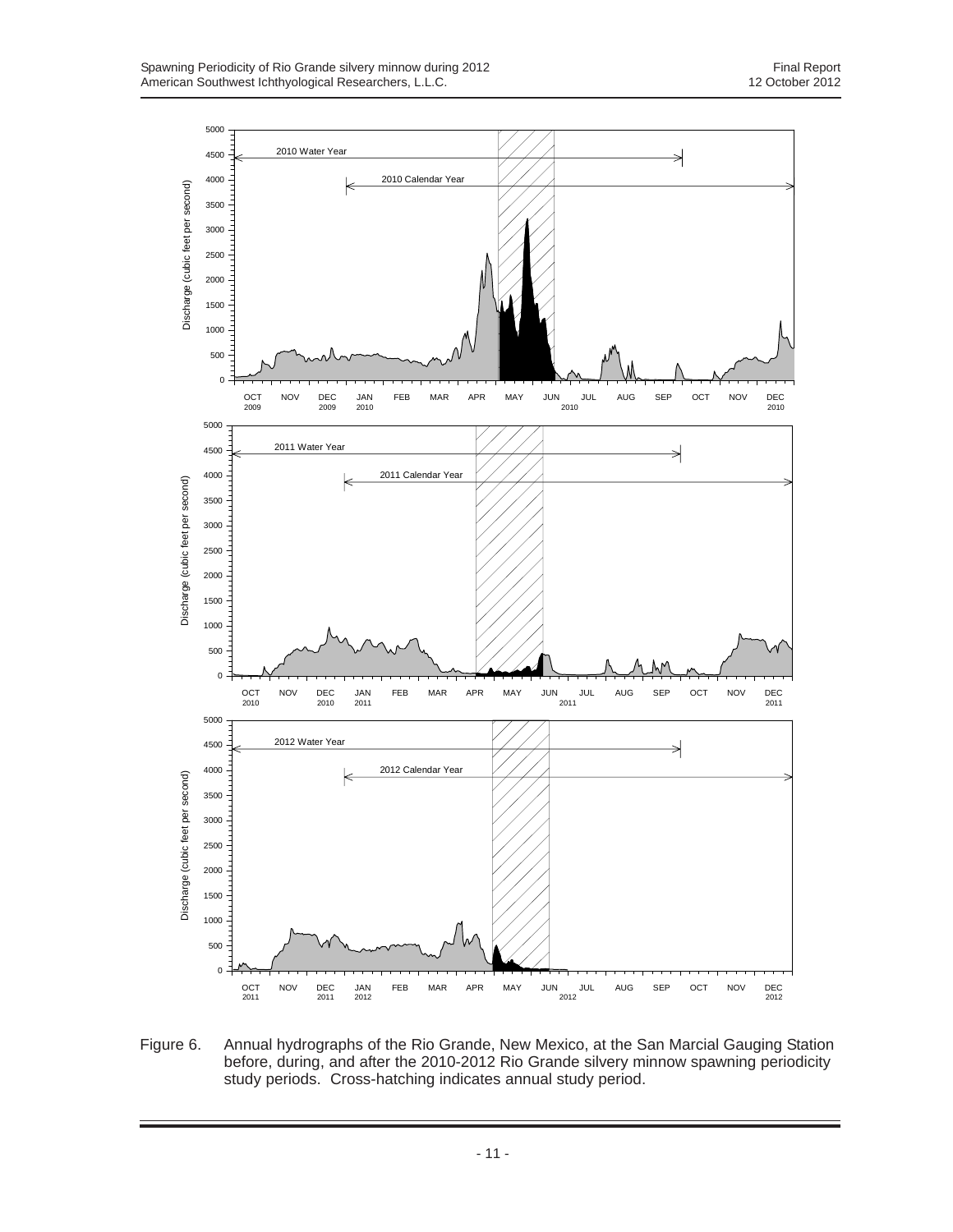

Figure 6. Annual hydrographs of the Rio Grande, New Mexico, at the San Marcial Gauging Station before, during, and after the 2010-2012 Rio Grande silvery minnow spawning periodicity study periods. Cross-hatching indicates annual study period.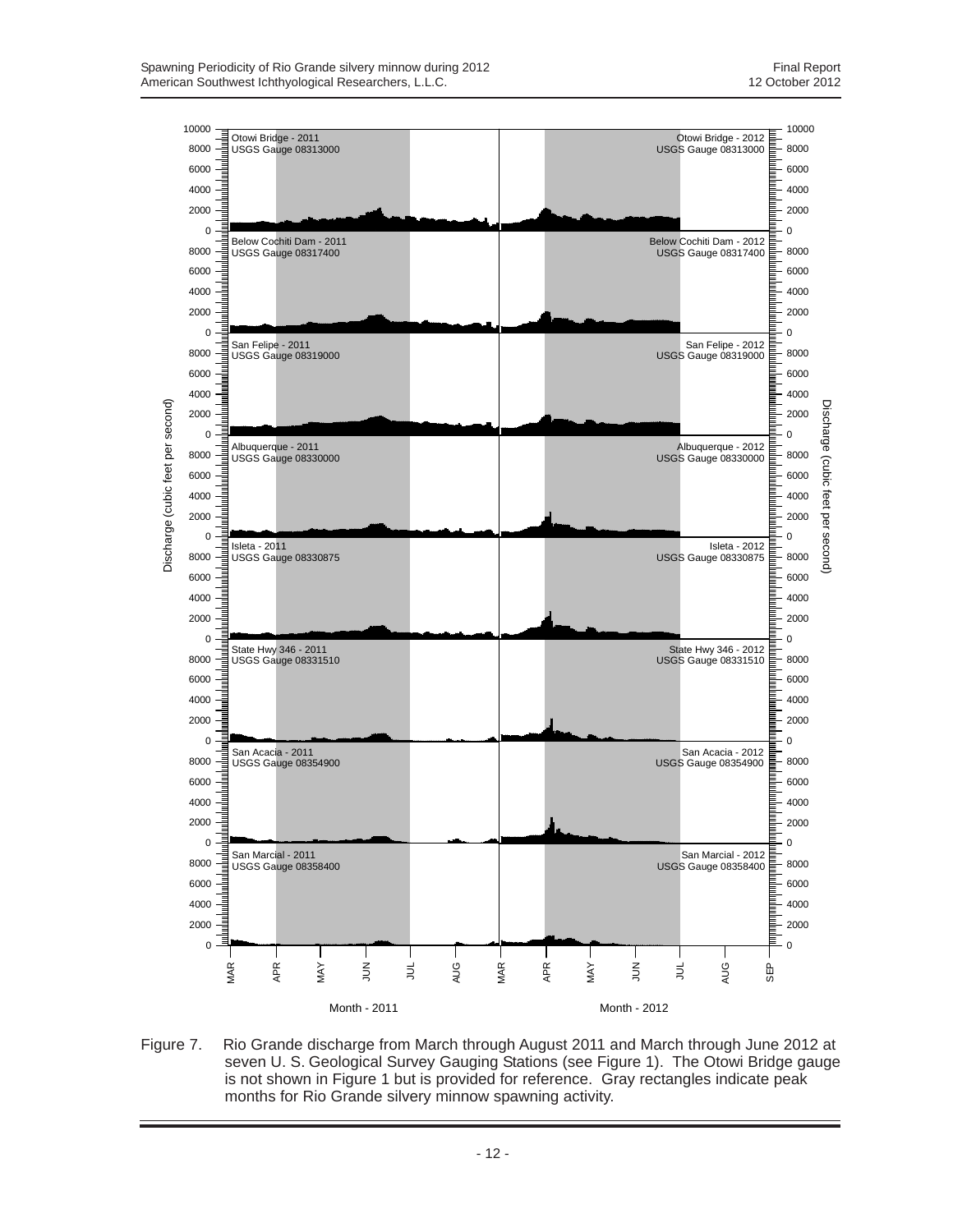

Figure 7. Rio Grande discharge from March through August 2011 and March through June 2012 at seven U. S. Geological Survey Gauging Stations (see Figure 1). The Otowi Bridge gauge is not shown in Figure 1 but is provided for reference. Gray rectangles indicate peak months for Rio Grande silvery minnow spawning activity.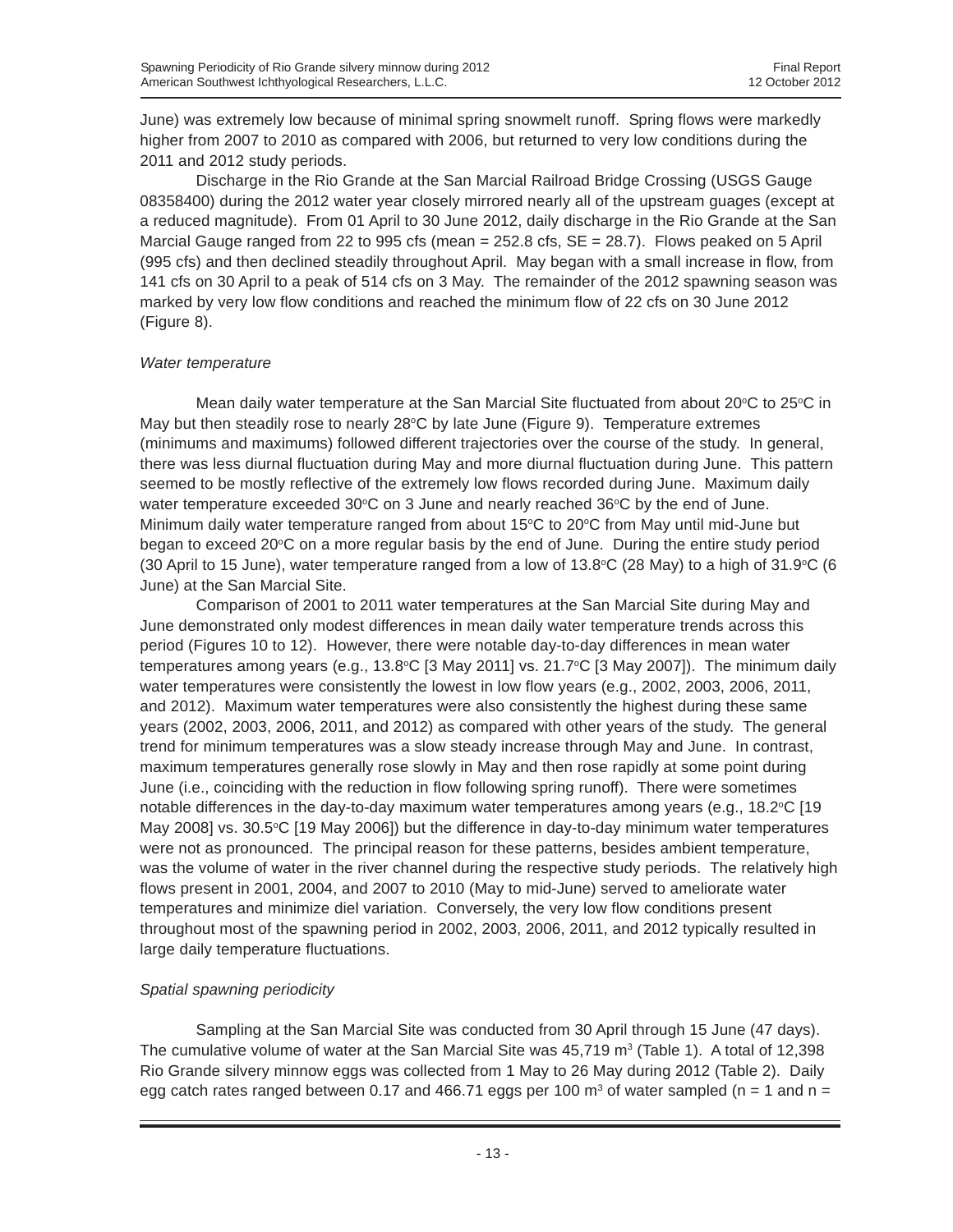June) was extremely low because of minimal spring snowmelt runoff. Spring flows were markedly higher from 2007 to 2010 as compared with 2006, but returned to very low conditions during the 2011 and 2012 study periods.

Discharge in the Rio Grande at the San Marcial Railroad Bridge Crossing (USGS Gauge 08358400) during the 2012 water year closely mirrored nearly all of the upstream guages (except at a reduced magnitude). From 01 April to 30 June 2012, daily discharge in the Rio Grande at the San Marcial Gauge ranged from 22 to 995 cfs (mean  $= 252.8$  cfs,  $SE = 28.7$ ). Flows peaked on 5 April (995 cfs) and then declined steadily throughout April. May began with a small increase in flow, from 141 cfs on 30 April to a peak of 514 cfs on 3 May. The remainder of the 2012 spawning season was marked by very low flow conditions and reached the minimum flow of 22 cfs on 30 June 2012 (Figure 8).

### *Water temperature*

Mean daily water temperature at the San Marcial Site fluctuated from about 20°C to 25°C in May but then steadily rose to nearly 28°C by late June (Figure 9). Temperature extremes (minimums and maximums) followed different trajectories over the course of the study. In general, there was less diurnal fluctuation during May and more diurnal fluctuation during June. This pattern seemed to be mostly reflective of the extremely low flows recorded during June. Maximum daily water temperature exceeded  $30^{\circ}$ C on 3 June and nearly reached  $36^{\circ}$ C by the end of June. Minimum daily water temperature ranged from about 15°C to 20°C from May until mid-June but began to exceed 20°C on a more regular basis by the end of June. During the entire study period (30 April to 15 June), water temperature ranged from a low of 13.8°C (28 May) to a high of 31.9°C (6 June) at the San Marcial Site.

Comparison of 2001 to 2011 water temperatures at the San Marcial Site during May and June demonstrated only modest differences in mean daily water temperature trends across this period (Figures 10 to 12). However, there were notable day-to-day differences in mean water temperatures among years (e.g., 13.8°C [3 May 2011] vs. 21.7°C [3 May 2007]). The minimum daily water temperatures were consistently the lowest in low flow years (e.g., 2002, 2003, 2006, 2011, and 2012). Maximum water temperatures were also consistently the highest during these same years (2002, 2003, 2006, 2011, and 2012) as compared with other years of the study. The general trend for minimum temperatures was a slow steady increase through May and June. In contrast, maximum temperatures generally rose slowly in May and then rose rapidly at some point during June (i.e., coinciding with the reduction in flow following spring runoff). There were sometimes notable differences in the day-to-day maximum water temperatures among years (e.g., 18.2 $\degree$ C [19 May 2008] vs. 30.5°C [19 May 2006]) but the difference in day-to-day minimum water temperatures were not as pronounced. The principal reason for these patterns, besides ambient temperature, was the volume of water in the river channel during the respective study periods. The relatively high flows present in 2001, 2004, and 2007 to 2010 (May to mid-June) served to ameliorate water temperatures and minimize diel variation. Conversely, the very low flow conditions present throughout most of the spawning period in 2002, 2003, 2006, 2011, and 2012 typically resulted in large daily temperature fluctuations.

### *Spatial spawning periodicity*

Sampling at the San Marcial Site was conducted from 30 April through 15 June (47 days). The cumulative volume of water at the San Marcial Site was  $45,719$  m<sup>3</sup> (Table 1). A total of 12,398 Rio Grande silvery minnow eggs was collected from 1 May to 26 May during 2012 (Table 2). Daily egg catch rates ranged between 0.17 and 466.71 eggs per 100 m<sup>3</sup> of water sampled (n = 1 and n =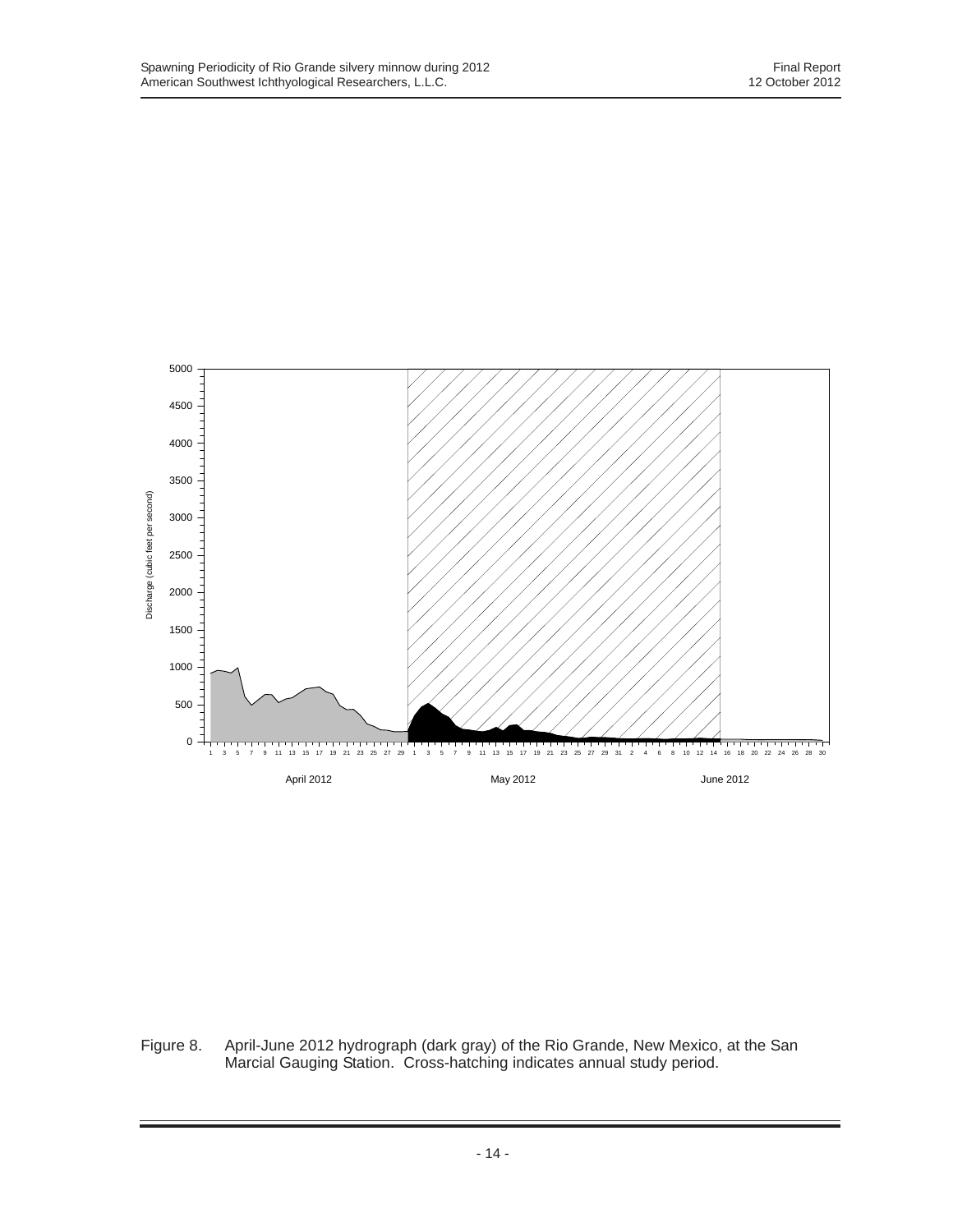

Figure 8. April-June 2012 hydrograph (dark gray) of the Rio Grande, New Mexico, at the San Marcial Gauging Station. Cross-hatching indicates annual study period.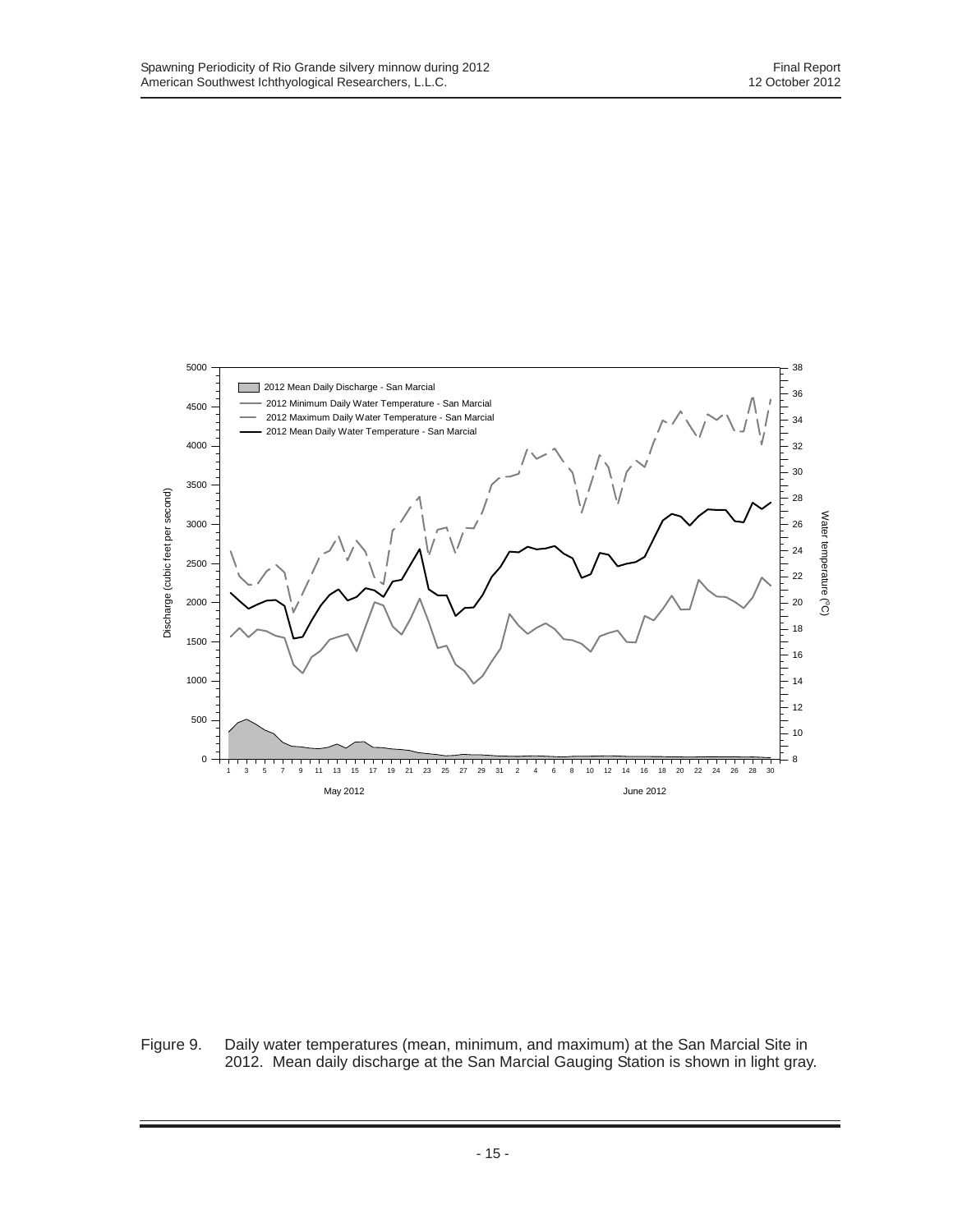

Figure 9. Daily water temperatures (mean, minimum, and maximum) at the San Marcial Site in 2012. Mean daily discharge at the San Marcial Gauging Station is shown in light gray.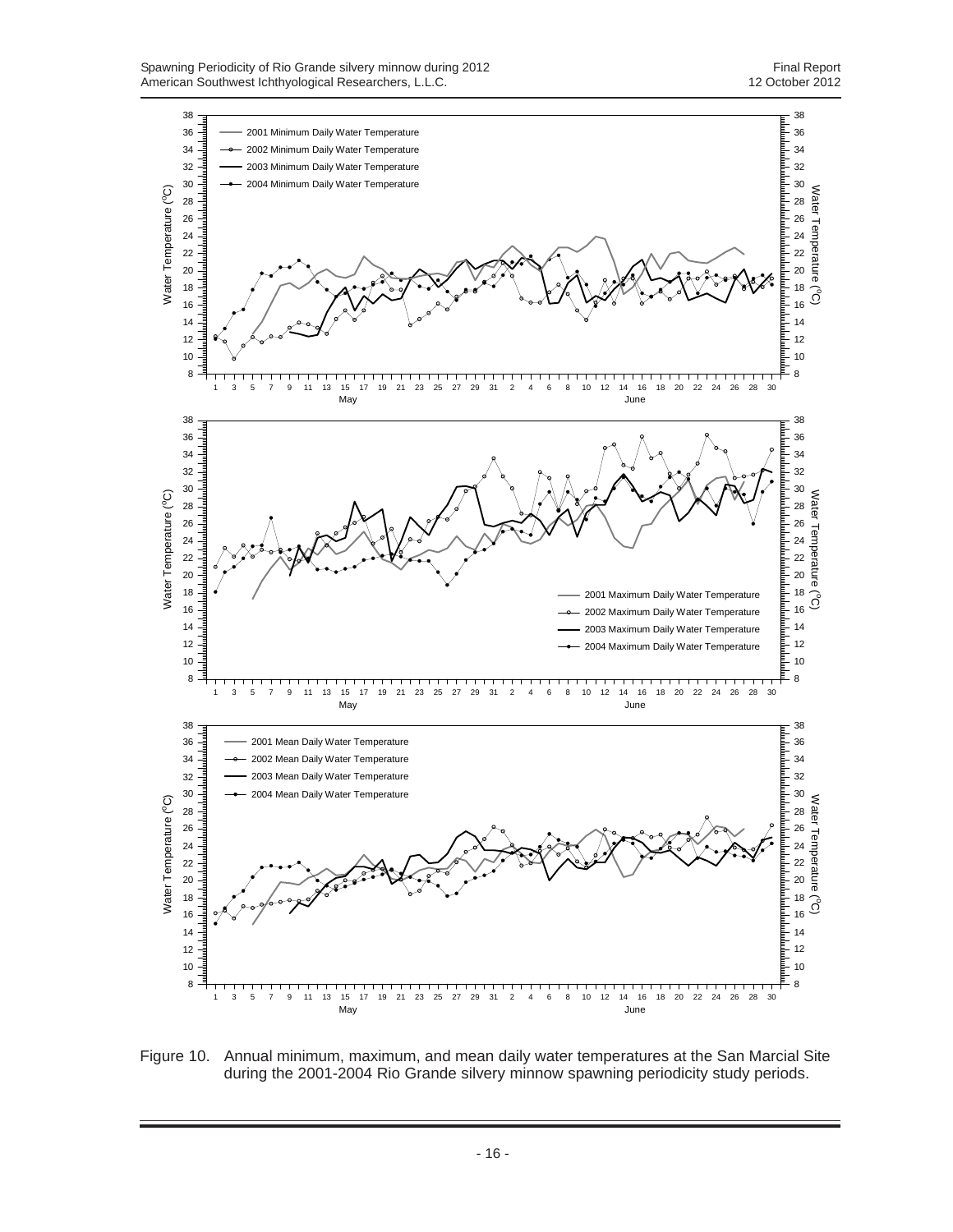

Figure 10. Annual minimum, maximum, and mean daily water temperatures at the San Marcial Site during the 2001-2004 Rio Grande silvery minnow spawning periodicity study periods.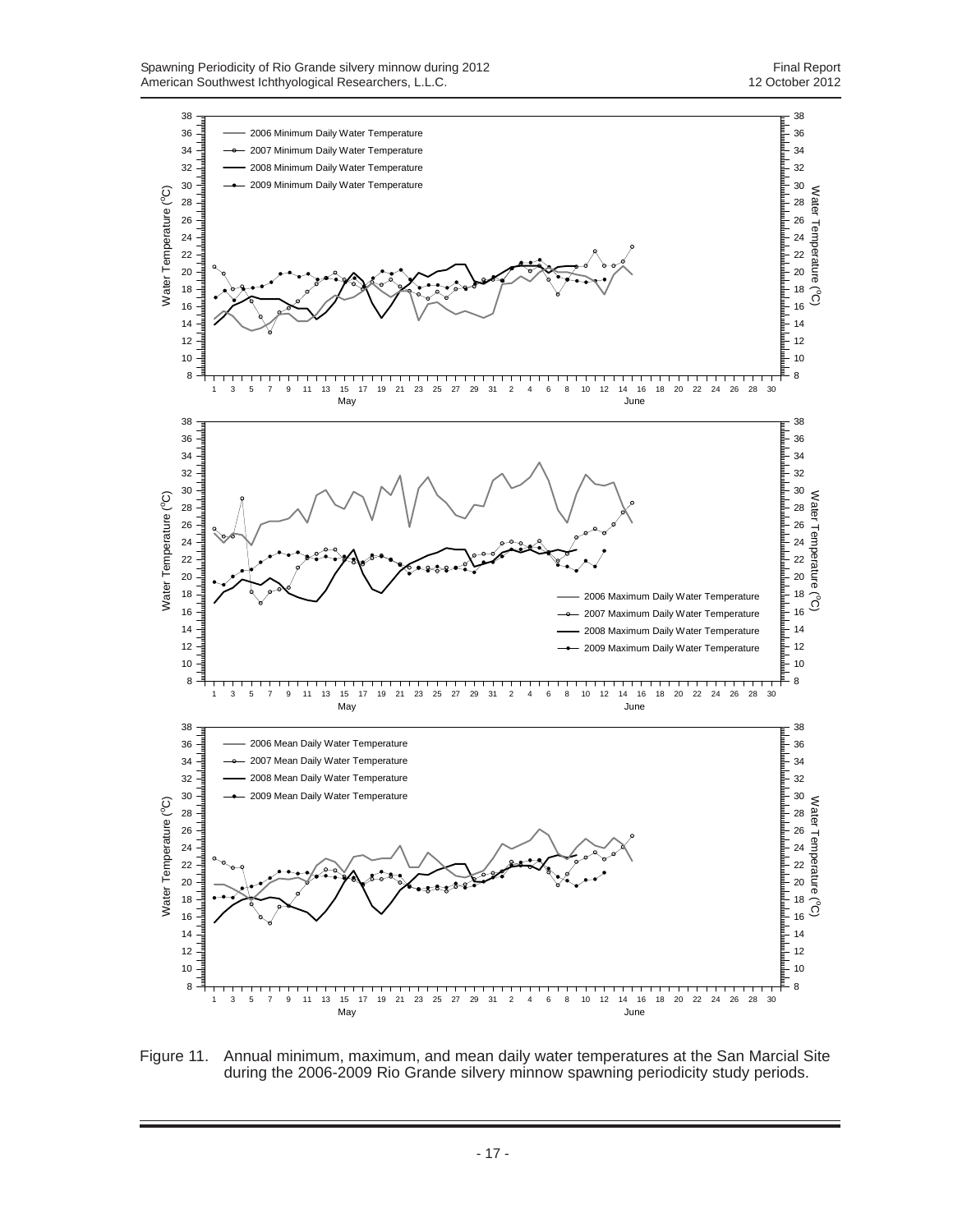

Figure 11. Annual minimum, maximum, and mean daily water temperatures at the San Marcial Site during the 2006-2009 Rio Grande silvery minnow spawning periodicity study periods.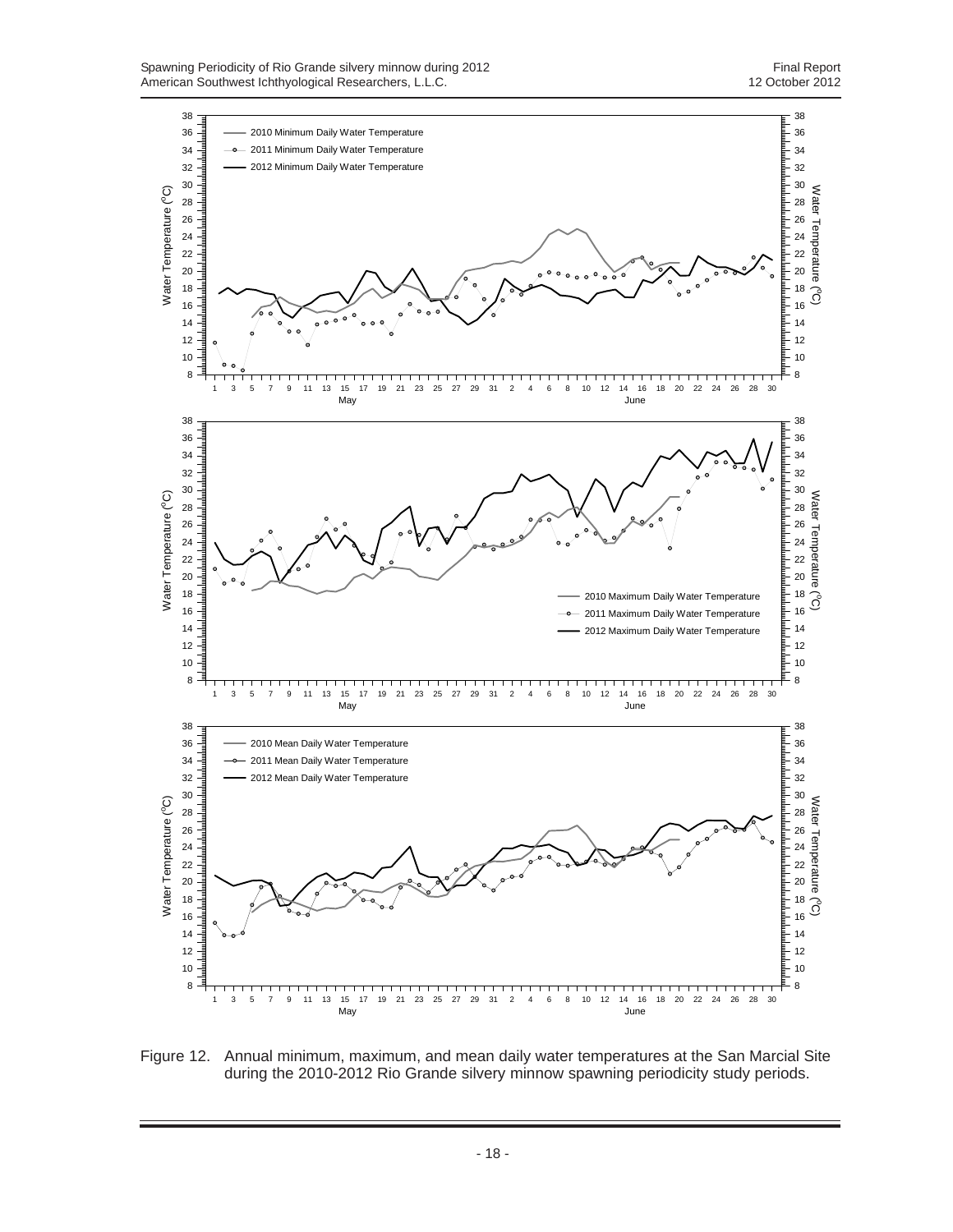

Figure 12. Annual minimum, maximum, and mean daily water temperatures at the San Marcial Site during the 2010-2012 Rio Grande silvery minnow spawning periodicity study periods.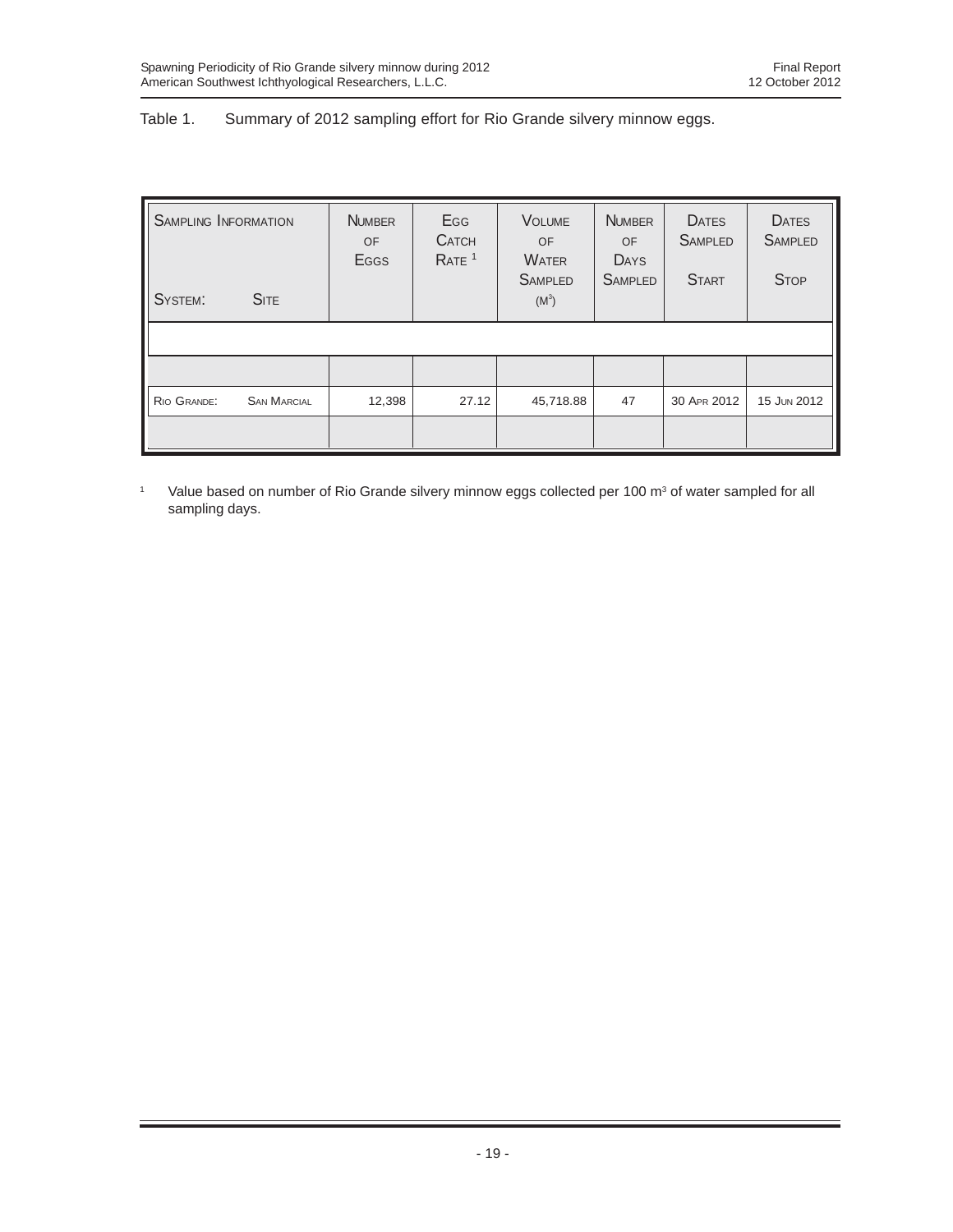## Table 1. Summary of 2012 sampling effort for Rio Grande silvery minnow eggs.

| <b>SAMPLING INFORMATION</b> |                    | <b>NUMBER</b><br>OF<br>Eggs | Egg<br><b>CATCH</b><br>RATE <sup>1</sup> | <b>VOLUME</b><br>OF<br><b>WATER</b><br><b>SAMPLED</b> | <b>NUMBER</b><br>OF<br><b>DAYS</b><br><b>SAMPLED</b> | <b>DATES</b><br><b>SAMPLED</b><br><b>START</b> | <b>DATES</b><br><b>SAMPLED</b><br><b>STOP</b> |
|-----------------------------|--------------------|-----------------------------|------------------------------------------|-------------------------------------------------------|------------------------------------------------------|------------------------------------------------|-----------------------------------------------|
| SYSTEM:                     | <b>SITE</b>        |                             |                                          | $(M^3)$                                               |                                                      |                                                |                                               |
|                             |                    |                             |                                          |                                                       |                                                      |                                                |                                               |
|                             |                    |                             |                                          |                                                       |                                                      |                                                |                                               |
| RIO GRANDE:                 | <b>SAN MARCIAL</b> | 12,398                      | 27.12                                    | 45,718.88                                             | 47                                                   | 30 APR 2012                                    | 15 JUN 2012                                   |
|                             |                    |                             |                                          |                                                       |                                                      |                                                |                                               |

<sup>1</sup> Value based on number of Rio Grande silvery minnow eggs collected per 100 m<sup>3</sup> of water sampled for all sampling days.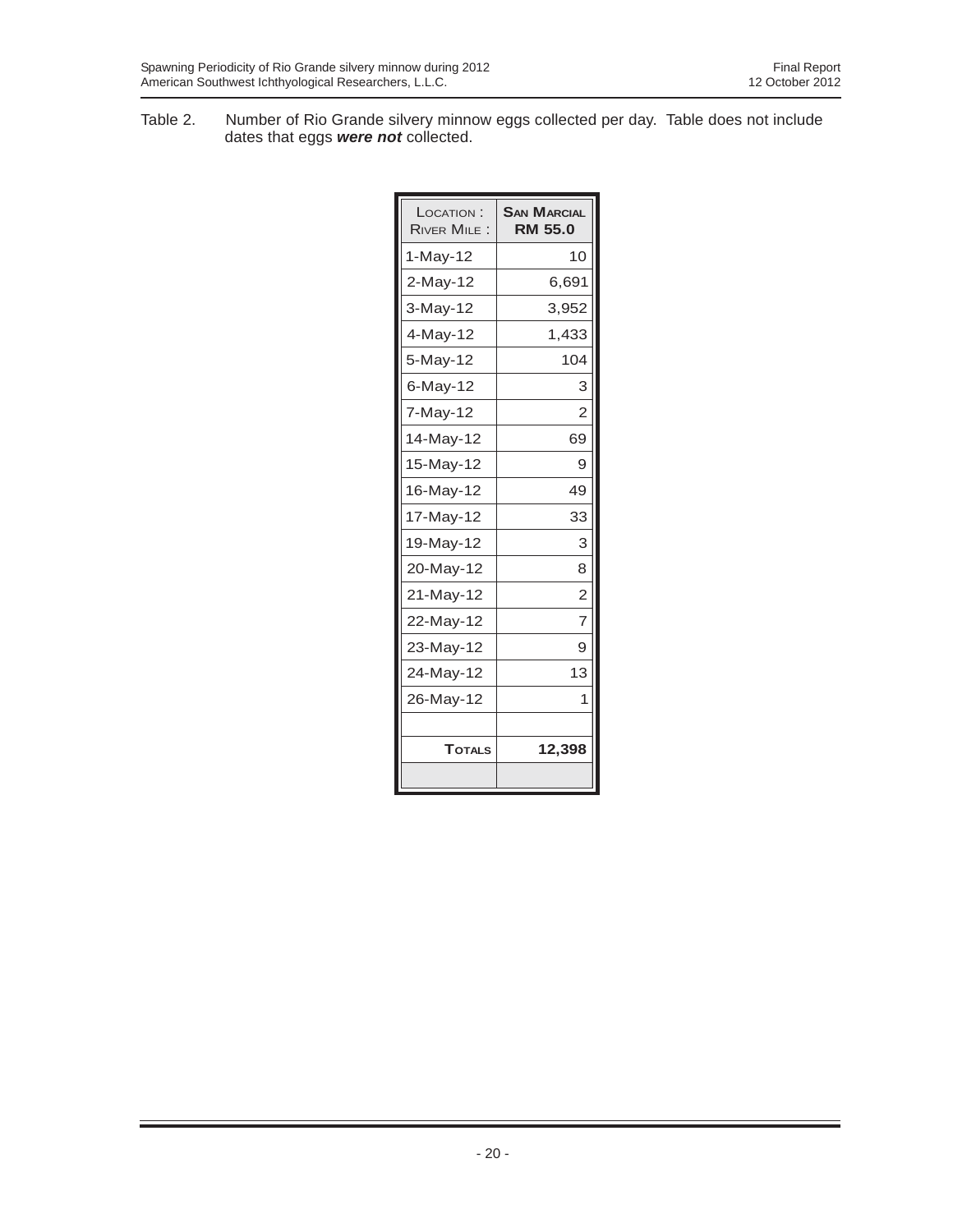Table 2. Number of Rio Grande silvery minnow eggs collected per day. Table does not include dates that eggs *were not* collected.

| LOCATION:<br><b>RIVER MILE:</b> | <b>SAN MARCIAL</b><br><b>RM 55.0</b> |
|---------------------------------|--------------------------------------|
| 1-May-12                        | 10                                   |
| 2-May-12                        | 6,691                                |
| 3-May-12                        | 3,952                                |
| 4-May-12                        | 1,433                                |
| 5-May-12                        | 104                                  |
| 6-May-12                        | 3                                    |
| 7-May-12                        | $\overline{2}$                       |
| 14-May-12                       | 69                                   |
| 15-May-12                       | 9                                    |
| 16-May-12                       | 49                                   |
| 17-May-12                       | 33                                   |
| 19-May-12                       | 3                                    |
| 20-May-12                       | 8                                    |
| 21-May-12                       | $\overline{2}$                       |
| 22-May-12                       | 7                                    |
| 23-May-12                       | 9                                    |
| 24-May-12                       | 13                                   |
| 26-May-12                       | 1                                    |
|                                 |                                      |
| <b>TOTALS</b>                   | 12,398                               |
|                                 |                                      |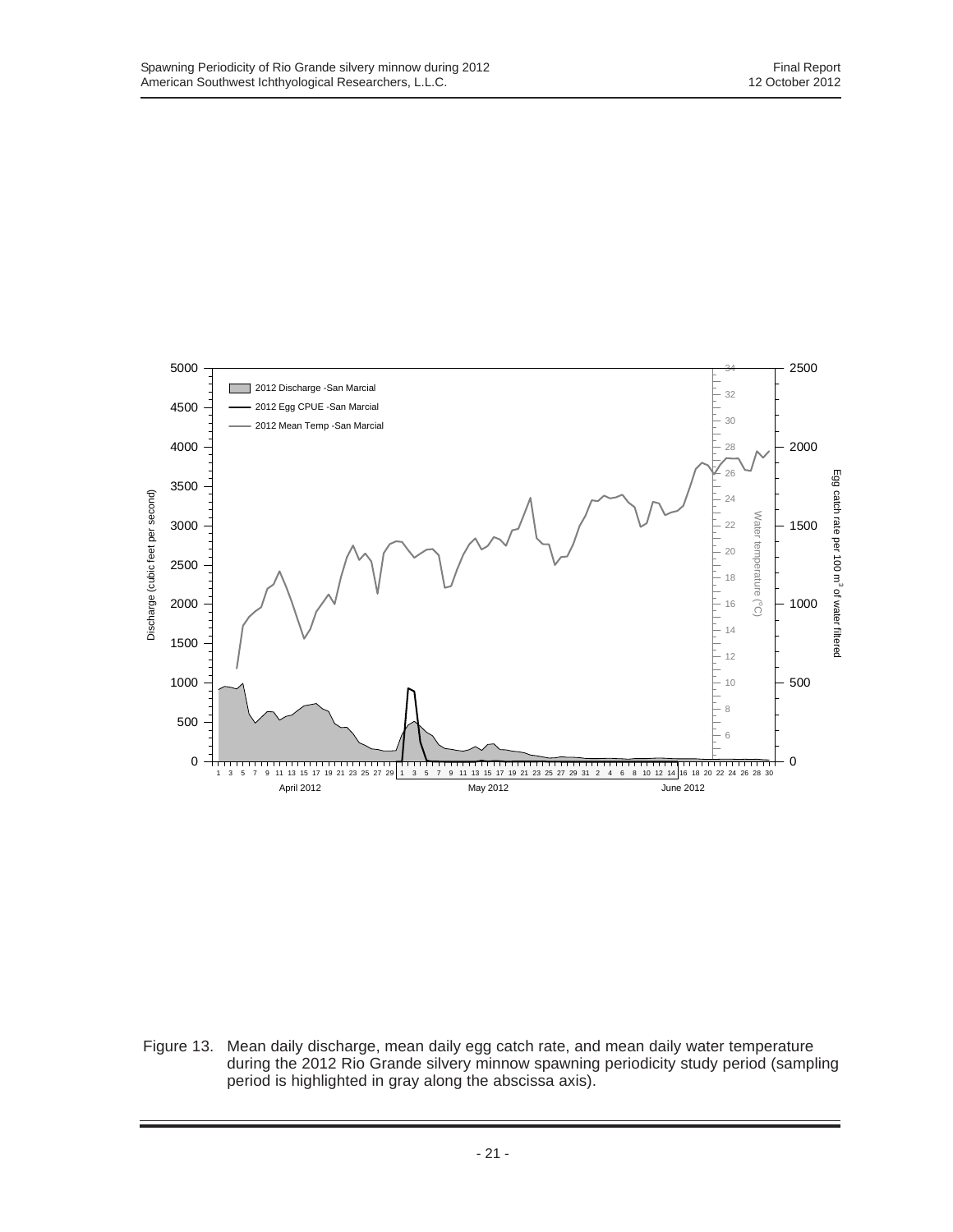

Figure 13. Mean daily discharge, mean daily egg catch rate, and mean daily water temperature during the 2012 Rio Grande silvery minnow spawning periodicity study period (sampling period is highlighted in gray along the abscissa axis).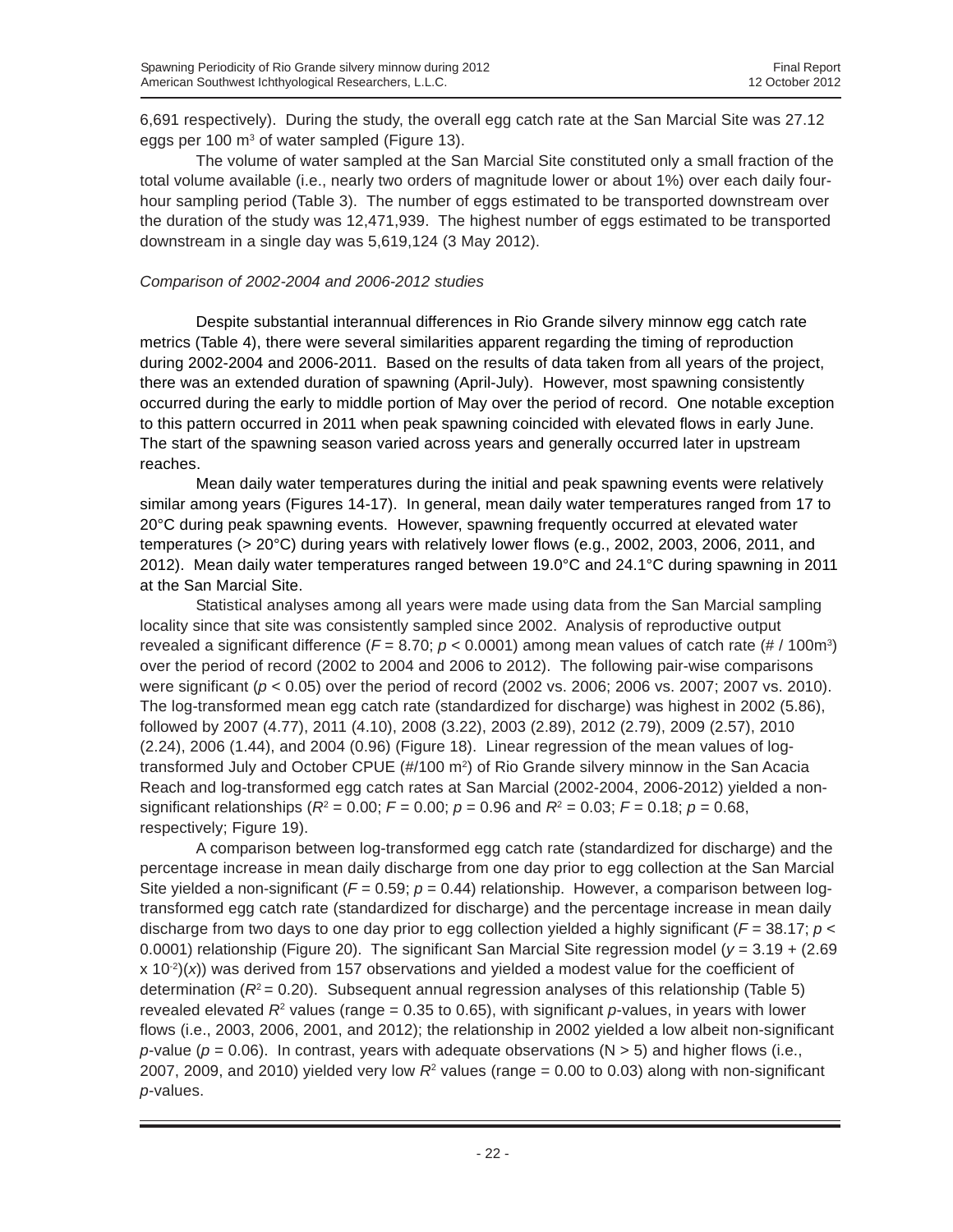6,691 respectively). During the study, the overall egg catch rate at the San Marcial Site was 27.12 eggs per 100  $m<sup>3</sup>$  of water sampled (Figure 13).

The volume of water sampled at the San Marcial Site constituted only a small fraction of the total volume available (i.e., nearly two orders of magnitude lower or about 1%) over each daily fourhour sampling period (Table 3). The number of eggs estimated to be transported downstream over the duration of the study was 12,471,939. The highest number of eggs estimated to be transported downstream in a single day was 5,619,124 (3 May 2012).

#### *Comparison of 2002-2004 and 2006-2012 studies*

Despite substantial interannual differences in Rio Grande silvery minnow egg catch rate metrics (Table 4), there were several similarities apparent regarding the timing of reproduction during 2002-2004 and 2006-2011. Based on the results of data taken from all years of the project, there was an extended duration of spawning (April-July). However, most spawning consistently occurred during the early to middle portion of May over the period of record. One notable exception to this pattern occurred in 2011 when peak spawning coincided with elevated flows in early June. The start of the spawning season varied across years and generally occurred later in upstream reaches.

Mean daily water temperatures during the initial and peak spawning events were relatively similar among years (Figures 14-17). In general, mean daily water temperatures ranged from 17 to 20°C during peak spawning events. However, spawning frequently occurred at elevated water temperatures (> 20°C) during years with relatively lower flows (e.g., 2002, 2003, 2006, 2011, and 2012). Mean daily water temperatures ranged between 19.0°C and 24.1°C during spawning in 2011 at the San Marcial Site.

Statistical analyses among all years were made using data from the San Marcial sampling locality since that site was consistently sampled since 2002. Analysis of reproductive output revealed a significant difference (*F* = 8.70; *p* < 0.0001) among mean values of catch rate (# / 100m3 ) over the period of record (2002 to 2004 and 2006 to 2012). The following pair-wise comparisons were significant (*p* < 0.05) over the period of record (2002 vs. 2006; 2006 vs. 2007; 2007 vs. 2010). The log-transformed mean egg catch rate (standardized for discharge) was highest in 2002 (5.86), followed by 2007 (4.77), 2011 (4.10), 2008 (3.22), 2003 (2.89), 2012 (2.79), 2009 (2.57), 2010 (2.24), 2006 (1.44), and 2004 (0.96) (Figure 18). Linear regression of the mean values of logtransformed July and October CPUE (#/100 m<sup>2</sup>) of Rio Grande silvery minnow in the San Acacia Reach and log-transformed egg catch rates at San Marcial (2002-2004, 2006-2012) yielded a nonsignificant relationships ( $R^2 = 0.00$ ;  $F = 0.00$ ;  $p = 0.96$  and  $R^2 = 0.03$ ;  $F = 0.18$ ;  $p = 0.68$ , respectively; Figure 19).

A comparison between log-transformed egg catch rate (standardized for discharge) and the percentage increase in mean daily discharge from one day prior to egg collection at the San Marcial Site yielded a non-significant ( $F = 0.59$ ;  $p = 0.44$ ) relationship. However, a comparison between logtransformed egg catch rate (standardized for discharge) and the percentage increase in mean daily discharge from two days to one day prior to egg collection yielded a highly significant ( $F = 38.17$ ;  $p <$ 0.0001) relationship (Figure 20). The significant San Marcial Site regression model ( $y = 3.19 + (2.69)$ x 10-2)(*x*)) was derived from 157 observations and yielded a modest value for the coefficient of determination ( $R^2$  = 0.20). Subsequent annual regression analyses of this relationship (Table 5) revealed elevated  $R^2$  values (range = 0.35 to 0.65), with significant *p*-values, in years with lower flows (i.e., 2003, 2006, 2001, and 2012); the relationship in 2002 yielded a low albeit non-significant *p*-value ( $p = 0.06$ ). In contrast, years with adequate observations ( $N > 5$ ) and higher flows (i.e., 2007, 2009, and 2010) yielded very low  $R<sup>2</sup>$  values (range = 0.00 to 0.03) along with non-significant *p*-values.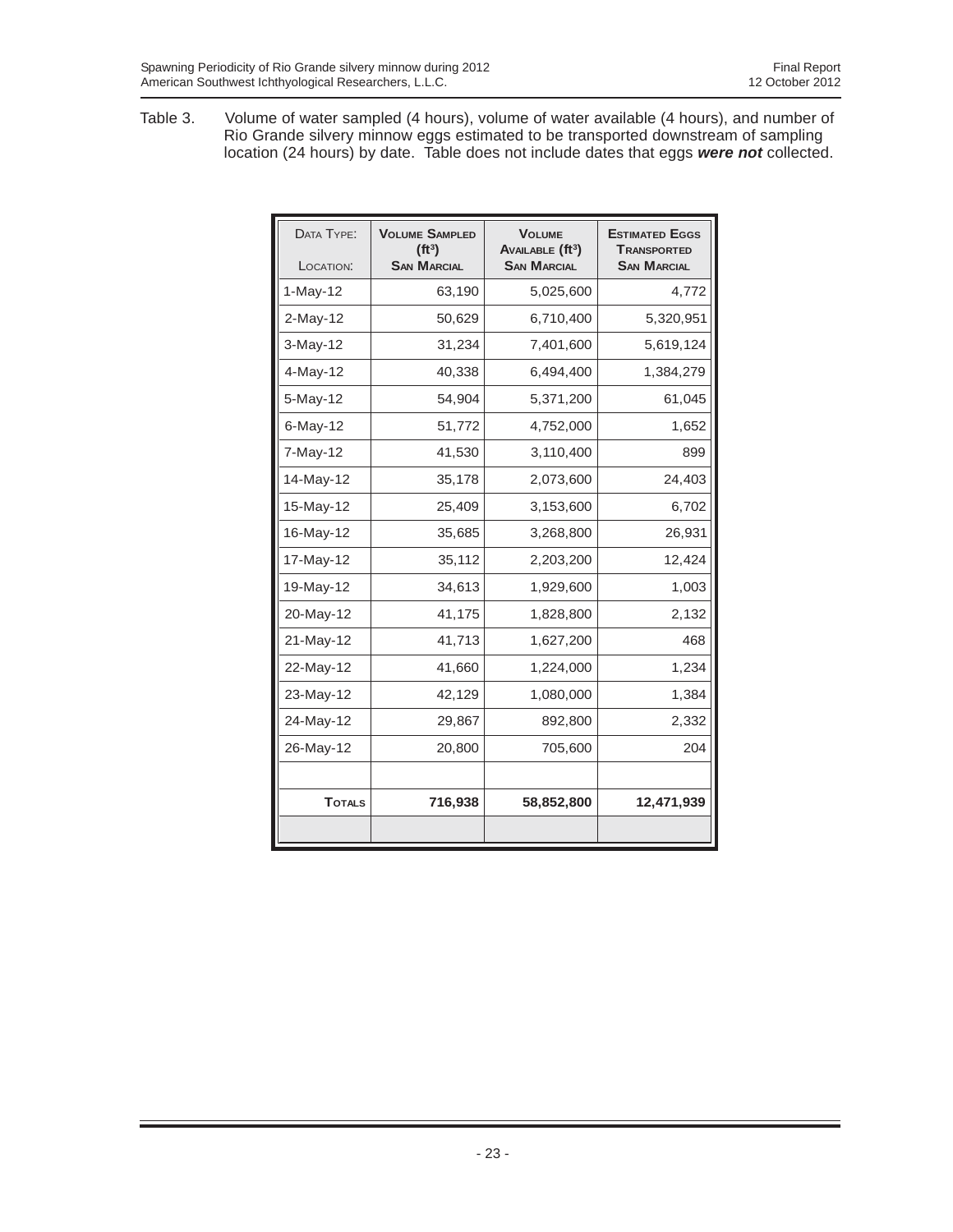Table 3. Volume of water sampled (4 hours), volume of water available (4 hours), and number of Rio Grande silvery minnow eggs estimated to be transported downstream of sampling location (24 hours) by date. Table does not include dates that eggs *were not* collected.

| DATA TYPE:<br>LOCATION: | <b>VOLUME SAMPLED</b><br>(ft <sup>3</sup> )<br><b>SAN MARCIAL</b> | <b>VOLUME</b><br>AVAILABLE (ft <sup>3</sup> )<br><b>SAN MARCIAL</b> | <b>ESTIMATED EGGS</b><br><b>TRANSPORTED</b><br><b>SAN MARCIAL</b> |
|-------------------------|-------------------------------------------------------------------|---------------------------------------------------------------------|-------------------------------------------------------------------|
| 1-May-12                | 63,190                                                            | 5,025,600                                                           | 4,772                                                             |
| 2-May-12                | 50,629                                                            | 6,710,400                                                           | 5,320,951                                                         |
| $3-May-12$              | 31,234                                                            | 7,401,600                                                           | 5,619,124                                                         |
| 4-May-12                | 40,338                                                            | 6,494,400                                                           | 1,384,279                                                         |
| 5-May-12                | 54,904                                                            | 5,371,200                                                           | 61,045                                                            |
| $6$ -May-12             | 51,772                                                            | 4,752,000                                                           | 1,652                                                             |
| 7-May-12                | 41,530                                                            | 3,110,400                                                           | 899                                                               |
| 14-May-12               | 35,178                                                            | 2,073,600                                                           | 24,403                                                            |
| 15-May-12               | 25,409                                                            | 3,153,600                                                           | 6,702                                                             |
| 16-May-12               | 35,685                                                            | 3,268,800                                                           | 26,931                                                            |
| 17-May-12               | 35,112                                                            | 2,203,200                                                           | 12,424                                                            |
| 19-May-12               | 34,613                                                            | 1,929,600                                                           | 1,003                                                             |
| 20-May-12               | 41,175                                                            | 1,828,800                                                           | 2,132                                                             |
| 21-May-12               | 41,713                                                            | 1,627,200                                                           | 468                                                               |
| 22-May-12               | 41,660                                                            | 1,224,000                                                           | 1,234                                                             |
| 23-May-12               | 42,129                                                            | 1,080,000                                                           | 1,384                                                             |
| 24-May-12               | 29,867                                                            | 892,800                                                             | 2,332                                                             |
| 26-May-12               | 20,800                                                            | 705,600                                                             | 204                                                               |
|                         |                                                                   |                                                                     |                                                                   |
| <b>TOTALS</b>           | 716,938                                                           | 58,852,800                                                          | 12,471,939                                                        |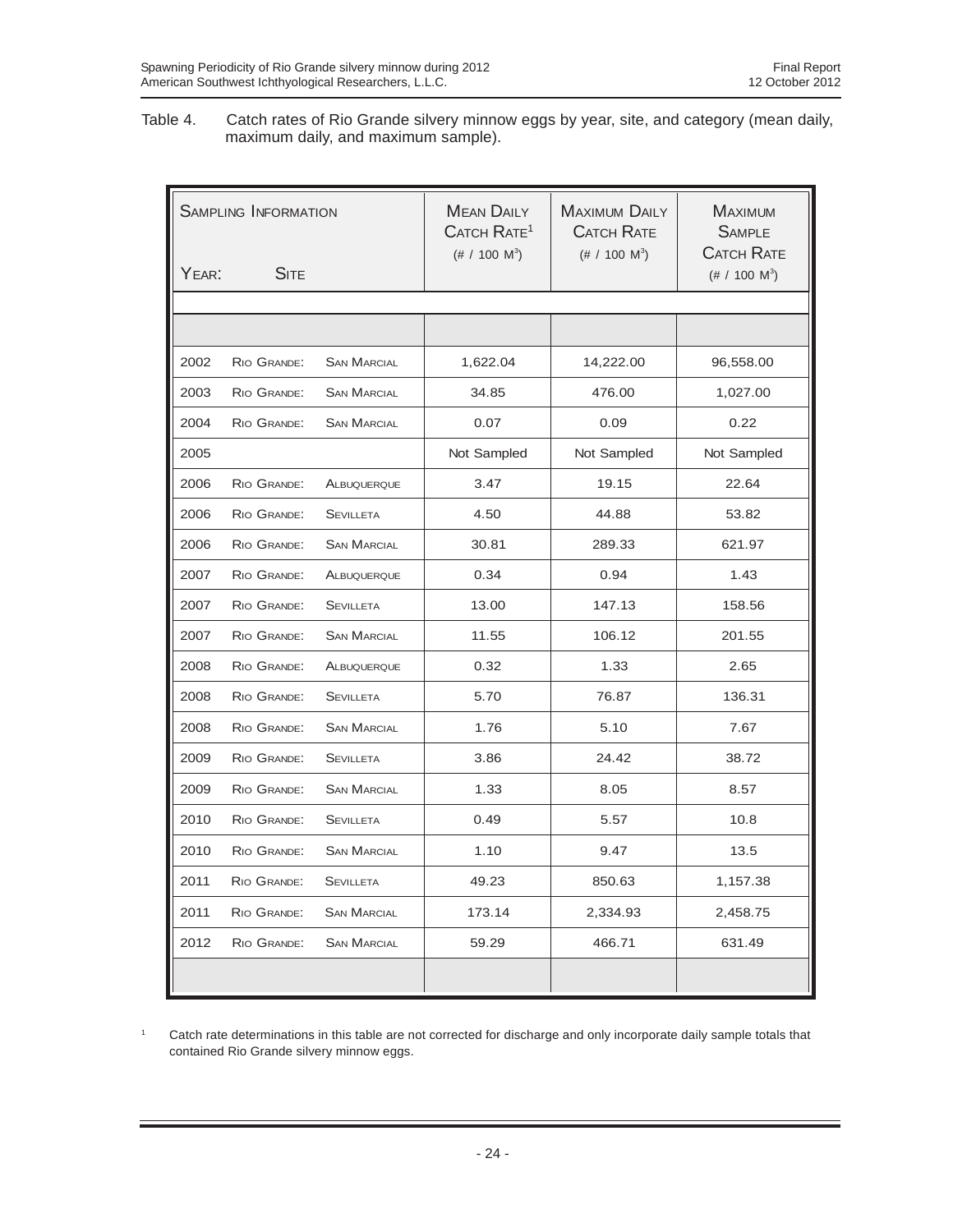Table 4. Catch rates of Rio Grande silvery minnow eggs by year, site, and category (mean daily, maximum daily, and maximum sample).

| <b>SAMPLING INFORMATION</b> |                               |                    | <b>MEAN DAILY</b><br>CATCH RATE <sup>1</sup><br>$(\# / 100 \text{ M}^3)$ | <b>MAXIMUM DAILY</b><br><b>CATCH RATE</b><br>$(\# / 100 \text{ M}^3)$ | <b>MAXIMUM</b><br><b>SAMPLE</b><br><b>CATCH RATE</b> |
|-----------------------------|-------------------------------|--------------------|--------------------------------------------------------------------------|-----------------------------------------------------------------------|------------------------------------------------------|
| YEAR:                       | $\mathsf{S}\text{\text{ITE}}$ |                    |                                                                          |                                                                       | $(\# / 100 \text{ M}^3)$                             |
|                             |                               |                    |                                                                          |                                                                       |                                                      |
|                             |                               |                    |                                                                          |                                                                       |                                                      |
| 2002                        | RIO GRANDE:                   | <b>SAN MARCIAL</b> | 1,622.04                                                                 | 14,222.00                                                             | 96,558.00                                            |
| 2003                        | RIO GRANDE:                   | <b>SAN MARCIAL</b> | 34.85                                                                    | 476.00                                                                | 1,027.00                                             |
| 2004                        | RIO GRANDE:                   | <b>SAN MARCIAL</b> | 0.07                                                                     | 0.09                                                                  | 0.22                                                 |
| 2005                        |                               |                    | Not Sampled                                                              | Not Sampled                                                           | Not Sampled                                          |
| 2006                        | RIO GRANDE:                   | ALBUQUERQUE        | 3.47                                                                     | 19.15                                                                 | 22.64                                                |
| 2006                        | RIO GRANDE:                   | <b>SEVILLETA</b>   | 4.50                                                                     | 44.88                                                                 | 53.82                                                |
| 2006                        | RIO GRANDE:                   | <b>SAN MARCIAL</b> | 30.81                                                                    | 289.33                                                                | 621.97                                               |
| 2007                        | RIO GRANDE:                   | ALBUQUERQUE        | 0.34                                                                     | 0.94                                                                  | 1.43                                                 |
| 2007                        | RIO GRANDE:                   | <b>SEVILLETA</b>   | 13.00                                                                    | 147.13                                                                | 158.56                                               |
| 2007                        | RIO GRANDE:                   | <b>SAN MARCIAL</b> | 11.55                                                                    | 106.12                                                                | 201.55                                               |
| 2008                        | RIO GRANDE:                   | ALBUQUERQUE        | 0.32                                                                     | 1.33                                                                  | 2.65                                                 |
| 2008                        | RIO GRANDE:                   | <b>SEVILLETA</b>   | 5.70                                                                     | 76.87                                                                 | 136.31                                               |
| 2008                        | RIO GRANDE:                   | <b>SAN MARCIAL</b> | 1.76                                                                     | 5.10                                                                  | 7.67                                                 |
| 2009                        | RIO GRANDE:                   | <b>SEVILLETA</b>   | 3.86                                                                     | 24.42                                                                 | 38.72                                                |
| 2009                        | RIO GRANDE:                   | <b>SAN MARCIAL</b> | 1.33                                                                     | 8.05                                                                  | 8.57                                                 |
| 2010                        | RIO GRANDE:                   | <b>SEVILLETA</b>   | 0.49                                                                     | 5.57                                                                  | 10.8                                                 |
| 2010                        | RIO GRANDE:                   | <b>SAN MARCIAL</b> | 1.10                                                                     | 9.47                                                                  | 13.5                                                 |
| 2011                        | RIO GRANDE:                   | <b>SEVILLETA</b>   | 49.23                                                                    | 850.63                                                                | 1,157.38                                             |
| 2011                        | RIO GRANDE:                   | <b>SAN MARCIAL</b> | 173.14                                                                   | 2,334.93                                                              | 2,458.75                                             |
| 2012                        | RIO GRANDE:                   | <b>SAN MARCIAL</b> | 59.29                                                                    | 466.71                                                                | 631.49                                               |
|                             |                               |                    |                                                                          |                                                                       |                                                      |

<sup>1</sup> Catch rate determinations in this table are not corrected for discharge and only incorporate daily sample totals that contained Rio Grande silvery minnow eggs.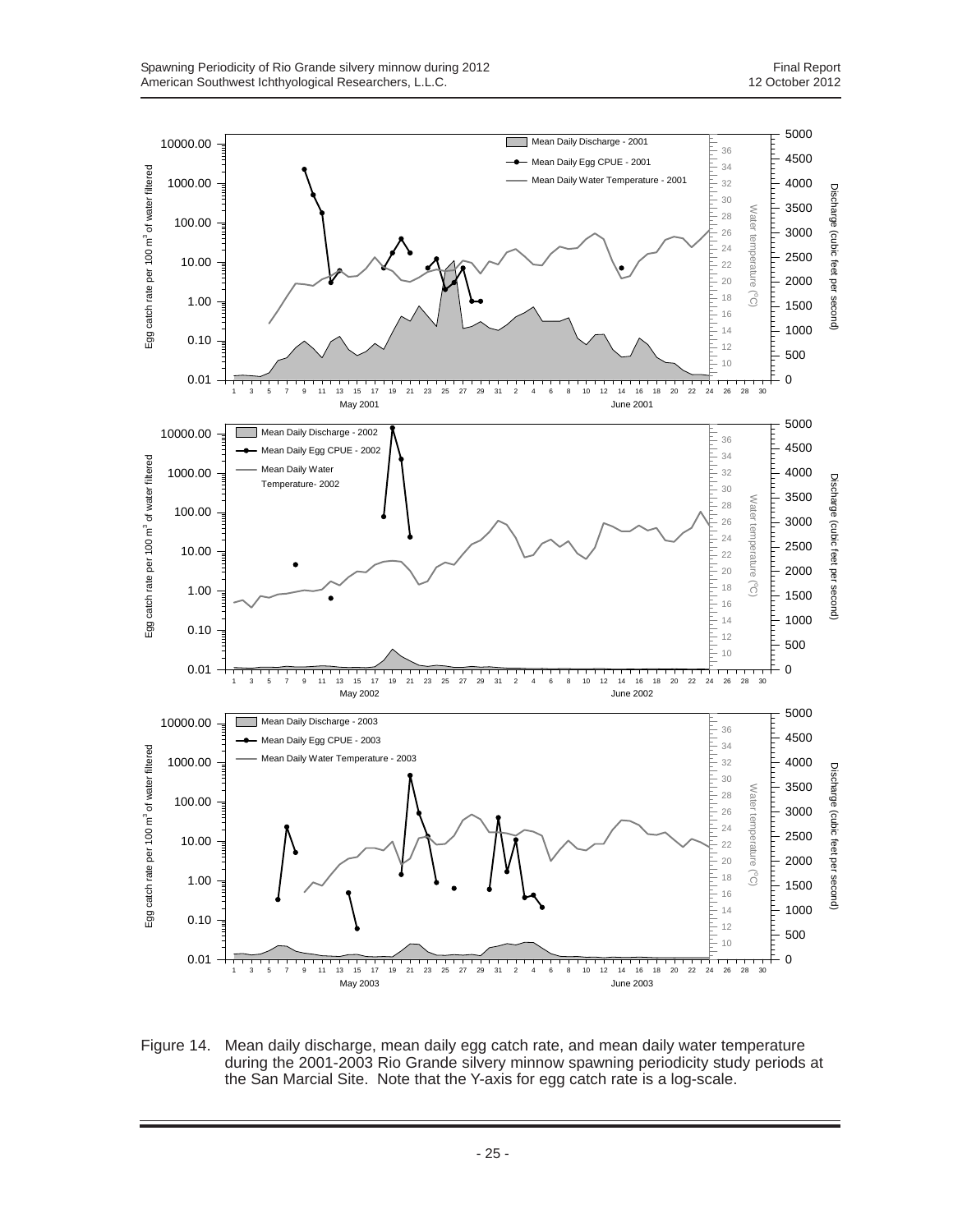

Figure 14. Mean daily discharge, mean daily egg catch rate, and mean daily water temperature during the 2001-2003 Rio Grande silvery minnow spawning periodicity study periods at the San Marcial Site. Note that the Y-axis for egg catch rate is a log-scale.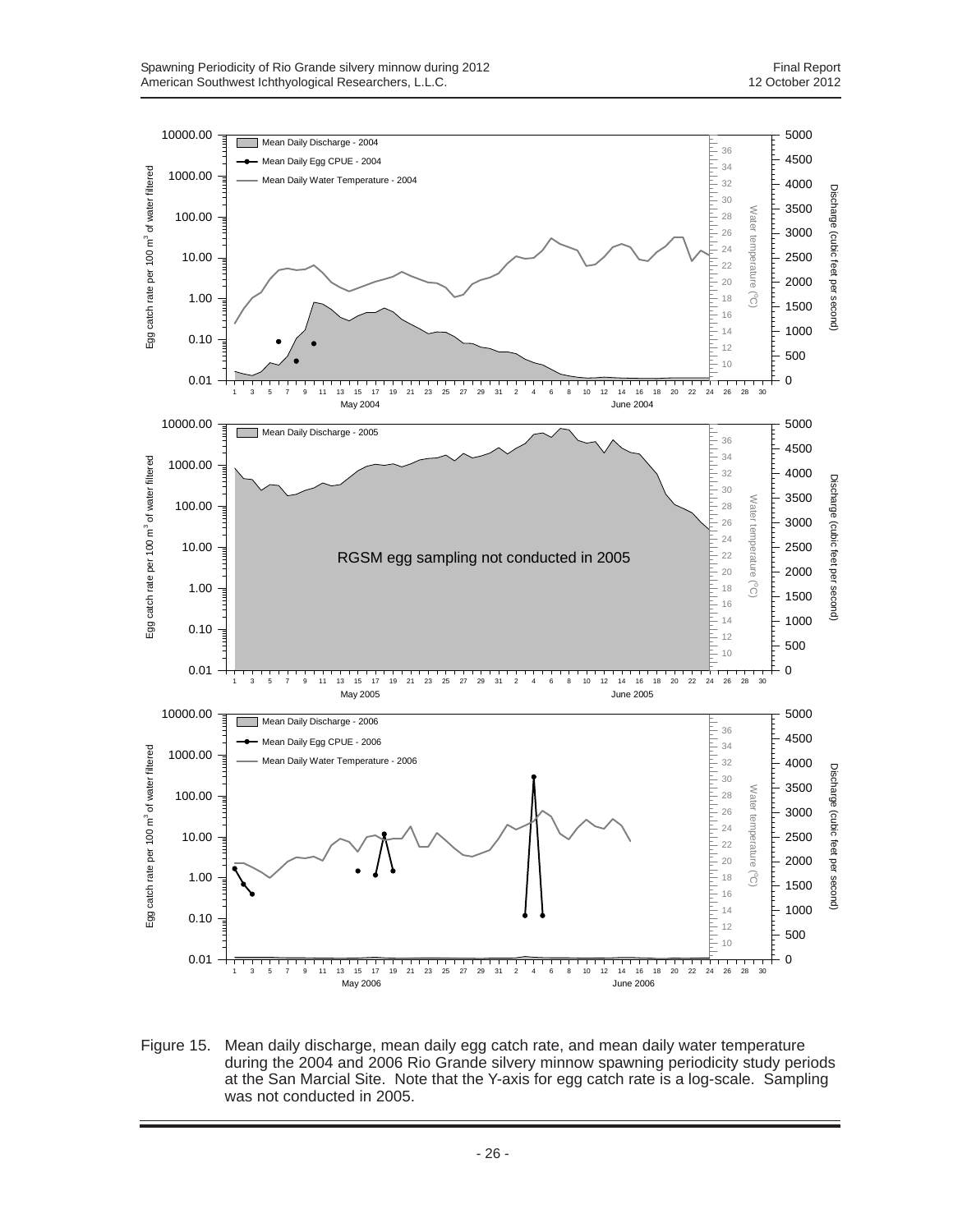

Figure 15. Mean daily discharge, mean daily egg catch rate, and mean daily water temperature during the 2004 and 2006 Rio Grande silvery minnow spawning periodicity study periods at the San Marcial Site. Note that the Y-axis for egg catch rate is a log-scale. Sampling was not conducted in 2005.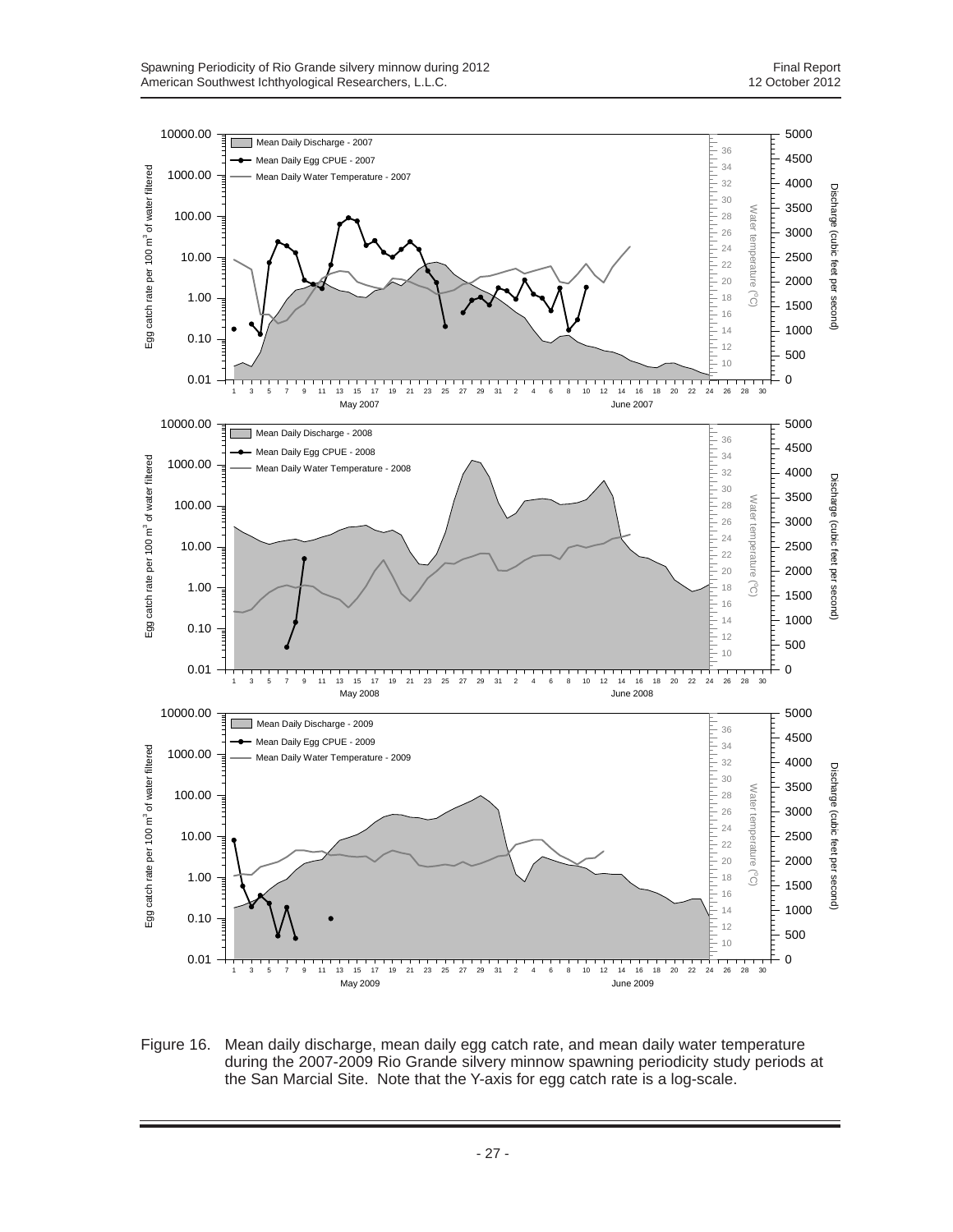

Figure 16. Mean daily discharge, mean daily egg catch rate, and mean daily water temperature during the 2007-2009 Rio Grande silvery minnow spawning periodicity study periods at the San Marcial Site. Note that the Y-axis for egg catch rate is a log-scale.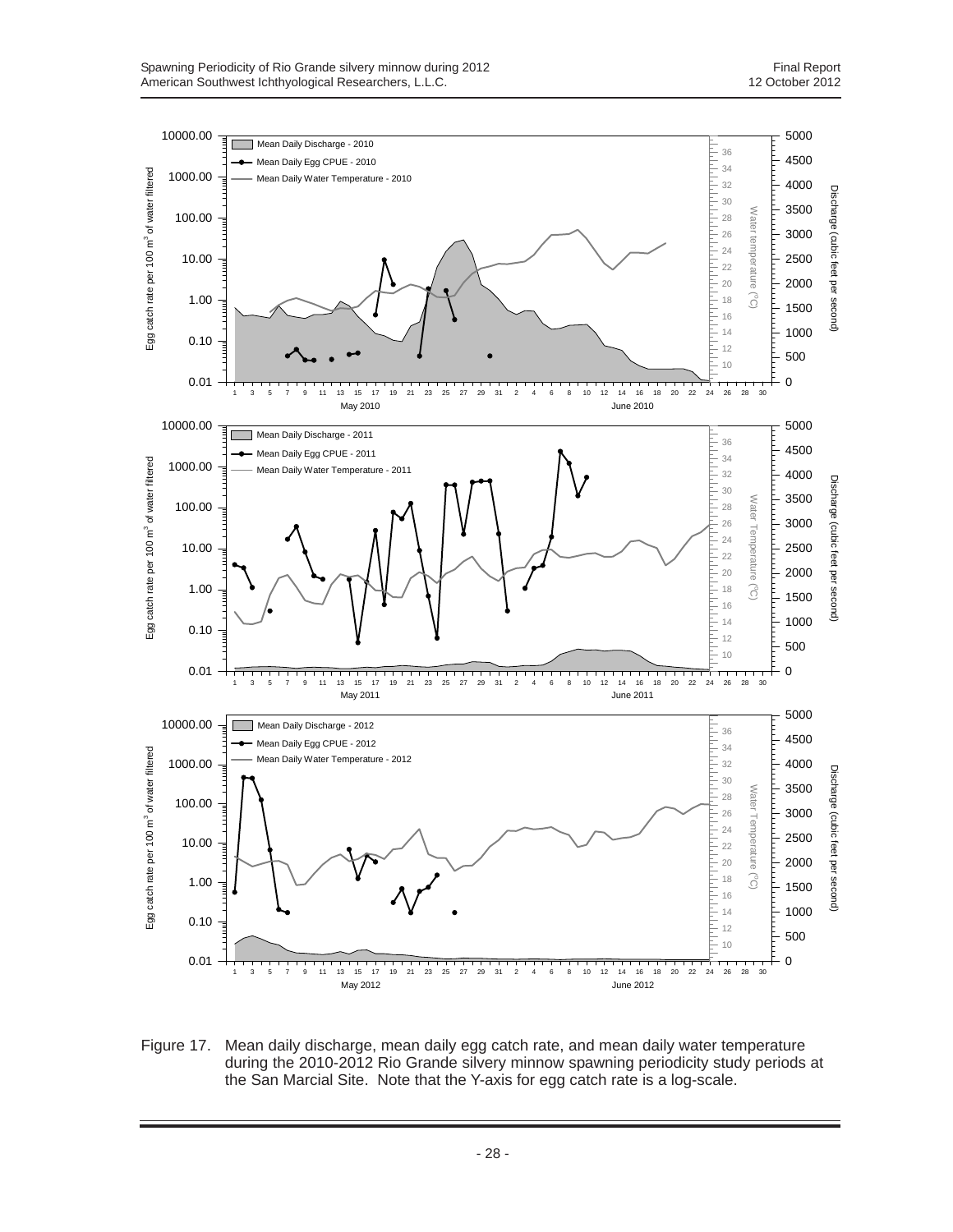

Figure 17. Mean daily discharge, mean daily egg catch rate, and mean daily water temperature during the 2010-2012 Rio Grande silvery minnow spawning periodicity study periods at the San Marcial Site. Note that the Y-axis for egg catch rate is a log-scale.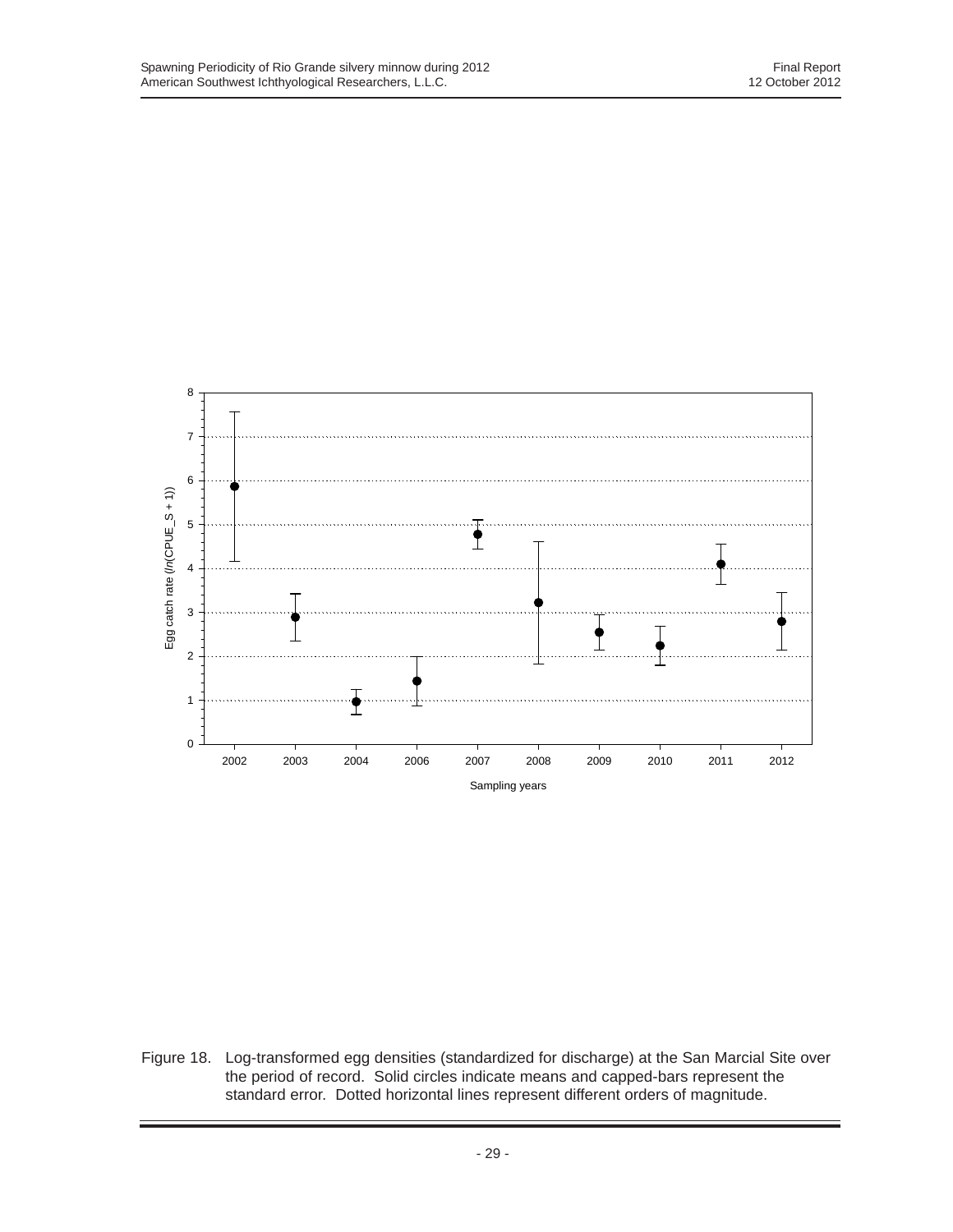

Figure 18. Log-transformed egg densities (standardized for discharge) at the San Marcial Site over the period of record. Solid circles indicate means and capped-bars represent the standard error. Dotted horizontal lines represent different orders of magnitude.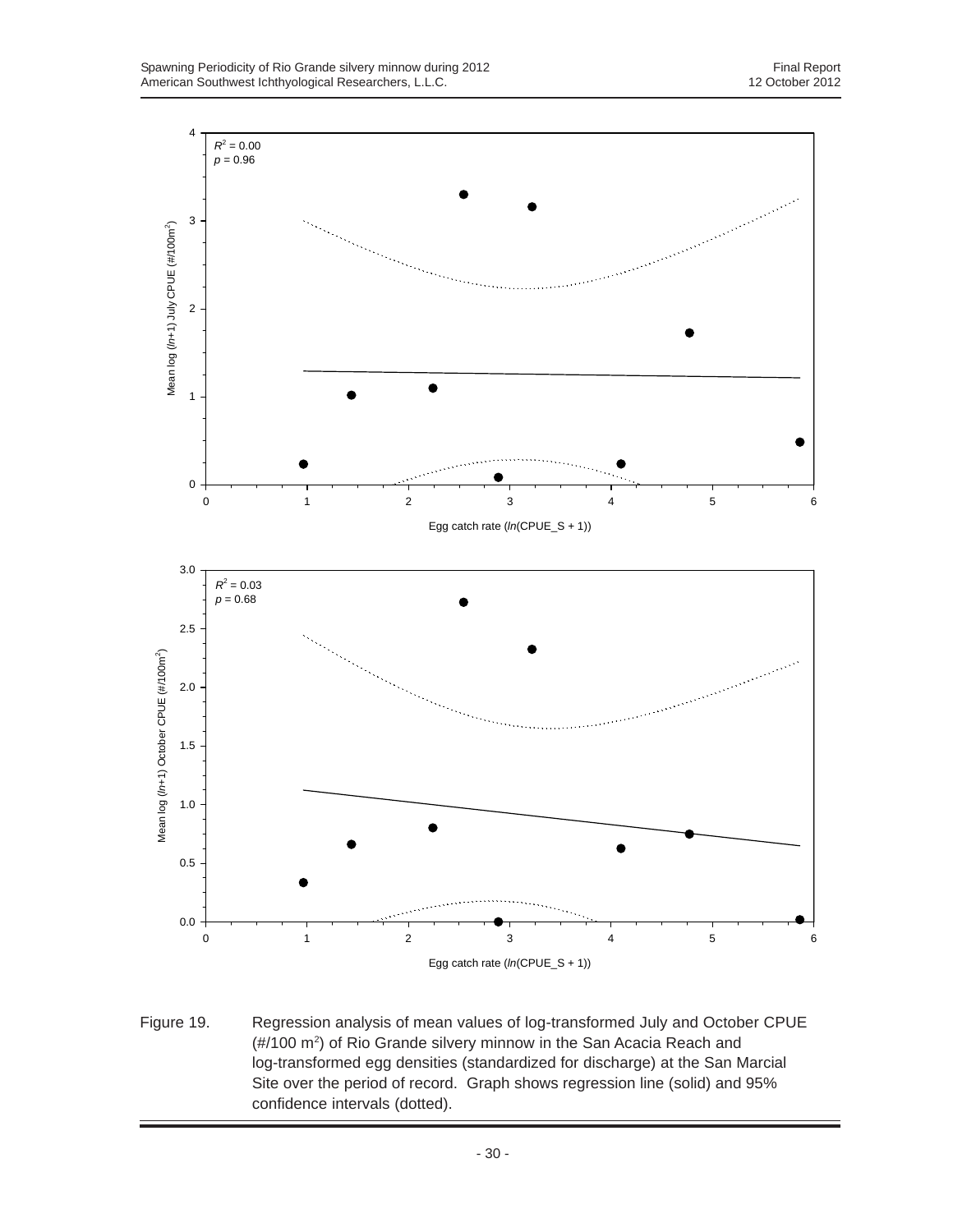

Figure 19. Regression analysis of mean values of log-transformed July and October CPUE (#/100 m2 ) of Rio Grande silvery minnow in the San Acacia Reach and log-transformed egg densities (standardized for discharge) at the San Marcial Site over the period of record. Graph shows regression line (solid) and 95% confidence intervals (dotted).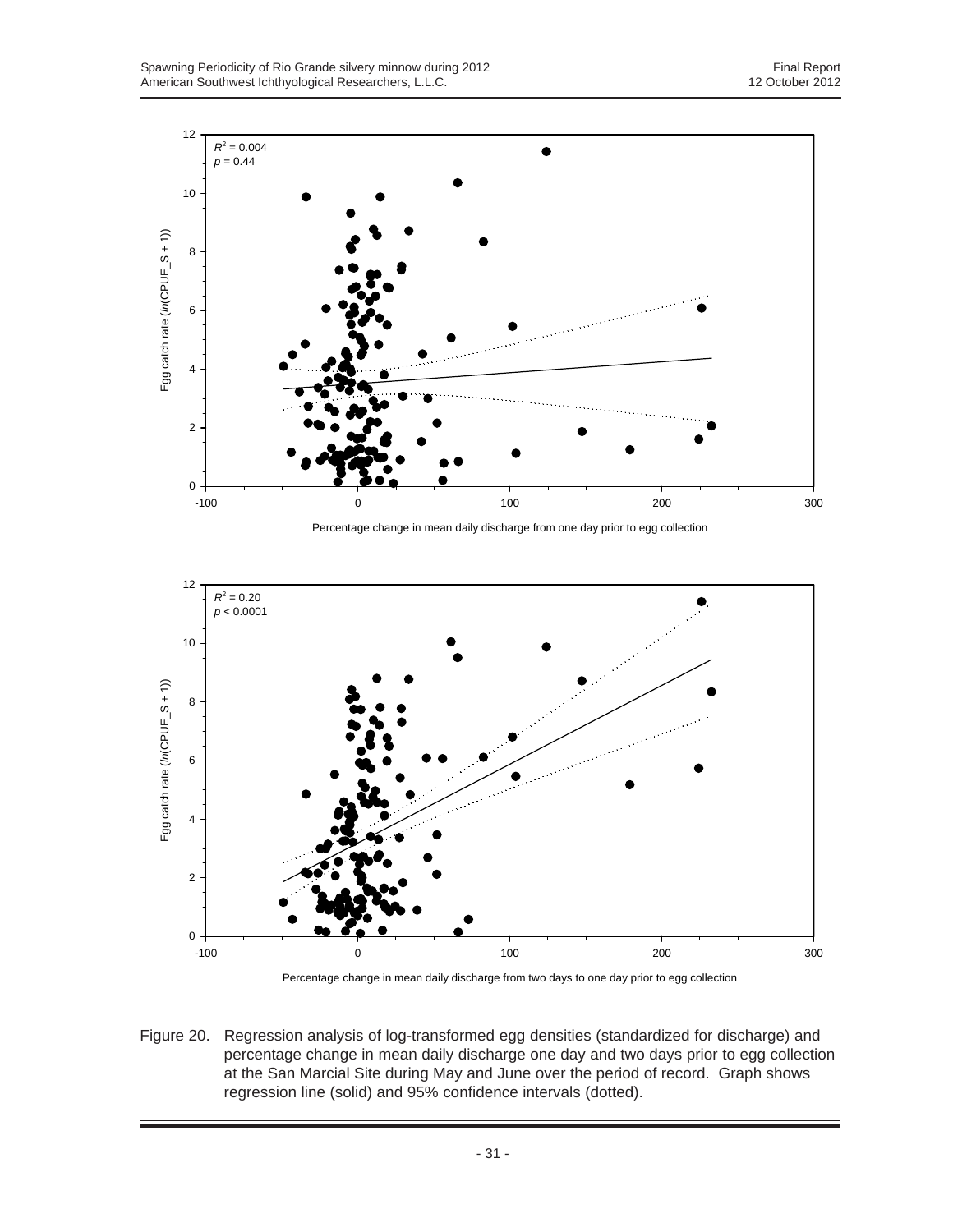

Percentage change in mean daily discharge from one day prior to egg collection



Percentage change in mean daily discharge from two days to one day prior to egg collection

Figure 20. Regression analysis of log-transformed egg densities (standardized for discharge) and percentage change in mean daily discharge one day and two days prior to egg collection at the San Marcial Site during May and June over the period of record. Graph shows regression line (solid) and 95% confidence intervals (dotted).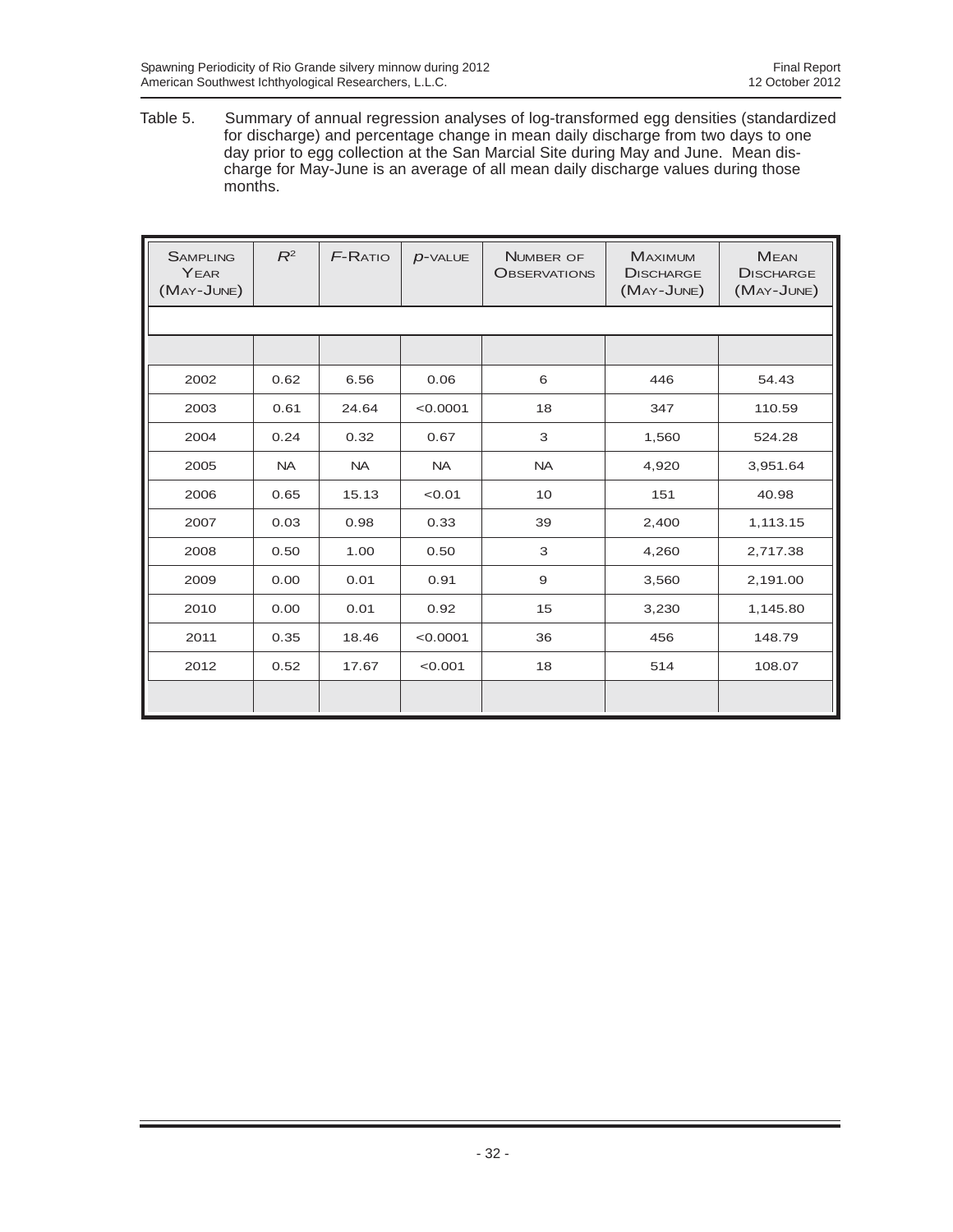Table 5. Summary of annual regression analyses of log-transformed egg densities (standardized for discharge) and percentage change in mean daily discharge from two days to one day prior to egg collection at the San Marcial Site during May and June. Mean discharge for May-June is an average of all mean daily discharge values during those months.

| <b>SAMPLING</b><br>YEAR<br>(MAY-JUNE) | $R^2$     | <b>F-RATIO</b> | $D$ -VALUE | <b>NUMBER OF</b><br><b>OBSERVATIONS</b> | <b>MAXIMUM</b><br><b>DISCHARGE</b><br>(MAY-JUNE) | <b>MEAN</b><br><b>DISCHARGE</b><br>(MAY-JUNE) |
|---------------------------------------|-----------|----------------|------------|-----------------------------------------|--------------------------------------------------|-----------------------------------------------|
|                                       |           |                |            |                                         |                                                  |                                               |
|                                       |           |                |            |                                         |                                                  |                                               |
| 2002                                  | 0.62      | 6.56           | 0.06       | 6                                       | 446                                              | 54.43                                         |
| 2003                                  | 0.61      | 24.64          | < 0.0001   | 18                                      | 347                                              | 110.59                                        |
| 2004                                  | 0.24      | 0.32           | 0.67       | 3                                       | 1,560                                            | 524.28                                        |
| 2005                                  | <b>NA</b> | <b>NA</b>      | <b>NA</b>  | <b>NA</b>                               | 4,920                                            | 3,951.64                                      |
| 2006                                  | 0.65      | 15.13          | < 0.01     | 10                                      | 151                                              | 40.98                                         |
| 2007                                  | 0.03      | 0.98           | 0.33       | 39                                      | 2,400                                            | 1,113.15                                      |
| 2008                                  | 0.50      | 1.00           | 0.50       | 3                                       | 4,260                                            | 2,717.38                                      |
| 2009                                  | 0.00      | 0.01           | 0.91       | 9                                       | 3,560                                            | 2,191.00                                      |
| 2010                                  | 0.00      | 0.01           | 0.92       | 15                                      | 3,230                                            | 1,145.80                                      |
| 2011                                  | 0.35      | 18.46          | < 0.0001   | 36                                      | 456                                              | 148.79                                        |
| 2012                                  | 0.52      | 17.67          | < 0.001    | 18                                      | 514                                              | 108.07                                        |
|                                       |           |                |            |                                         |                                                  |                                               |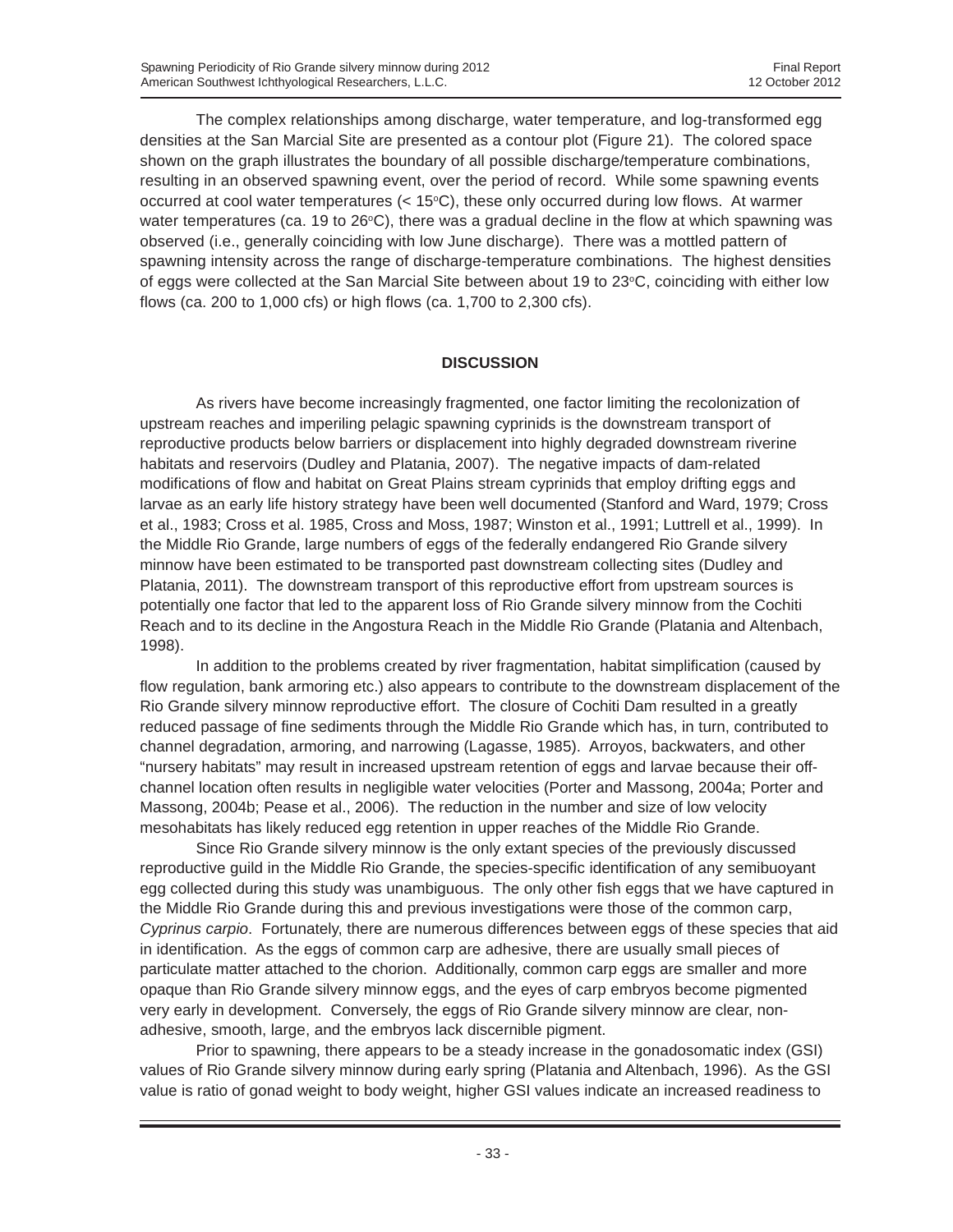The complex relationships among discharge, water temperature, and log-transformed egg densities at the San Marcial Site are presented as a contour plot (Figure 21). The colored space shown on the graph illustrates the boundary of all possible discharge/temperature combinations, resulting in an observed spawning event, over the period of record. While some spawning events occurred at cool water temperatures  $(< 15^{\circ}C)$ , these only occurred during low flows. At warmer water temperatures (ca. 19 to 26°C), there was a gradual decline in the flow at which spawning was observed (i.e., generally coinciding with low June discharge). There was a mottled pattern of spawning intensity across the range of discharge-temperature combinations. The highest densities of eggs were collected at the San Marcial Site between about 19 to 23°C, coinciding with either low flows (ca. 200 to 1,000 cfs) or high flows (ca. 1,700 to 2,300 cfs).

### **DISCUSSION**

As rivers have become increasingly fragmented, one factor limiting the recolonization of upstream reaches and imperiling pelagic spawning cyprinids is the downstream transport of reproductive products below barriers or displacement into highly degraded downstream riverine habitats and reservoirs (Dudley and Platania, 2007). The negative impacts of dam-related modifications of flow and habitat on Great Plains stream cyprinids that employ drifting eggs and larvae as an early life history strategy have been well documented (Stanford and Ward, 1979; Cross et al., 1983; Cross et al. 1985, Cross and Moss, 1987; Winston et al., 1991; Luttrell et al., 1999). In the Middle Rio Grande, large numbers of eggs of the federally endangered Rio Grande silvery minnow have been estimated to be transported past downstream collecting sites (Dudley and Platania, 2011). The downstream transport of this reproductive effort from upstream sources is potentially one factor that led to the apparent loss of Rio Grande silvery minnow from the Cochiti Reach and to its decline in the Angostura Reach in the Middle Rio Grande (Platania and Altenbach, 1998).

In addition to the problems created by river fragmentation, habitat simplification (caused by flow regulation, bank armoring etc.) also appears to contribute to the downstream displacement of the Rio Grande silvery minnow reproductive effort. The closure of Cochiti Dam resulted in a greatly reduced passage of fine sediments through the Middle Rio Grande which has, in turn, contributed to channel degradation, armoring, and narrowing (Lagasse, 1985). Arroyos, backwaters, and other "nursery habitats" may result in increased upstream retention of eggs and larvae because their offchannel location often results in negligible water velocities (Porter and Massong, 2004a; Porter and Massong, 2004b; Pease et al., 2006). The reduction in the number and size of low velocity mesohabitats has likely reduced egg retention in upper reaches of the Middle Rio Grande.

Since Rio Grande silvery minnow is the only extant species of the previously discussed reproductive guild in the Middle Rio Grande, the species-specific identification of any semibuoyant egg collected during this study was unambiguous. The only other fish eggs that we have captured in the Middle Rio Grande during this and previous investigations were those of the common carp, *Cyprinus carpio*. Fortunately, there are numerous differences between eggs of these species that aid in identification. As the eggs of common carp are adhesive, there are usually small pieces of particulate matter attached to the chorion. Additionally, common carp eggs are smaller and more opaque than Rio Grande silvery minnow eggs, and the eyes of carp embryos become pigmented very early in development. Conversely, the eggs of Rio Grande silvery minnow are clear, nonadhesive, smooth, large, and the embryos lack discernible pigment.

Prior to spawning, there appears to be a steady increase in the gonadosomatic index (GSI) values of Rio Grande silvery minnow during early spring (Platania and Altenbach, 1996). As the GSI value is ratio of gonad weight to body weight, higher GSI values indicate an increased readiness to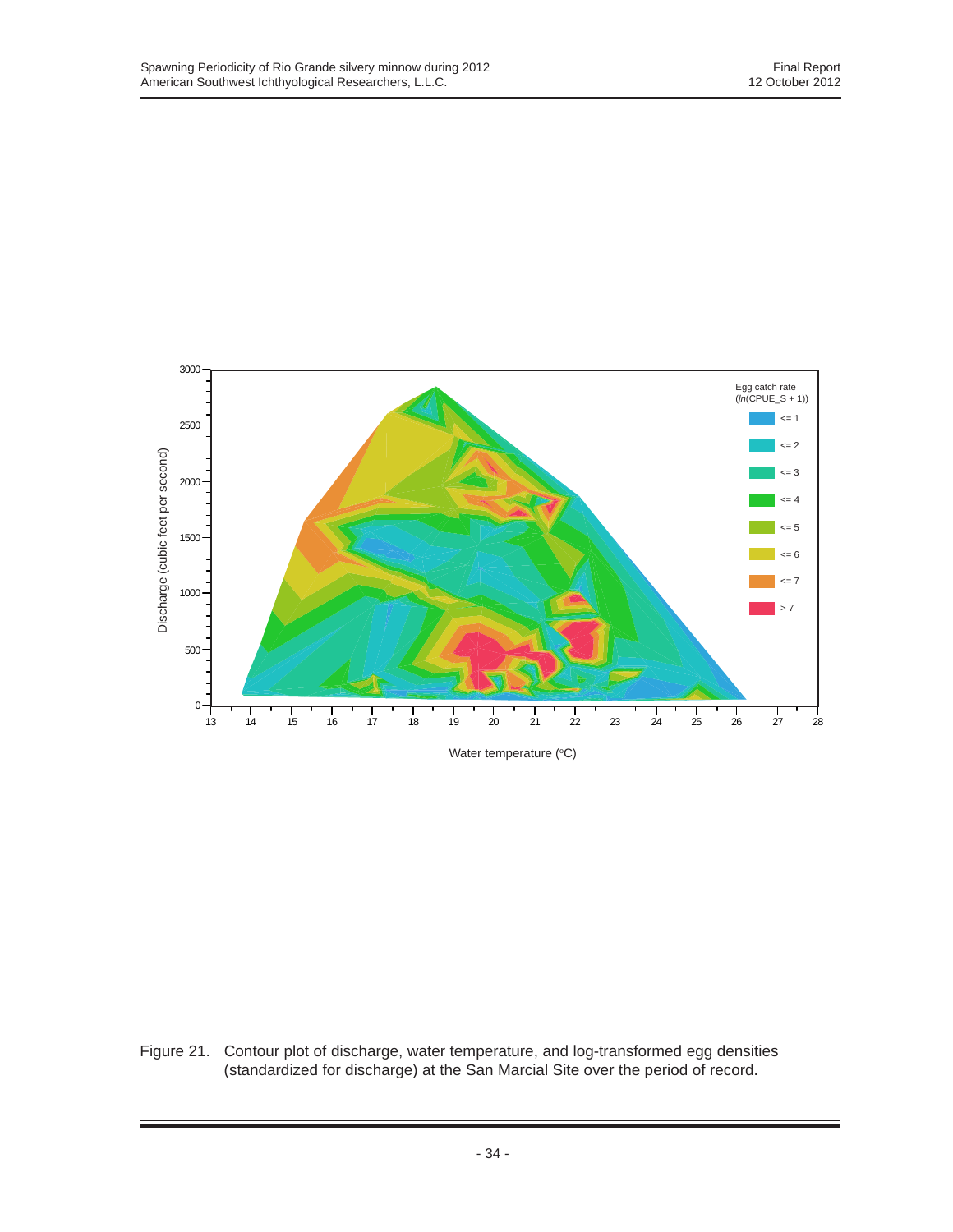

Figure 21. Contour plot of discharge, water temperature, and log-transformed egg densities (standardized for discharge) at the San Marcial Site over the period of record.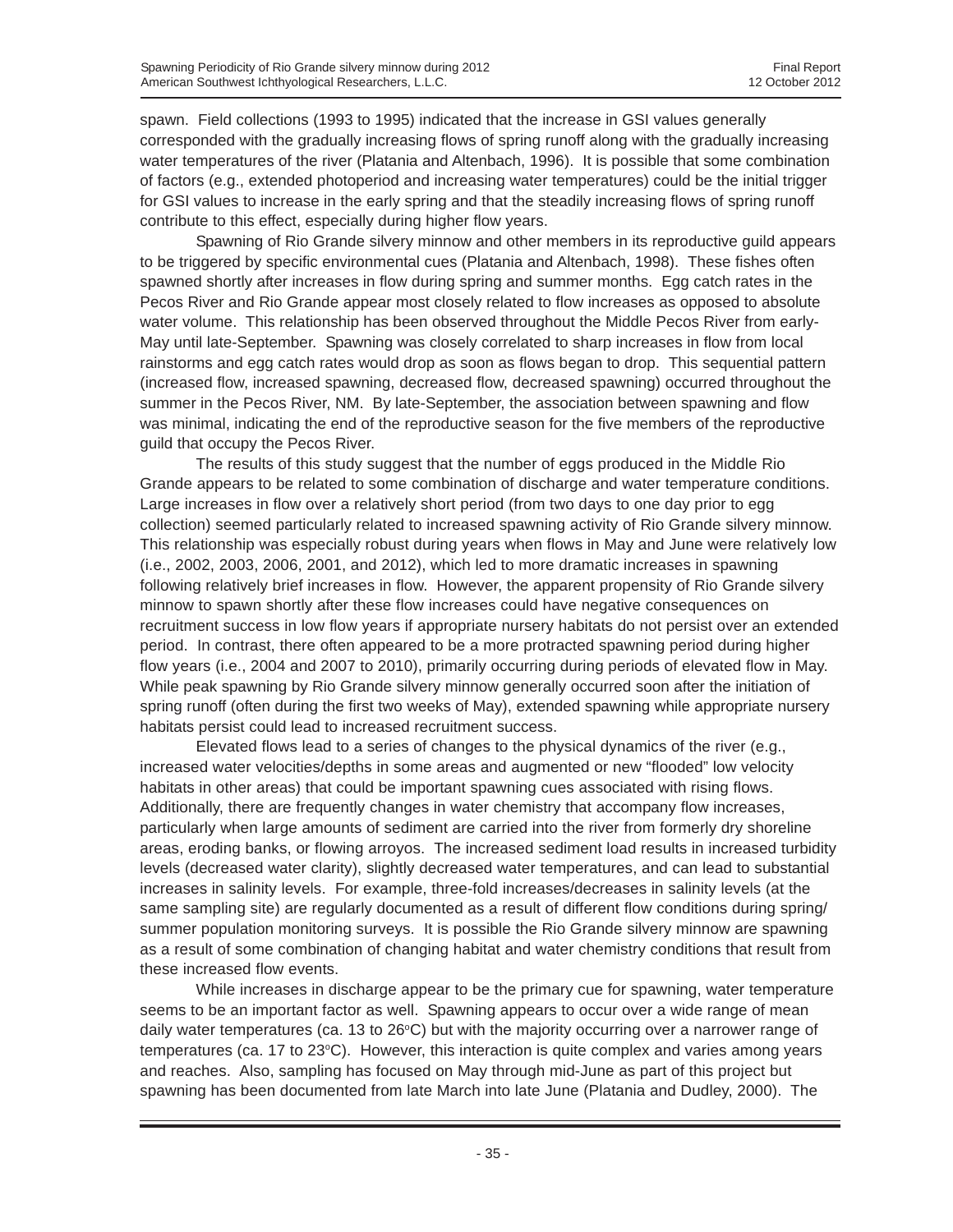spawn. Field collections (1993 to 1995) indicated that the increase in GSI values generally corresponded with the gradually increasing flows of spring runoff along with the gradually increasing water temperatures of the river (Platania and Altenbach, 1996). It is possible that some combination of factors (e.g., extended photoperiod and increasing water temperatures) could be the initial trigger for GSI values to increase in the early spring and that the steadily increasing flows of spring runoff contribute to this effect, especially during higher flow years.

Spawning of Rio Grande silvery minnow and other members in its reproductive guild appears to be triggered by specific environmental cues (Platania and Altenbach, 1998). These fishes often spawned shortly after increases in flow during spring and summer months. Egg catch rates in the Pecos River and Rio Grande appear most closely related to flow increases as opposed to absolute water volume. This relationship has been observed throughout the Middle Pecos River from early-May until late-September. Spawning was closely correlated to sharp increases in flow from local rainstorms and egg catch rates would drop as soon as flows began to drop. This sequential pattern (increased flow, increased spawning, decreased flow, decreased spawning) occurred throughout the summer in the Pecos River, NM. By late-September, the association between spawning and flow was minimal, indicating the end of the reproductive season for the five members of the reproductive guild that occupy the Pecos River.

The results of this study suggest that the number of eggs produced in the Middle Rio Grande appears to be related to some combination of discharge and water temperature conditions. Large increases in flow over a relatively short period (from two days to one day prior to egg collection) seemed particularly related to increased spawning activity of Rio Grande silvery minnow. This relationship was especially robust during years when flows in May and June were relatively low (i.e., 2002, 2003, 2006, 2001, and 2012), which led to more dramatic increases in spawning following relatively brief increases in flow. However, the apparent propensity of Rio Grande silvery minnow to spawn shortly after these flow increases could have negative consequences on recruitment success in low flow years if appropriate nursery habitats do not persist over an extended period. In contrast, there often appeared to be a more protracted spawning period during higher flow years (i.e., 2004 and 2007 to 2010), primarily occurring during periods of elevated flow in May. While peak spawning by Rio Grande silvery minnow generally occurred soon after the initiation of spring runoff (often during the first two weeks of May), extended spawning while appropriate nursery habitats persist could lead to increased recruitment success.

Elevated flows lead to a series of changes to the physical dynamics of the river (e.g., increased water velocities/depths in some areas and augmented or new "flooded" low velocity habitats in other areas) that could be important spawning cues associated with rising flows. Additionally, there are frequently changes in water chemistry that accompany flow increases, particularly when large amounts of sediment are carried into the river from formerly dry shoreline areas, eroding banks, or flowing arroyos. The increased sediment load results in increased turbidity levels (decreased water clarity), slightly decreased water temperatures, and can lead to substantial increases in salinity levels. For example, three-fold increases/decreases in salinity levels (at the same sampling site) are regularly documented as a result of different flow conditions during spring/ summer population monitoring surveys. It is possible the Rio Grande silvery minnow are spawning as a result of some combination of changing habitat and water chemistry conditions that result from these increased flow events.

While increases in discharge appear to be the primary cue for spawning, water temperature seems to be an important factor as well. Spawning appears to occur over a wide range of mean daily water temperatures (ca. 13 to 26°C) but with the majority occurring over a narrower range of temperatures (ca. 17 to 23 $\degree$ C). However, this interaction is quite complex and varies among years and reaches. Also, sampling has focused on May through mid-June as part of this project but spawning has been documented from late March into late June (Platania and Dudley, 2000). The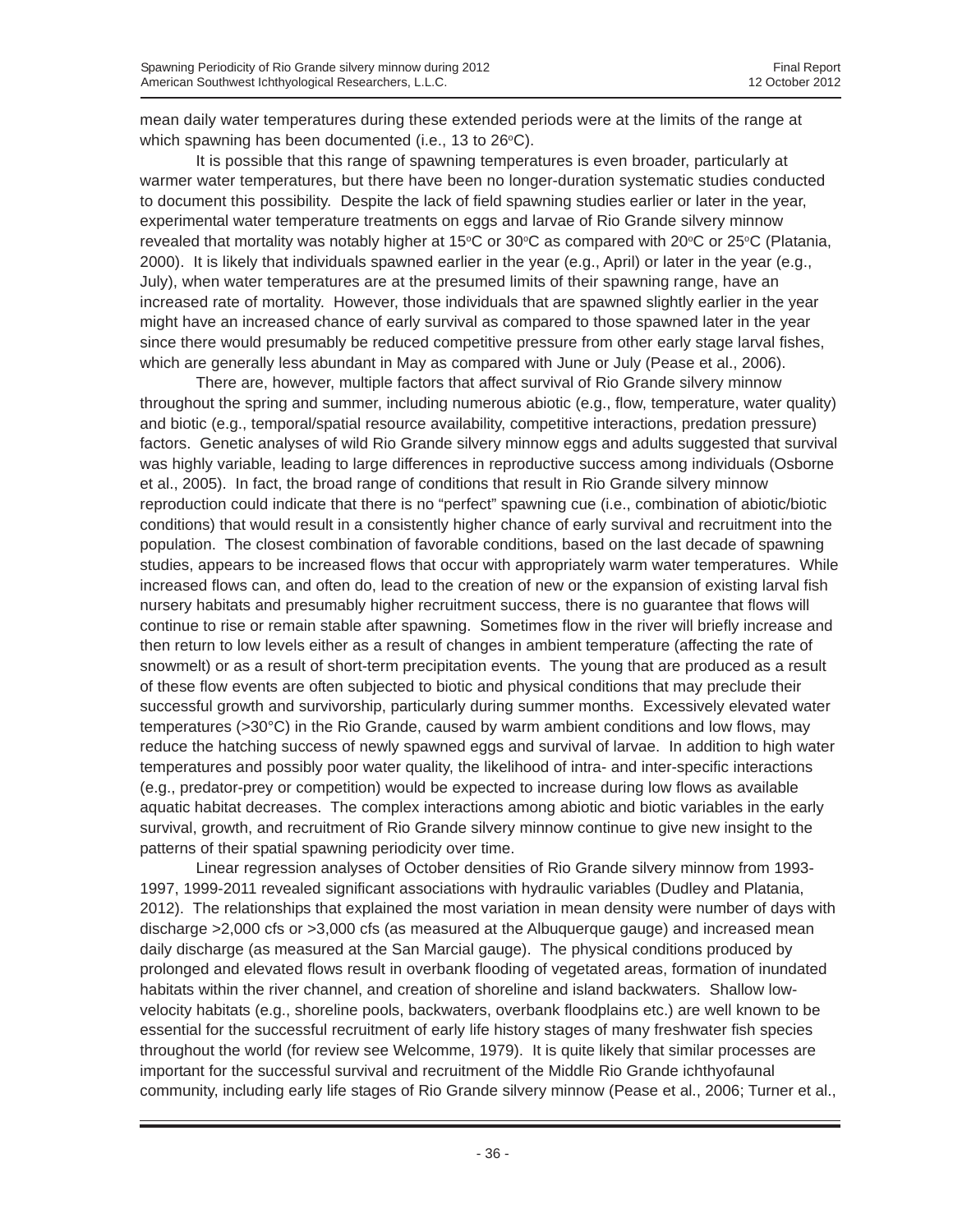mean daily water temperatures during these extended periods were at the limits of the range at which spawning has been documented (i.e., 13 to  $26^{\circ}$ C).

It is possible that this range of spawning temperatures is even broader, particularly at warmer water temperatures, but there have been no longer-duration systematic studies conducted to document this possibility. Despite the lack of field spawning studies earlier or later in the year, experimental water temperature treatments on eggs and larvae of Rio Grande silvery minnow revealed that mortality was notably higher at 15°C or 30°C as compared with 20°C or 25°C (Platania, 2000). It is likely that individuals spawned earlier in the year (e.g., April) or later in the year (e.g., July), when water temperatures are at the presumed limits of their spawning range, have an increased rate of mortality. However, those individuals that are spawned slightly earlier in the year might have an increased chance of early survival as compared to those spawned later in the year since there would presumably be reduced competitive pressure from other early stage larval fishes, which are generally less abundant in May as compared with June or July (Pease et al., 2006).

There are, however, multiple factors that affect survival of Rio Grande silvery minnow throughout the spring and summer, including numerous abiotic (e.g., flow, temperature, water quality) and biotic (e.g., temporal/spatial resource availability, competitive interactions, predation pressure) factors. Genetic analyses of wild Rio Grande silvery minnow eggs and adults suggested that survival was highly variable, leading to large differences in reproductive success among individuals (Osborne et al., 2005). In fact, the broad range of conditions that result in Rio Grande silvery minnow reproduction could indicate that there is no "perfect" spawning cue (i.e., combination of abiotic/biotic conditions) that would result in a consistently higher chance of early survival and recruitment into the population. The closest combination of favorable conditions, based on the last decade of spawning studies, appears to be increased flows that occur with appropriately warm water temperatures. While increased flows can, and often do, lead to the creation of new or the expansion of existing larval fish nursery habitats and presumably higher recruitment success, there is no guarantee that flows will continue to rise or remain stable after spawning. Sometimes flow in the river will briefly increase and then return to low levels either as a result of changes in ambient temperature (affecting the rate of snowmelt) or as a result of short-term precipitation events. The young that are produced as a result of these flow events are often subjected to biotic and physical conditions that may preclude their successful growth and survivorship, particularly during summer months. Excessively elevated water temperatures (>30°C) in the Rio Grande, caused by warm ambient conditions and low flows, may reduce the hatching success of newly spawned eggs and survival of larvae. In addition to high water temperatures and possibly poor water quality, the likelihood of intra- and inter-specific interactions (e.g., predator-prey or competition) would be expected to increase during low flows as available aquatic habitat decreases. The complex interactions among abiotic and biotic variables in the early survival, growth, and recruitment of Rio Grande silvery minnow continue to give new insight to the patterns of their spatial spawning periodicity over time.

Linear regression analyses of October densities of Rio Grande silvery minnow from 1993- 1997, 1999-2011 revealed significant associations with hydraulic variables (Dudley and Platania, 2012). The relationships that explained the most variation in mean density were number of days with discharge >2,000 cfs or >3,000 cfs (as measured at the Albuquerque gauge) and increased mean daily discharge (as measured at the San Marcial gauge). The physical conditions produced by prolonged and elevated flows result in overbank flooding of vegetated areas, formation of inundated habitats within the river channel, and creation of shoreline and island backwaters. Shallow lowvelocity habitats (e.g., shoreline pools, backwaters, overbank floodplains etc.) are well known to be essential for the successful recruitment of early life history stages of many freshwater fish species throughout the world (for review see Welcomme, 1979). It is quite likely that similar processes are important for the successful survival and recruitment of the Middle Rio Grande ichthyofaunal community, including early life stages of Rio Grande silvery minnow (Pease et al., 2006; Turner et al.,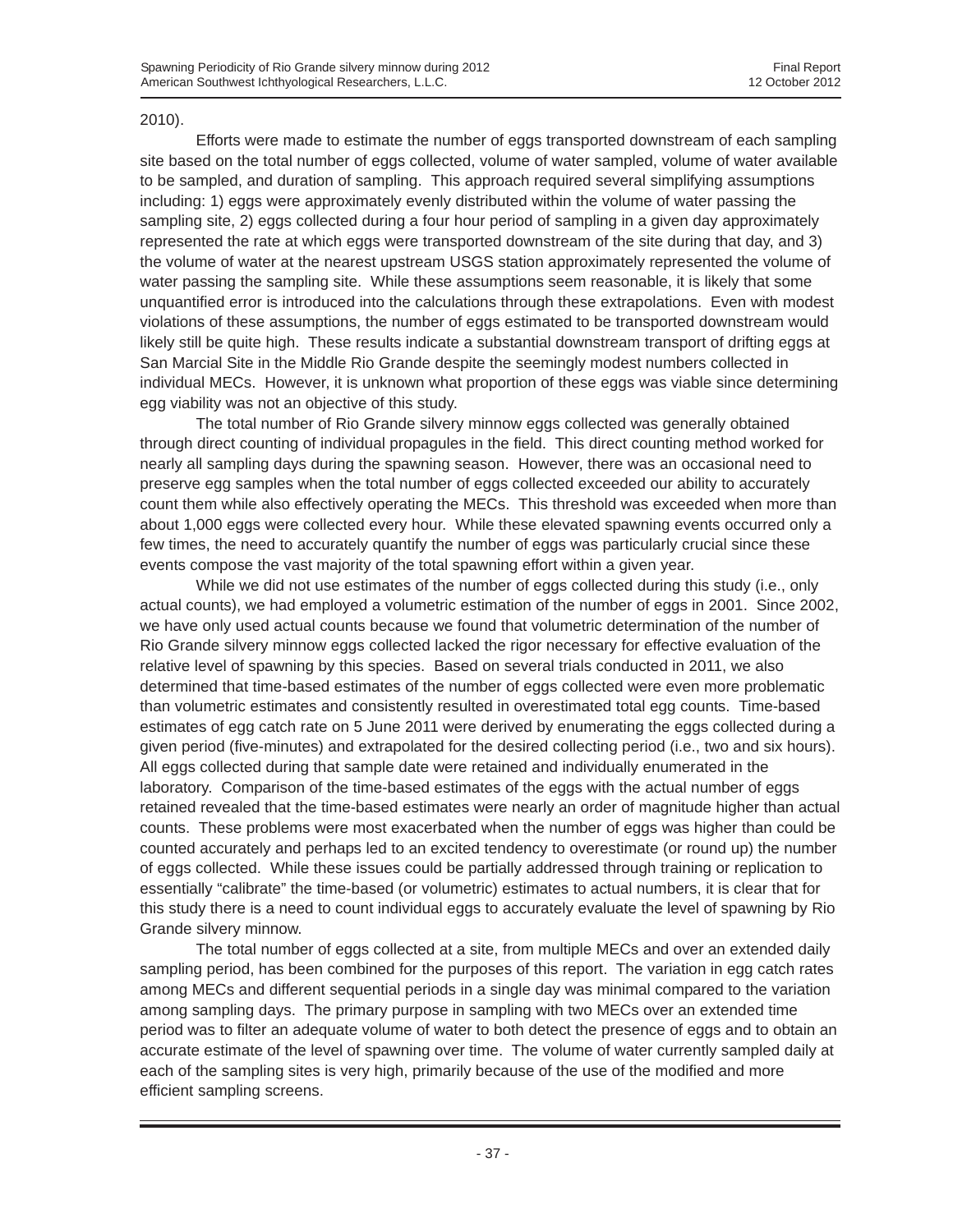#### 2010).

Efforts were made to estimate the number of eggs transported downstream of each sampling site based on the total number of eggs collected, volume of water sampled, volume of water available to be sampled, and duration of sampling. This approach required several simplifying assumptions including: 1) eggs were approximately evenly distributed within the volume of water passing the sampling site, 2) eggs collected during a four hour period of sampling in a given day approximately represented the rate at which eggs were transported downstream of the site during that day, and 3) the volume of water at the nearest upstream USGS station approximately represented the volume of water passing the sampling site. While these assumptions seem reasonable, it is likely that some unquantified error is introduced into the calculations through these extrapolations. Even with modest violations of these assumptions, the number of eggs estimated to be transported downstream would likely still be quite high. These results indicate a substantial downstream transport of drifting eggs at San Marcial Site in the Middle Rio Grande despite the seemingly modest numbers collected in individual MECs. However, it is unknown what proportion of these eggs was viable since determining egg viability was not an objective of this study.

The total number of Rio Grande silvery minnow eggs collected was generally obtained through direct counting of individual propagules in the field. This direct counting method worked for nearly all sampling days during the spawning season. However, there was an occasional need to preserve egg samples when the total number of eggs collected exceeded our ability to accurately count them while also effectively operating the MECs. This threshold was exceeded when more than about 1,000 eggs were collected every hour. While these elevated spawning events occurred only a few times, the need to accurately quantify the number of eggs was particularly crucial since these events compose the vast majority of the total spawning effort within a given year.

While we did not use estimates of the number of eggs collected during this study (i.e., only actual counts), we had employed a volumetric estimation of the number of eggs in 2001. Since 2002, we have only used actual counts because we found that volumetric determination of the number of Rio Grande silvery minnow eggs collected lacked the rigor necessary for effective evaluation of the relative level of spawning by this species. Based on several trials conducted in 2011, we also determined that time-based estimates of the number of eggs collected were even more problematic than volumetric estimates and consistently resulted in overestimated total egg counts. Time-based estimates of egg catch rate on 5 June 2011 were derived by enumerating the eggs collected during a given period (five-minutes) and extrapolated for the desired collecting period (i.e., two and six hours). All eggs collected during that sample date were retained and individually enumerated in the laboratory. Comparison of the time-based estimates of the eggs with the actual number of eggs retained revealed that the time-based estimates were nearly an order of magnitude higher than actual counts. These problems were most exacerbated when the number of eggs was higher than could be counted accurately and perhaps led to an excited tendency to overestimate (or round up) the number of eggs collected. While these issues could be partially addressed through training or replication to essentially "calibrate" the time-based (or volumetric) estimates to actual numbers, it is clear that for this study there is a need to count individual eggs to accurately evaluate the level of spawning by Rio Grande silvery minnow.

The total number of eggs collected at a site, from multiple MECs and over an extended daily sampling period, has been combined for the purposes of this report. The variation in egg catch rates among MECs and different sequential periods in a single day was minimal compared to the variation among sampling days. The primary purpose in sampling with two MECs over an extended time period was to filter an adequate volume of water to both detect the presence of eggs and to obtain an accurate estimate of the level of spawning over time. The volume of water currently sampled daily at each of the sampling sites is very high, primarily because of the use of the modified and more efficient sampling screens.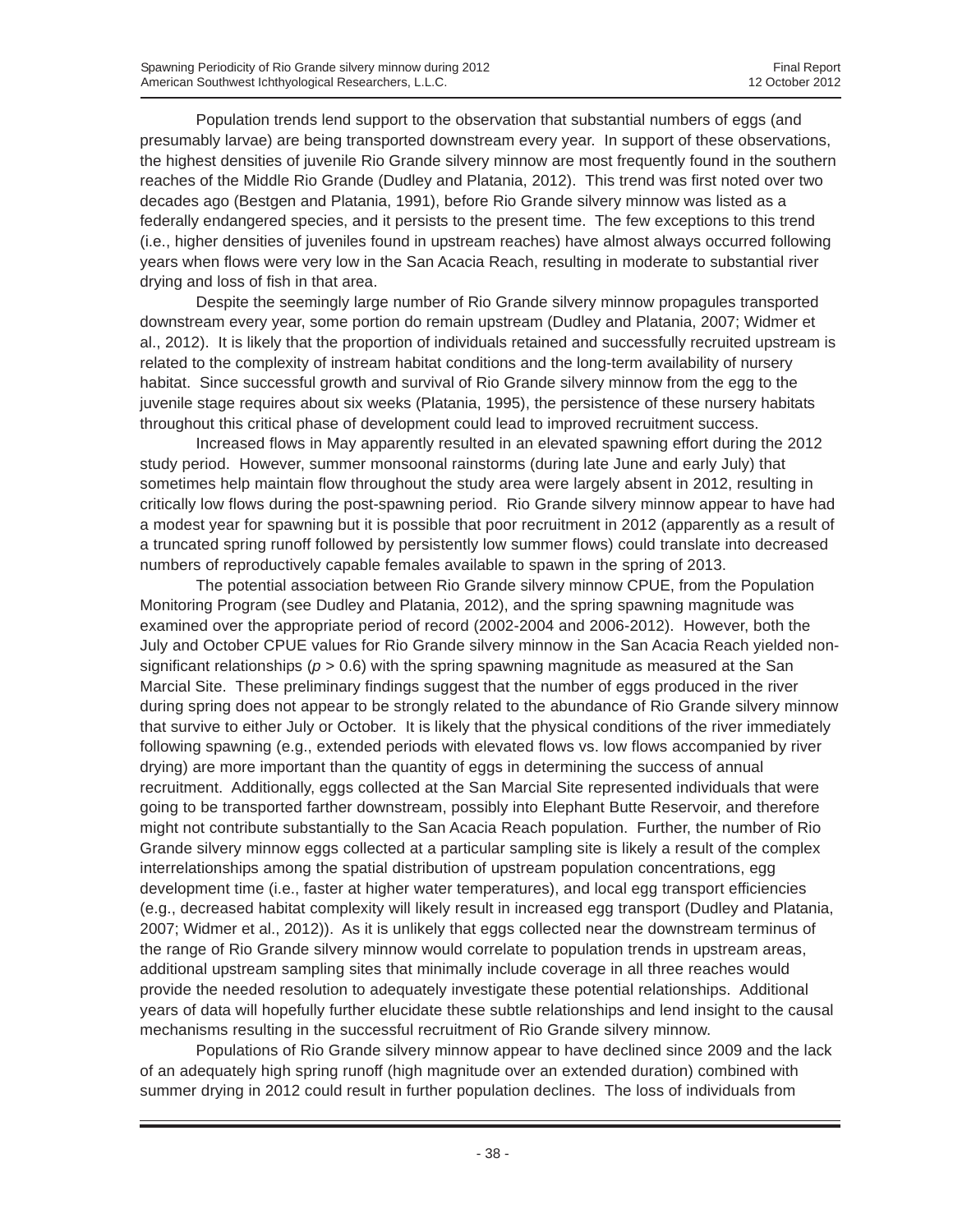Population trends lend support to the observation that substantial numbers of eggs (and presumably larvae) are being transported downstream every year. In support of these observations, the highest densities of juvenile Rio Grande silvery minnow are most frequently found in the southern reaches of the Middle Rio Grande (Dudley and Platania, 2012). This trend was first noted over two decades ago (Bestgen and Platania, 1991), before Rio Grande silvery minnow was listed as a federally endangered species, and it persists to the present time. The few exceptions to this trend (i.e., higher densities of juveniles found in upstream reaches) have almost always occurred following years when flows were very low in the San Acacia Reach, resulting in moderate to substantial river drying and loss of fish in that area.

Despite the seemingly large number of Rio Grande silvery minnow propagules transported downstream every year, some portion do remain upstream (Dudley and Platania, 2007; Widmer et al., 2012). It is likely that the proportion of individuals retained and successfully recruited upstream is related to the complexity of instream habitat conditions and the long-term availability of nursery habitat. Since successful growth and survival of Rio Grande silvery minnow from the egg to the juvenile stage requires about six weeks (Platania, 1995), the persistence of these nursery habitats throughout this critical phase of development could lead to improved recruitment success.

Increased flows in May apparently resulted in an elevated spawning effort during the 2012 study period. However, summer monsoonal rainstorms (during late June and early July) that sometimes help maintain flow throughout the study area were largely absent in 2012, resulting in critically low flows during the post-spawning period. Rio Grande silvery minnow appear to have had a modest year for spawning but it is possible that poor recruitment in 2012 (apparently as a result of a truncated spring runoff followed by persistently low summer flows) could translate into decreased numbers of reproductively capable females available to spawn in the spring of 2013.

The potential association between Rio Grande silvery minnow CPUE, from the Population Monitoring Program (see Dudley and Platania, 2012), and the spring spawning magnitude was examined over the appropriate period of record (2002-2004 and 2006-2012). However, both the July and October CPUE values for Rio Grande silvery minnow in the San Acacia Reach yielded nonsignificant relationships ( $p > 0.6$ ) with the spring spawning magnitude as measured at the San Marcial Site. These preliminary findings suggest that the number of eggs produced in the river during spring does not appear to be strongly related to the abundance of Rio Grande silvery minnow that survive to either July or October. It is likely that the physical conditions of the river immediately following spawning (e.g., extended periods with elevated flows vs. low flows accompanied by river drying) are more important than the quantity of eggs in determining the success of annual recruitment. Additionally, eggs collected at the San Marcial Site represented individuals that were going to be transported farther downstream, possibly into Elephant Butte Reservoir, and therefore might not contribute substantially to the San Acacia Reach population. Further, the number of Rio Grande silvery minnow eggs collected at a particular sampling site is likely a result of the complex interrelationships among the spatial distribution of upstream population concentrations, egg development time (i.e., faster at higher water temperatures), and local egg transport efficiencies (e.g., decreased habitat complexity will likely result in increased egg transport (Dudley and Platania, 2007; Widmer et al., 2012)). As it is unlikely that eggs collected near the downstream terminus of the range of Rio Grande silvery minnow would correlate to population trends in upstream areas, additional upstream sampling sites that minimally include coverage in all three reaches would provide the needed resolution to adequately investigate these potential relationships. Additional years of data will hopefully further elucidate these subtle relationships and lend insight to the causal mechanisms resulting in the successful recruitment of Rio Grande silvery minnow.

Populations of Rio Grande silvery minnow appear to have declined since 2009 and the lack of an adequately high spring runoff (high magnitude over an extended duration) combined with summer drying in 2012 could result in further population declines. The loss of individuals from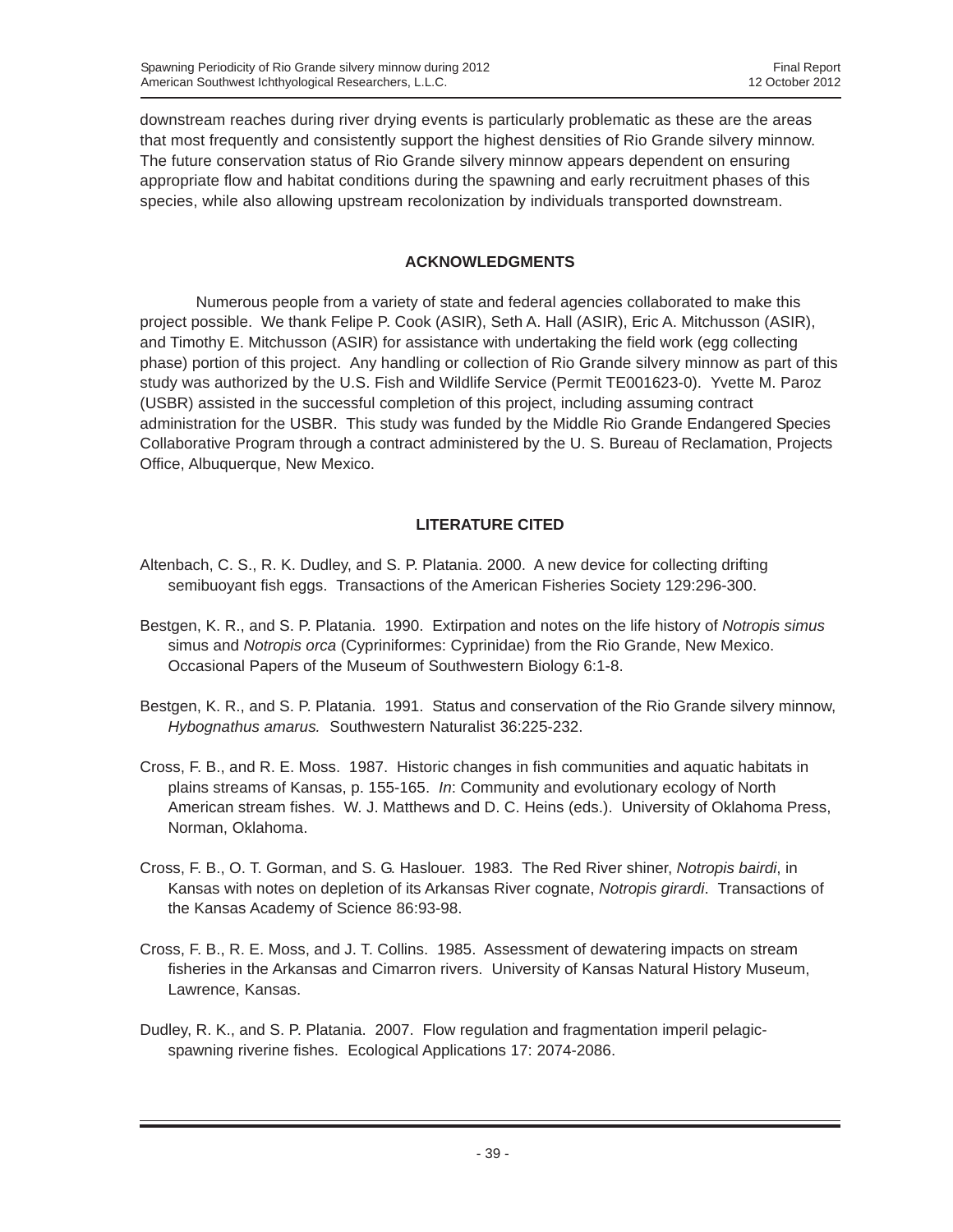downstream reaches during river drying events is particularly problematic as these are the areas that most frequently and consistently support the highest densities of Rio Grande silvery minnow. The future conservation status of Rio Grande silvery minnow appears dependent on ensuring appropriate flow and habitat conditions during the spawning and early recruitment phases of this species, while also allowing upstream recolonization by individuals transported downstream.

## **ACKNOWLEDGMENTS**

Numerous people from a variety of state and federal agencies collaborated to make this project possible. We thank Felipe P. Cook (ASIR), Seth A. Hall (ASIR), Eric A. Mitchusson (ASIR), and Timothy E. Mitchusson (ASIR) for assistance with undertaking the field work (egg collecting phase) portion of this project. Any handling or collection of Rio Grande silvery minnow as part of this study was authorized by the U.S. Fish and Wildlife Service (Permit TE001623-0). Yvette M. Paroz (USBR) assisted in the successful completion of this project, including assuming contract administration for the USBR. This study was funded by the Middle Rio Grande Endangered Species Collaborative Program through a contract administered by the U. S. Bureau of Reclamation, Projects Office, Albuquerque, New Mexico.

## **LITERATURE CITED**

- Altenbach, C. S., R. K. Dudley, and S. P. Platania. 2000. A new device for collecting drifting semibuoyant fish eggs. Transactions of the American Fisheries Society 129:296-300.
- Bestgen, K. R., and S. P. Platania. 1990. Extirpation and notes on the life history of *Notropis simus* simus and *Notropis orca* (Cypriniformes: Cyprinidae) from the Rio Grande, New Mexico. Occasional Papers of the Museum of Southwestern Biology 6:1-8.
- Bestgen, K. R., and S. P. Platania. 1991. Status and conservation of the Rio Grande silvery minnow, *Hybognathus amarus.* Southwestern Naturalist 36:225-232.
- Cross, F. B., and R. E. Moss. 1987. Historic changes in fish communities and aquatic habitats in plains streams of Kansas, p. 155-165. *In*: Community and evolutionary ecology of North American stream fishes. W. J. Matthews and D. C. Heins (eds.). University of Oklahoma Press, Norman, Oklahoma.
- Cross, F. B., O. T. Gorman, and S. G. Haslouer. 1983. The Red River shiner, *Notropis bairdi*, in Kansas with notes on depletion of its Arkansas River cognate, *Notropis girardi*. Transactions of the Kansas Academy of Science 86:93-98.
- Cross, F. B., R. E. Moss, and J. T. Collins. 1985. Assessment of dewatering impacts on stream fisheries in the Arkansas and Cimarron rivers. University of Kansas Natural History Museum, Lawrence, Kansas.
- Dudley, R. K., and S. P. Platania. 2007. Flow regulation and fragmentation imperil pelagicspawning riverine fishes. Ecological Applications 17: 2074-2086.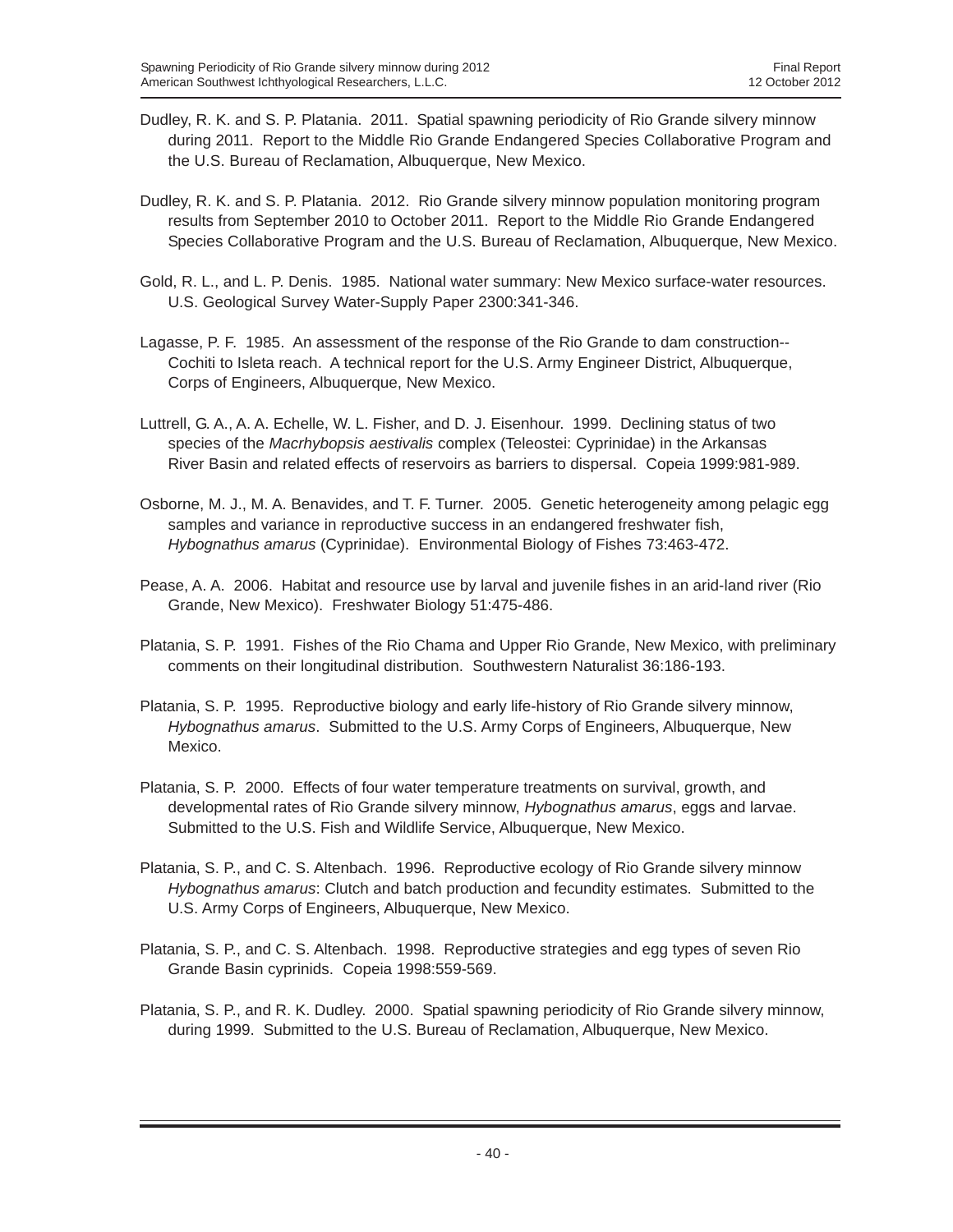- Dudley, R. K. and S. P. Platania. 2011. Spatial spawning periodicity of Rio Grande silvery minnow during 2011. Report to the Middle Rio Grande Endangered Species Collaborative Program and the U.S. Bureau of Reclamation, Albuquerque, New Mexico.
- Dudley, R. K. and S. P. Platania. 2012. Rio Grande silvery minnow population monitoring program results from September 2010 to October 2011. Report to the Middle Rio Grande Endangered Species Collaborative Program and the U.S. Bureau of Reclamation, Albuquerque, New Mexico.
- Gold, R. L., and L. P. Denis. 1985. National water summary: New Mexico surface-water resources. U.S. Geological Survey Water-Supply Paper 2300:341-346.
- Lagasse, P. F. 1985. An assessment of the response of the Rio Grande to dam construction-- Cochiti to Isleta reach. A technical report for the U.S. Army Engineer District, Albuquerque, Corps of Engineers, Albuquerque, New Mexico.
- Luttrell, G. A., A. A. Echelle, W. L. Fisher, and D. J. Eisenhour. 1999. Declining status of two species of the *Macrhybopsis aestivalis* complex (Teleostei: Cyprinidae) in the Arkansas River Basin and related effects of reservoirs as barriers to dispersal. Copeia 1999:981-989.
- Osborne, M. J., M. A. Benavides, and T. F. Turner. 2005. Genetic heterogeneity among pelagic egg samples and variance in reproductive success in an endangered freshwater fish, *Hybognathus amarus* (Cyprinidae). Environmental Biology of Fishes 73:463-472.
- Pease, A. A. 2006. Habitat and resource use by larval and juvenile fishes in an arid-land river (Rio Grande, New Mexico). Freshwater Biology 51:475-486.
- Platania, S. P. 1991. Fishes of the Rio Chama and Upper Rio Grande, New Mexico, with preliminary comments on their longitudinal distribution. Southwestern Naturalist 36:186-193.
- Platania, S. P. 1995. Reproductive biology and early life-history of Rio Grande silvery minnow, *Hybognathus amarus*. Submitted to the U.S. Army Corps of Engineers, Albuquerque, New Mexico.
- Platania, S. P. 2000. Effects of four water temperature treatments on survival, growth, and developmental rates of Rio Grande silvery minnow, *Hybognathus amarus*, eggs and larvae. Submitted to the U.S. Fish and Wildlife Service, Albuquerque, New Mexico.
- Platania, S. P., and C. S. Altenbach. 1996. Reproductive ecology of Rio Grande silvery minnow *Hybognathus amarus*: Clutch and batch production and fecundity estimates. Submitted to the U.S. Army Corps of Engineers, Albuquerque, New Mexico.
- Platania, S. P., and C. S. Altenbach. 1998. Reproductive strategies and egg types of seven Rio Grande Basin cyprinids. Copeia 1998:559-569.
- Platania, S. P., and R. K. Dudley. 2000. Spatial spawning periodicity of Rio Grande silvery minnow, during 1999. Submitted to the U.S. Bureau of Reclamation, Albuquerque, New Mexico.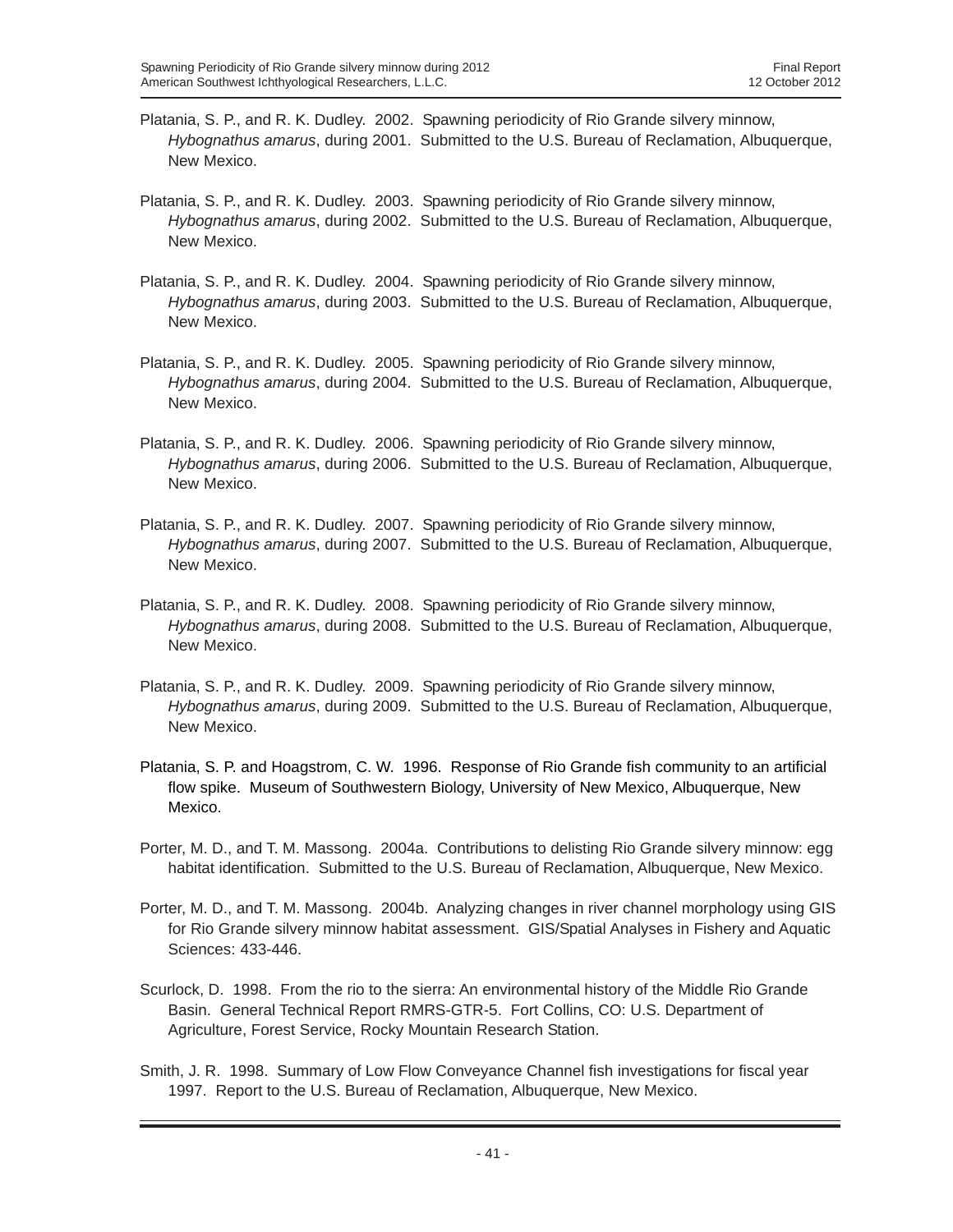- Platania, S. P., and R. K. Dudley. 2002. Spawning periodicity of Rio Grande silvery minnow, *Hybognathus amarus*, during 2001. Submitted to the U.S. Bureau of Reclamation, Albuquerque, New Mexico.
- Platania, S. P., and R. K. Dudley. 2003. Spawning periodicity of Rio Grande silvery minnow, *Hybognathus amarus*, during 2002. Submitted to the U.S. Bureau of Reclamation, Albuquerque, New Mexico.
- Platania, S. P., and R. K. Dudley. 2004. Spawning periodicity of Rio Grande silvery minnow, *Hybognathus amarus*, during 2003. Submitted to the U.S. Bureau of Reclamation, Albuquerque, New Mexico.
- Platania, S. P., and R. K. Dudley. 2005. Spawning periodicity of Rio Grande silvery minnow, *Hybognathus amarus*, during 2004. Submitted to the U.S. Bureau of Reclamation, Albuquerque, New Mexico.
- Platania, S. P., and R. K. Dudley. 2006. Spawning periodicity of Rio Grande silvery minnow, *Hybognathus amarus*, during 2006. Submitted to the U.S. Bureau of Reclamation, Albuquerque, New Mexico.
- Platania, S. P., and R. K. Dudley. 2007. Spawning periodicity of Rio Grande silvery minnow, *Hybognathus amarus*, during 2007. Submitted to the U.S. Bureau of Reclamation, Albuquerque, New Mexico.
- Platania, S. P., and R. K. Dudley. 2008. Spawning periodicity of Rio Grande silvery minnow, *Hybognathus amarus*, during 2008. Submitted to the U.S. Bureau of Reclamation, Albuquerque, New Mexico.
- Platania, S. P., and R. K. Dudley. 2009. Spawning periodicity of Rio Grande silvery minnow, *Hybognathus amarus*, during 2009. Submitted to the U.S. Bureau of Reclamation, Albuquerque, New Mexico.
- Platania, S. P. and Hoagstrom, C. W. 1996. Response of Rio Grande fish community to an artificial flow spike. Museum of Southwestern Biology, University of New Mexico, Albuquerque, New Mexico.
- Porter, M. D., and T. M. Massong. 2004a. Contributions to delisting Rio Grande silvery minnow: egg habitat identification. Submitted to the U.S. Bureau of Reclamation, Albuquerque, New Mexico.
- Porter, M. D., and T. M. Massong. 2004b. Analyzing changes in river channel morphology using GIS for Rio Grande silvery minnow habitat assessment. GIS/Spatial Analyses in Fishery and Aquatic Sciences: 433-446.
- Scurlock, D. 1998. From the rio to the sierra: An environmental history of the Middle Rio Grande Basin. General Technical Report RMRS-GTR-5. Fort Collins, CO: U.S. Department of Agriculture, Forest Service, Rocky Mountain Research Station.
- Smith, J. R. 1998. Summary of Low Flow Conveyance Channel fish investigations for fiscal year 1997. Report to the U.S. Bureau of Reclamation, Albuquerque, New Mexico.